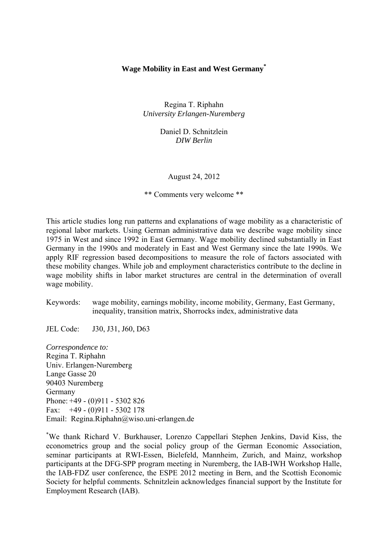# **Wage Mobility in East and West Germany\***

Regina T. Riphahn *University Erlangen-Nuremberg*

> Daniel D. Schnitzlein *DIW Berlin*

> > August 24, 2012

\*\* Comments very welcome \*\*

This article studies long run patterns and explanations of wage mobility as a characteristic of regional labor markets. Using German administrative data we describe wage mobility since 1975 in West and since 1992 in East Germany. Wage mobility declined substantially in East Germany in the 1990s and moderately in East and West Germany since the late 1990s. We apply RIF regression based decompositions to measure the role of factors associated with these mobility changes. While job and employment characteristics contribute to the decline in wage mobility shifts in labor market structures are central in the determination of overall wage mobility.

Keywords: wage mobility, earnings mobility, income mobility, Germany, East Germany, inequality, transition matrix, Shorrocks index, administrative data

JEL Code: J30, J31, J60, D63

*Correspondence to:*  Regina T. Riphahn Univ. Erlangen-Nuremberg Lange Gasse 20 90403 Nuremberg Germany Phone: +49 - (0)911 - 5302 826 Fax:  $+49 - (0)911 - 5302178$ Email: Regina.Riphahn@wiso.uni-erlangen.de

\* We thank Richard V. Burkhauser, Lorenzo Cappellari Stephen Jenkins, David Kiss, the econometrics group and the social policy group of the German Economic Association, seminar participants at RWI-Essen, Bielefeld, Mannheim, Zurich, and Mainz, workshop participants at the DFG-SPP program meeting in Nuremberg, the IAB-IWH Workshop Halle, the IAB-FDZ user conference, the ESPE 2012 meeting in Bern, and the Scottish Economic Society for helpful comments. Schnitzlein acknowledges financial support by the Institute for Employment Research (IAB).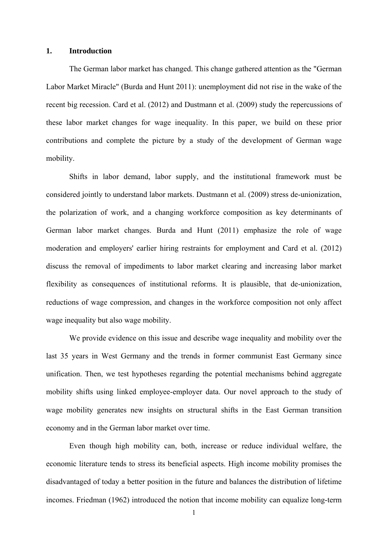## **1. Introduction**

The German labor market has changed. This change gathered attention as the "German Labor Market Miracle" (Burda and Hunt 2011): unemployment did not rise in the wake of the recent big recession. Card et al. (2012) and Dustmann et al. (2009) study the repercussions of these labor market changes for wage inequality. In this paper, we build on these prior contributions and complete the picture by a study of the development of German wage mobility.

Shifts in labor demand, labor supply, and the institutional framework must be considered jointly to understand labor markets. Dustmann et al. (2009) stress de-unionization, the polarization of work, and a changing workforce composition as key determinants of German labor market changes. Burda and Hunt (2011) emphasize the role of wage moderation and employers' earlier hiring restraints for employment and Card et al. (2012) discuss the removal of impediments to labor market clearing and increasing labor market flexibility as consequences of institutional reforms. It is plausible, that de-unionization, reductions of wage compression, and changes in the workforce composition not only affect wage inequality but also wage mobility.

We provide evidence on this issue and describe wage inequality and mobility over the last 35 years in West Germany and the trends in former communist East Germany since unification. Then, we test hypotheses regarding the potential mechanisms behind aggregate mobility shifts using linked employee-employer data. Our novel approach to the study of wage mobility generates new insights on structural shifts in the East German transition economy and in the German labor market over time.

Even though high mobility can, both, increase or reduce individual welfare, the economic literature tends to stress its beneficial aspects. High income mobility promises the disadvantaged of today a better position in the future and balances the distribution of lifetime incomes. Friedman (1962) introduced the notion that income mobility can equalize long-term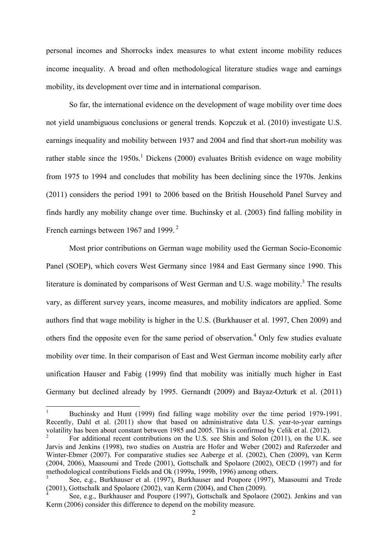personal incomes and Shorrocks index measures to what extent income mobility reduces income inequality. A broad and often methodological literature studies wage and earnings mobility, its development over time and in international comparison.

 So far, the international evidence on the development of wage mobility over time does not yield unambiguous conclusions or general trends. Kopczuk et al. (2010) investigate U.S. earnings inequality and mobility between 1937 and 2004 and find that short-run mobility was rather stable since the  $1950s$ .<sup>1</sup> Dickens (2000) evaluates British evidence on wage mobility from 1975 to 1994 and concludes that mobility has been declining since the 1970s. Jenkins (2011) considers the period 1991 to 2006 based on the British Household Panel Survey and finds hardly any mobility change over time. Buchinsky et al. (2003) find falling mobility in French earnings between 1967 and 1999.<sup>2</sup>

Most prior contributions on German wage mobility used the German Socio-Economic Panel (SOEP), which covers West Germany since 1984 and East Germany since 1990. This literature is dominated by comparisons of West German and U.S. wage mobility.<sup>3</sup> The results vary, as different survey years, income measures, and mobility indicators are applied. Some authors find that wage mobility is higher in the U.S. (Burkhauser et al. 1997, Chen 2009) and others find the opposite even for the same period of observation.<sup>4</sup> Only few studies evaluate mobility over time. In their comparison of East and West German income mobility early after unification Hauser and Fabig (1999) find that mobility was initially much higher in East Germany but declined already by 1995. Gernandt (2009) and Bayaz-Ozturk et al. (2011)

 $\frac{1}{1}$  Buchinsky and Hunt (1999) find falling wage mobility over the time period 1979-1991. Recently, Dahl et al. (2011) show that based on administrative data U.S. year-to-year earnings volatility has been about constant between 1985 and 2005. This is confirmed by Celik et al. (2012).

<sup>2</sup> For additional recent contributions on the U.S. see Shin and Solon (2011), on the U.K. see Jarvis and Jenkins (1998), two studies on Austria are Hofer and Weber (2002) and Raferzeder and Winter-Ebmer (2007). For comparative studies see Aaberge et al. (2002), Chen (2009), van Kerm (2004, 2006), Maasoumi and Trede (2001), Gottschalk and Spolaore (2002), OECD (1997) and for methodological contributions Fields and Ok (1999a, 1999b, 1996) among others.

<sup>3</sup> See, e.g., Burkhauser et al. (1997), Burkhauser and Poupore (1997), Maasoumi and Trede  $(2001)$ , Gottschalk and Spolaore (2002), van Kerm (2004), and Chen (2009).

See, e.g., Burkhauser and Poupore (1997), Gottschalk and Spolaore (2002). Jenkins and van Kerm (2006) consider this difference to depend on the mobility measure.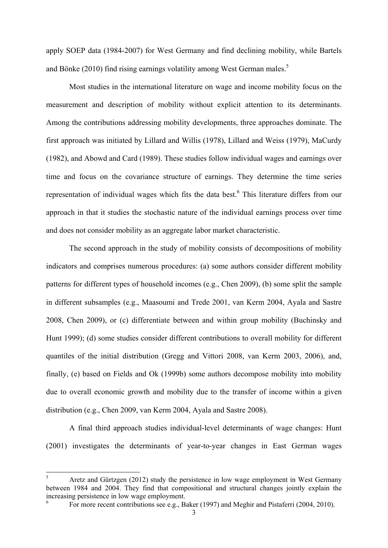apply SOEP data (1984-2007) for West Germany and find declining mobility, while Bartels and Bönke (2010) find rising earnings volatility among West German males.<sup>5</sup>

 Most studies in the international literature on wage and income mobility focus on the measurement and description of mobility without explicit attention to its determinants. Among the contributions addressing mobility developments, three approaches dominate. The first approach was initiated by Lillard and Willis (1978), Lillard and Weiss (1979), MaCurdy (1982), and Abowd and Card (1989). These studies follow individual wages and earnings over time and focus on the covariance structure of earnings. They determine the time series representation of individual wages which fits the data best.<sup>6</sup> This literature differs from our approach in that it studies the stochastic nature of the individual earnings process over time and does not consider mobility as an aggregate labor market characteristic.

The second approach in the study of mobility consists of decompositions of mobility indicators and comprises numerous procedures: (a) some authors consider different mobility patterns for different types of household incomes (e.g., Chen 2009), (b) some split the sample in different subsamples (e.g., Maasoumi and Trede 2001, van Kerm 2004, Ayala and Sastre 2008, Chen 2009), or (c) differentiate between and within group mobility (Buchinsky and Hunt 1999); (d) some studies consider different contributions to overall mobility for different quantiles of the initial distribution (Gregg and Vittori 2008, van Kerm 2003, 2006), and, finally, (e) based on Fields and Ok (1999b) some authors decompose mobility into mobility due to overall economic growth and mobility due to the transfer of income within a given distribution (e.g., Chen 2009, van Kerm 2004, Ayala and Sastre 2008).

 A final third approach studies individual-level determinants of wage changes: Hunt (2001) investigates the determinants of year-to-year changes in East German wages

 $\overline{a}$ 

<sup>5</sup> Aretz and Gürtzgen (2012) study the persistence in low wage employment in West Germany between 1984 and 2004. They find that compositional and structural changes jointly explain the increasing persistence in low wage employment. 6

For more recent contributions see e.g., Baker (1997) and Meghir and Pistaferri (2004, 2010).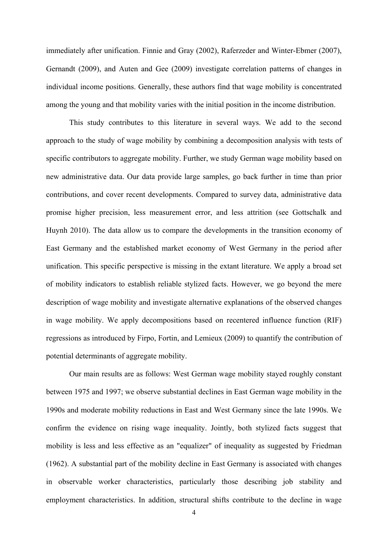immediately after unification. Finnie and Gray (2002), Raferzeder and Winter-Ebmer (2007), Gernandt (2009), and Auten and Gee (2009) investigate correlation patterns of changes in individual income positions. Generally, these authors find that wage mobility is concentrated among the young and that mobility varies with the initial position in the income distribution.

 This study contributes to this literature in several ways. We add to the second approach to the study of wage mobility by combining a decomposition analysis with tests of specific contributors to aggregate mobility. Further, we study German wage mobility based on new administrative data. Our data provide large samples, go back further in time than prior contributions, and cover recent developments. Compared to survey data, administrative data promise higher precision, less measurement error, and less attrition (see Gottschalk and Huynh 2010). The data allow us to compare the developments in the transition economy of East Germany and the established market economy of West Germany in the period after unification. This specific perspective is missing in the extant literature. We apply a broad set of mobility indicators to establish reliable stylized facts. However, we go beyond the mere description of wage mobility and investigate alternative explanations of the observed changes in wage mobility. We apply decompositions based on recentered influence function (RIF) regressions as introduced by Firpo, Fortin, and Lemieux (2009) to quantify the contribution of potential determinants of aggregate mobility.

Our main results are as follows: West German wage mobility stayed roughly constant between 1975 and 1997; we observe substantial declines in East German wage mobility in the 1990s and moderate mobility reductions in East and West Germany since the late 1990s. We confirm the evidence on rising wage inequality. Jointly, both stylized facts suggest that mobility is less and less effective as an "equalizer" of inequality as suggested by Friedman (1962). A substantial part of the mobility decline in East Germany is associated with changes in observable worker characteristics, particularly those describing job stability and employment characteristics. In addition, structural shifts contribute to the decline in wage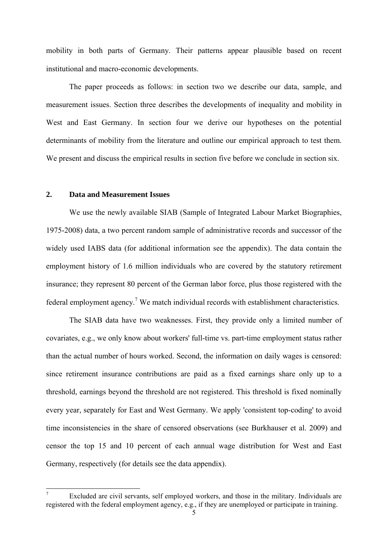mobility in both parts of Germany. Their patterns appear plausible based on recent institutional and macro-economic developments.

 The paper proceeds as follows: in section two we describe our data, sample, and measurement issues. Section three describes the developments of inequality and mobility in West and East Germany. In section four we derive our hypotheses on the potential determinants of mobility from the literature and outline our empirical approach to test them. We present and discuss the empirical results in section five before we conclude in section six.

# **2. Data and Measurement Issues**

-

We use the newly available SIAB (Sample of Integrated Labour Market Biographies, 1975-2008) data, a two percent random sample of administrative records and successor of the widely used IABS data (for additional information see the appendix). The data contain the employment history of 1.6 million individuals who are covered by the statutory retirement insurance; they represent 80 percent of the German labor force, plus those registered with the federal employment agency.<sup>7</sup> We match individual records with establishment characteristics.

 The SIAB data have two weaknesses. First, they provide only a limited number of covariates, e.g., we only know about workers' full-time vs. part-time employment status rather than the actual number of hours worked. Second, the information on daily wages is censored: since retirement insurance contributions are paid as a fixed earnings share only up to a threshold, earnings beyond the threshold are not registered. This threshold is fixed nominally every year, separately for East and West Germany. We apply 'consistent top-coding' to avoid time inconsistencies in the share of censored observations (see Burkhauser et al. 2009) and censor the top 15 and 10 percent of each annual wage distribution for West and East Germany, respectively (for details see the data appendix).

<sup>7</sup> Excluded are civil servants, self employed workers, and those in the military. Individuals are registered with the federal employment agency, e.g., if they are unemployed or participate in training.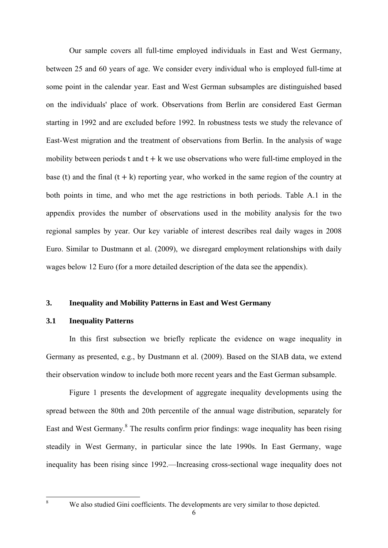Our sample covers all full-time employed individuals in East and West Germany, between 25 and 60 years of age. We consider every individual who is employed full-time at some point in the calendar year. East and West German subsamples are distinguished based on the individuals' place of work. Observations from Berlin are considered East German starting in 1992 and are excluded before 1992. In robustness tests we study the relevance of East-West migration and the treatment of observations from Berlin. In the analysis of wage mobility between periods t and  $t + k$  we use observations who were full-time employed in the base (t) and the final  $(t + k)$  reporting year, who worked in the same region of the country at both points in time, and who met the age restrictions in both periods. Table A.1 in the appendix provides the number of observations used in the mobility analysis for the two regional samples by year. Our key variable of interest describes real daily wages in 2008 Euro. Similar to Dustmann et al. (2009), we disregard employment relationships with daily wages below 12 Euro (for a more detailed description of the data see the appendix).

# **3. Inequality and Mobility Patterns in East and West Germany**

## **3.1 Inequality Patterns**

 In this first subsection we briefly replicate the evidence on wage inequality in Germany as presented, e.g., by Dustmann et al. (2009). Based on the SIAB data, we extend their observation window to include both more recent years and the East German subsample.

 Figure 1 presents the development of aggregate inequality developments using the spread between the 80th and 20th percentile of the annual wage distribution, separately for East and West Germany.<sup>8</sup> The results confirm prior findings: wage inequality has been rising steadily in West Germany, in particular since the late 1990s. In East Germany, wage inequality has been rising since 1992.—Increasing cross-sectional wage inequality does not

 $\frac{1}{8}$ 

We also studied Gini coefficients. The developments are very similar to those depicted.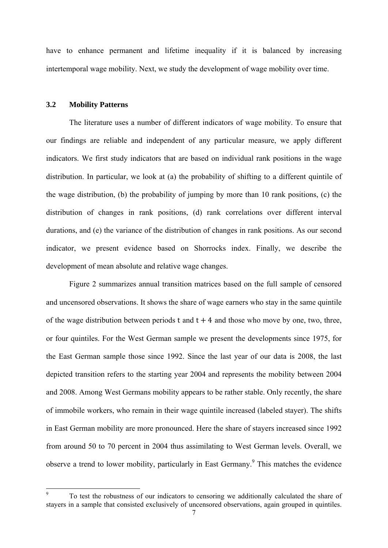have to enhance permanent and lifetime inequality if it is balanced by increasing intertemporal wage mobility. Next, we study the development of wage mobility over time.

# **3.2 Mobility Patterns**

1

 The literature uses a number of different indicators of wage mobility. To ensure that our findings are reliable and independent of any particular measure, we apply different indicators. We first study indicators that are based on individual rank positions in the wage distribution. In particular, we look at (a) the probability of shifting to a different quintile of the wage distribution, (b) the probability of jumping by more than 10 rank positions, (c) the distribution of changes in rank positions, (d) rank correlations over different interval durations, and (e) the variance of the distribution of changes in rank positions. As our second indicator, we present evidence based on Shorrocks index. Finally, we describe the development of mean absolute and relative wage changes.

 Figure 2 summarizes annual transition matrices based on the full sample of censored and uncensored observations. It shows the share of wage earners who stay in the same quintile of the wage distribution between periods t and  $t + 4$  and those who move by one, two, three, or four quintiles. For the West German sample we present the developments since 1975, for the East German sample those since 1992. Since the last year of our data is 2008, the last depicted transition refers to the starting year 2004 and represents the mobility between 2004 and 2008. Among West Germans mobility appears to be rather stable. Only recently, the share of immobile workers, who remain in their wage quintile increased (labeled stayer). The shifts in East German mobility are more pronounced. Here the share of stayers increased since 1992 from around 50 to 70 percent in 2004 thus assimilating to West German levels. Overall, we observe a trend to lower mobility, particularly in East Germany.<sup>9</sup> This matches the evidence

<sup>9</sup> To test the robustness of our indicators to censoring we additionally calculated the share of stayers in a sample that consisted exclusively of uncensored observations, again grouped in quintiles.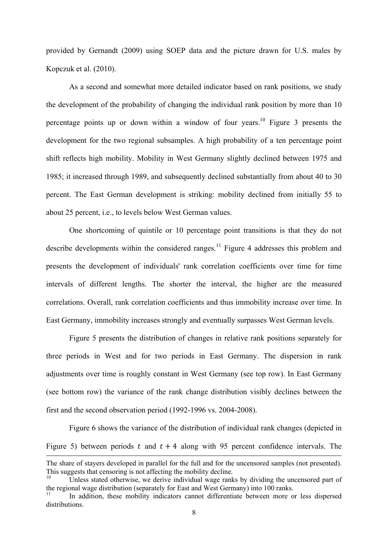provided by Gernandt (2009) using SOEP data and the picture drawn for U.S. males by Kopczuk et al. (2010).

 As a second and somewhat more detailed indicator based on rank positions, we study the development of the probability of changing the individual rank position by more than 10 percentage points up or down within a window of four years.<sup>10</sup> Figure 3 presents the development for the two regional subsamples. A high probability of a ten percentage point shift reflects high mobility. Mobility in West Germany slightly declined between 1975 and 1985; it increased through 1989, and subsequently declined substantially from about 40 to 30 percent. The East German development is striking: mobility declined from initially 55 to about 25 percent, i.e., to levels below West German values.

 One shortcoming of quintile or 10 percentage point transitions is that they do not describe developments within the considered ranges.<sup>11</sup> Figure 4 addresses this problem and presents the development of individuals' rank correlation coefficients over time for time intervals of different lengths. The shorter the interval, the higher are the measured correlations. Overall, rank correlation coefficients and thus immobility increase over time. In East Germany, immobility increases strongly and eventually surpasses West German levels.

Figure 5 presents the distribution of changes in relative rank positions separately for three periods in West and for two periods in East Germany. The dispersion in rank adjustments over time is roughly constant in West Germany (see top row). In East Germany (see bottom row) the variance of the rank change distribution visibly declines between the first and the second observation period (1992-1996 vs. 2004-2008).

Figure 6 shows the variance of the distribution of individual rank changes (depicted in Figure 5) between periods t and  $t + 4$  along with 95 percent confidence intervals. The

1

The share of stayers developed in parallel for the full and for the uncensored samples (not presented). This suggests that censoring is not affecting the mobility decline.

Unless stated otherwise, we derive individual wage ranks by dividing the uncensored part of the regional wage distribution (separately for East and West Germany) into 100 ranks.

In addition, these mobility indicators cannot differentiate between more or less dispersed distributions.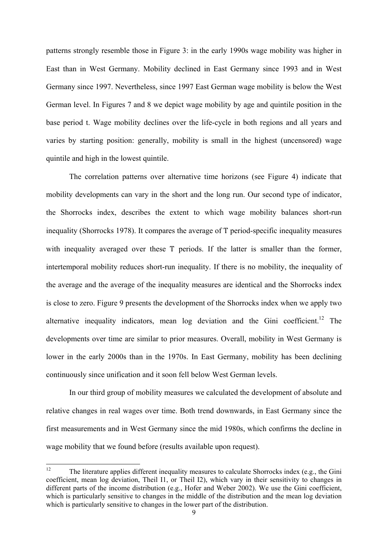patterns strongly resemble those in Figure 3: in the early 1990s wage mobility was higher in East than in West Germany. Mobility declined in East Germany since 1993 and in West Germany since 1997. Nevertheless, since 1997 East German wage mobility is below the West German level. In Figures 7 and 8 we depict wage mobility by age and quintile position in the base period t. Wage mobility declines over the life-cycle in both regions and all years and varies by starting position: generally, mobility is small in the highest (uncensored) wage quintile and high in the lowest quintile.

 The correlation patterns over alternative time horizons (see Figure 4) indicate that mobility developments can vary in the short and the long run. Our second type of indicator, the Shorrocks index, describes the extent to which wage mobility balances short-run inequality (Shorrocks 1978). It compares the average of T period-specific inequality measures with inequality averaged over these T periods. If the latter is smaller than the former, intertemporal mobility reduces short-run inequality. If there is no mobility, the inequality of the average and the average of the inequality measures are identical and the Shorrocks index is close to zero. Figure 9 presents the development of the Shorrocks index when we apply two alternative inequality indicators, mean  $log$  deviation and the Gini coefficient.<sup>12</sup> The developments over time are similar to prior measures. Overall, mobility in West Germany is lower in the early 2000s than in the 1970s. In East Germany, mobility has been declining continuously since unification and it soon fell below West German levels.

 In our third group of mobility measures we calculated the development of absolute and relative changes in real wages over time. Both trend downwards, in East Germany since the first measurements and in West Germany since the mid 1980s, which confirms the decline in wage mobility that we found before (results available upon request).

 $12<sup>°</sup>$ 12 The literature applies different inequality measures to calculate Shorrocks index (e.g., the Gini coefficient, mean log deviation, Theil I1, or Theil I2), which vary in their sensitivity to changes in different parts of the income distribution (e.g., Hofer and Weber 2002). We use the Gini coefficient, which is particularly sensitive to changes in the middle of the distribution and the mean log deviation which is particularly sensitive to changes in the lower part of the distribution.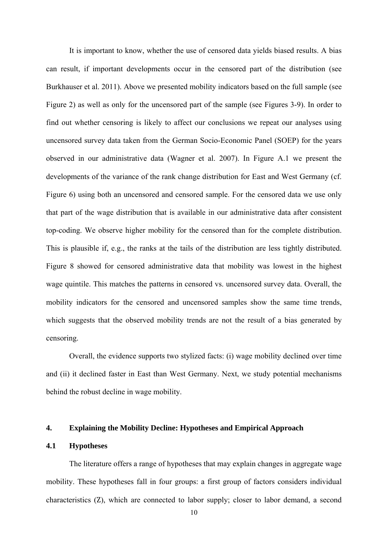It is important to know, whether the use of censored data yields biased results. A bias can result, if important developments occur in the censored part of the distribution (see Burkhauser et al. 2011). Above we presented mobility indicators based on the full sample (see Figure 2) as well as only for the uncensored part of the sample (see Figures 3-9). In order to find out whether censoring is likely to affect our conclusions we repeat our analyses using uncensored survey data taken from the German Socio-Economic Panel (SOEP) for the years observed in our administrative data (Wagner et al. 2007). In Figure A.1 we present the developments of the variance of the rank change distribution for East and West Germany (cf. Figure 6) using both an uncensored and censored sample. For the censored data we use only that part of the wage distribution that is available in our administrative data after consistent top-coding. We observe higher mobility for the censored than for the complete distribution. This is plausible if, e.g., the ranks at the tails of the distribution are less tightly distributed. Figure 8 showed for censored administrative data that mobility was lowest in the highest wage quintile. This matches the patterns in censored vs. uncensored survey data. Overall, the mobility indicators for the censored and uncensored samples show the same time trends, which suggests that the observed mobility trends are not the result of a bias generated by censoring.

Overall, the evidence supports two stylized facts: (i) wage mobility declined over time and (ii) it declined faster in East than West Germany. Next, we study potential mechanisms behind the robust decline in wage mobility.

## **4. Explaining the Mobility Decline: Hypotheses and Empirical Approach**

# **4.1 Hypotheses**

The literature offers a range of hypotheses that may explain changes in aggregate wage mobility. These hypotheses fall in four groups: a first group of factors considers individual characteristics (Z), which are connected to labor supply; closer to labor demand, a second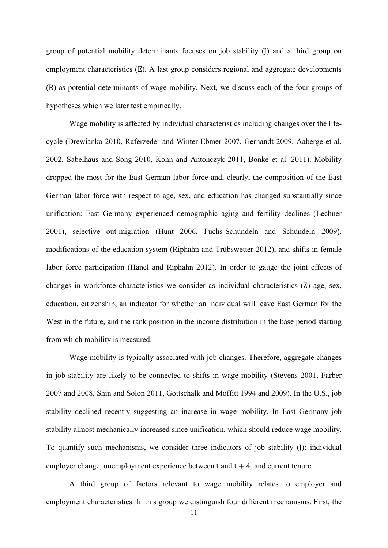group of potential mobility determinants focuses on job stability (J) and a third group on employment characteristics (E). A last group considers regional and aggregate developments (R) as potential determinants of wage mobility. Next, we discuss each of the four groups of hypotheses which we later test empirically.

 Wage mobility is affected by individual characteristics including changes over the lifecycle (Drewianka 2010, Raferzeder and Winter-Ebmer 2007, Gernandt 2009, Aaberge et al. 2002, Sabelhaus and Song 2010, Kohn and Antonczyk 2011, Bönke et al. 2011). Mobility dropped the most for the East German labor force and, clearly, the composition of the East German labor force with respect to age, sex, and education has changed substantially since unification: East Germany experienced demographic aging and fertility declines (Lechner 2001), selective out-migration (Hunt 2006, Fuchs-Schündeln and Schündeln 2009), modifications of the education system (Riphahn and Trübswetter 2012), and shifts in female labor force participation (Hanel and Riphahn 2012). In order to gauge the joint effects of changes in workforce characteristics we consider as individual characteristics (Z) age, sex, education, citizenship, an indicator for whether an individual will leave East German for the West in the future, and the rank position in the income distribution in the base period starting from which mobility is measured.

 Wage mobility is typically associated with job changes. Therefore, aggregate changes in job stability are likely to be connected to shifts in wage mobility (Stevens 2001, Farber 2007 and 2008, Shin and Solon 2011, Gottschalk and Moffitt 1994 and 2009). In the U.S., job stability declined recently suggesting an increase in wage mobility. In East Germany job stability almost mechanically increased since unification, which should reduce wage mobility. To quantify such mechanisms, we consider three indicators of job stability (J): individual employer change, unemployment experience between  $t$  and  $t + 4$ , and current tenure.

 A third group of factors relevant to wage mobility relates to employer and employment characteristics. In this group we distinguish four different mechanisms. First, the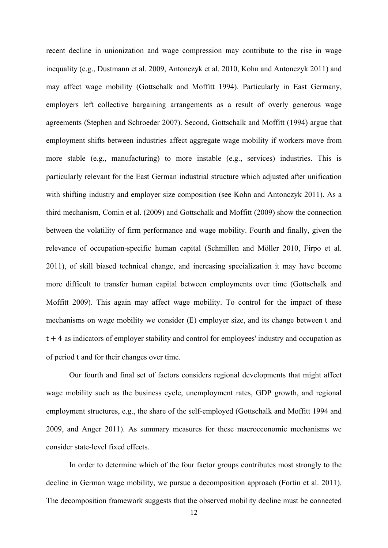recent decline in unionization and wage compression may contribute to the rise in wage inequality (e.g., Dustmann et al. 2009, Antonczyk et al. 2010, Kohn and Antonczyk 2011) and may affect wage mobility (Gottschalk and Moffitt 1994). Particularly in East Germany, employers left collective bargaining arrangements as a result of overly generous wage agreements (Stephen and Schroeder 2007). Second, Gottschalk and Moffitt (1994) argue that employment shifts between industries affect aggregate wage mobility if workers move from more stable (e.g., manufacturing) to more instable (e.g., services) industries. This is particularly relevant for the East German industrial structure which adjusted after unification with shifting industry and employer size composition (see Kohn and Antonczyk 2011). As a third mechanism, Comin et al. (2009) and Gottschalk and Moffitt (2009) show the connection between the volatility of firm performance and wage mobility. Fourth and finally, given the relevance of occupation-specific human capital (Schmillen and Möller 2010, Firpo et al. 2011), of skill biased technical change, and increasing specialization it may have become more difficult to transfer human capital between employments over time (Gottschalk and Moffitt 2009). This again may affect wage mobility. To control for the impact of these mechanisms on wage mobility we consider (E) employer size, and its change between t and  $t+4$  as indicators of employer stability and control for employees' industry and occupation as of period t and for their changes over time.

 Our fourth and final set of factors considers regional developments that might affect wage mobility such as the business cycle, unemployment rates, GDP growth, and regional employment structures, e.g., the share of the self-employed (Gottschalk and Moffitt 1994 and 2009, and Anger 2011). As summary measures for these macroeconomic mechanisms we consider state-level fixed effects.

 In order to determine which of the four factor groups contributes most strongly to the decline in German wage mobility, we pursue a decomposition approach (Fortin et al. 2011). The decomposition framework suggests that the observed mobility decline must be connected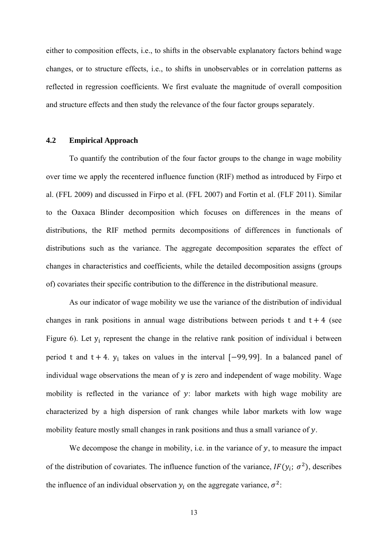either to composition effects, i.e., to shifts in the observable explanatory factors behind wage changes, or to structure effects, i.e., to shifts in unobservables or in correlation patterns as reflected in regression coefficients. We first evaluate the magnitude of overall composition and structure effects and then study the relevance of the four factor groups separately.

## **4.2 Empirical Approach**

 To quantify the contribution of the four factor groups to the change in wage mobility over time we apply the recentered influence function (RIF) method as introduced by Firpo et al. (FFL 2009) and discussed in Firpo et al. (FFL 2007) and Fortin et al. (FLF 2011). Similar to the Oaxaca Blinder decomposition which focuses on differences in the means of distributions, the RIF method permits decompositions of differences in functionals of distributions such as the variance. The aggregate decomposition separates the effect of changes in characteristics and coefficients, while the detailed decomposition assigns (groups of) covariates their specific contribution to the difference in the distributional measure.

As our indicator of wage mobility we use the variance of the distribution of individual changes in rank positions in annual wage distributions between periods t and  $t + 4$  (see Figure 6). Let  $y_i$  represent the change in the relative rank position of individual i between period t and  $t + 4$ .  $y_i$  takes on values in the interval  $[-99, 99]$ . In a balanced panel of individual wage observations the mean of y is zero and independent of wage mobility. Wage mobility is reflected in the variance of  $y$ : labor markets with high wage mobility are characterized by a high dispersion of rank changes while labor markets with low wage mobility feature mostly small changes in rank positions and thus a small variance of  $y$ .

We decompose the change in mobility, i.e. in the variance of  $y$ , to measure the impact of the distribution of covariates. The influence function of the variance,  $IF(y_i; \sigma^2)$ , describes the influence of an individual observation  $y_i$  on the aggregate variance,  $\sigma^2$ :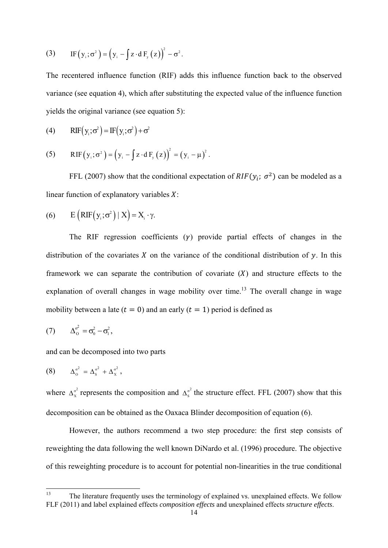(3) If 
$$
(y_i; \sigma^2) = (y_i - \int z \cdot dF_y(z))^2 - \sigma^2
$$
.

The recentered influence function (RIF) adds this influence function back to the observed variance (see equation 4), which after substituting the expected value of the influence function yields the original variance (see equation 5):

(4) 
$$
RIF(y_i; \sigma^2) = IF(y_i; \sigma^2) + \sigma^2
$$

(5) RIF
$$
(y_i; \sigma^2) = (y_i - \int z \cdot dF_y(z))^2 = (y_i - \mu)^2
$$
.

FFL (2007) show that the conditional expectation of  $RIF(y_i; \sigma^2)$  can be modeled as a linear function of explanatory variables  $X$ :

(6) 
$$
E(RIF(y_i; \sigma^2) | X) = X_i \cdot \gamma
$$
.

The RIF regression coefficients  $(\gamma)$  provide partial effects of changes in the distribution of the covariates X on the variance of the conditional distribution of  $\nu$ . In this framework we can separate the contribution of covariate  $(X)$  and structure effects to the explanation of overall changes in wage mobility over time.<sup>13</sup> The overall change in wage mobility between a late ( $t = 0$ ) and an early ( $t = 1$ ) period is defined as

$$
(7) \qquad \Delta_0^{\sigma^2} = \sigma_0^2 - \sigma_1^2,
$$

and can be decomposed into two parts

$$
(8) \qquad \Delta_0^{\sigma^2} = \Delta_s^{\sigma^2} + \Delta_x^{\sigma^2},
$$

where  $\Delta_x^{\sigma^2}$  represents the composition and  $\Delta_s^{\sigma^2}$  the structure effect. FFL (2007) show that this decomposition can be obtained as the Oaxaca Blinder decomposition of equation (6).

However, the authors recommend a two step procedure: the first step consists of reweighting the data following the well known DiNardo et al. (1996) procedure. The objective of this reweighting procedure is to account for potential non-linearities in the true conditional

<sup>13</sup> The literature frequently uses the terminology of explained vs. unexplained effects. We follow FLF (2011) and label explained effects *composition effects* and unexplained effects *structure effects*.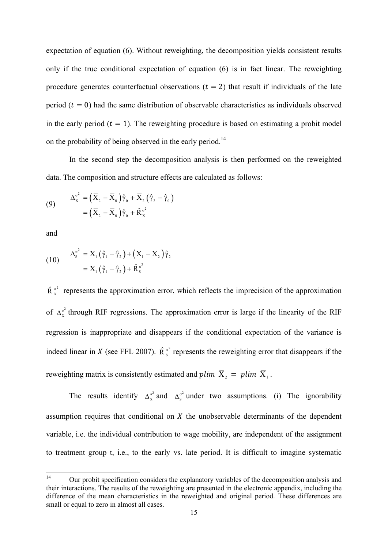expectation of equation (6). Without reweighting, the decomposition yields consistent results only if the true conditional expectation of equation (6) is in fact linear. The reweighting procedure generates counterfactual observations  $(t = 2)$  that result if individuals of the late period ( $t = 0$ ) had the same distribution of observable characteristics as individuals observed in the early period ( $t = 1$ ). The reweighting procedure is based on estimating a probit model on the probability of being observed in the early period.14

 In the second step the decomposition analysis is then performed on the reweighted data. The composition and structure effects are calculated as follows:

(9) 
$$
\Delta_{\mathbf{x}}^{\sigma^2} = (\overline{\mathbf{X}}_2 - \overline{\mathbf{X}}_0) \hat{\gamma}_0 + \overline{\mathbf{X}}_2 (\hat{\gamma}_2 - \hat{\gamma}_0)
$$

$$
= (\overline{\mathbf{X}}_2 - \overline{\mathbf{X}}_0) \hat{\gamma}_0 + \hat{\mathbf{R}}_{\mathbf{x}}^{\sigma^2}
$$

and

$$
(10) \qquad \Delta_{\mathbf{S}}^{\sigma^2} = \overline{\mathbf{X}}_1 (\hat{\gamma}_1 - \hat{\gamma}_2) + (\overline{\mathbf{X}}_1 - \overline{\mathbf{X}}_2) \hat{\gamma}_2
$$
\n
$$
= \overline{\mathbf{X}}_1 (\hat{\gamma}_1 - \hat{\gamma}_2) + \hat{\mathbf{R}}_{\mathbf{S}}^{\sigma^2}
$$

 $\hat{R}_{x}^{\sigma^2}$  represents the approximation error, which reflects the imprecision of the approximation of  $\Delta_x^{\sigma^2}$  through RIF regressions. The approximation error is large if the linearity of the RIF regression is inappropriate and disappears if the conditional expectation of the variance is indeed linear in X (see FFL 2007).  $\hat{R}^{\sigma^2}$  represents the reweighting error that disappears if the reweighting matrix is consistently estimated and plim  $\overline{X}_1$ ,  $\overline{X}_2$  = plim  $\overline{X}_1$ .

The results identify  $\Delta_x^{\sigma^2}$  and  $\Delta_s^{\sigma^2}$  under two assumptions. (i) The ignorability assumption requires that conditional on  $X$  the unobservable determinants of the dependent variable, i.e. the individual contribution to wage mobility, are independent of the assignment to treatment group t, i.e., to the early vs. late period. It is difficult to imagine systematic

 $14$ <sup>14</sup> Our probit specification considers the explanatory variables of the decomposition analysis and their interactions. The results of the reweighting are presented in the electronic appendix, including the difference of the mean characteristics in the reweighted and original period. These differences are small or equal to zero in almost all cases.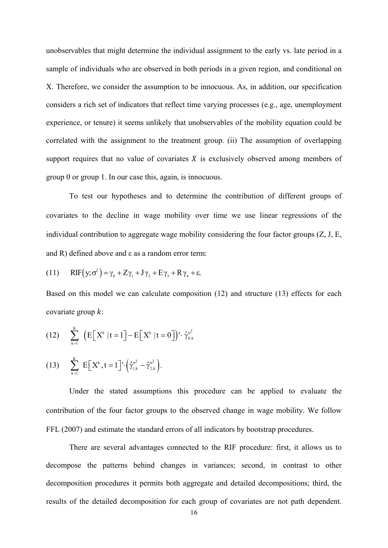unobservables that might determine the individual assignment to the early vs. late period in a sample of individuals who are observed in both periods in a given region, and conditional on X. Therefore, we consider the assumption to be innocuous. As, in addition, our specification considers a rich set of indicators that reflect time varying processes (e.g., age, unemployment experience, or tenure) it seems unlikely that unobservables of the mobility equation could be correlated with the assignment to the treatment group. (ii) The assumption of overlapping support requires that no value of covariates  $X$  is exclusively observed among members of group 0 or group 1. In our case this, again, is innocuous.

To test our hypotheses and to determine the contribution of different groups of covariates to the decline in wage mobility over time we use linear regressions of the individual contribution to aggregate wage mobility considering the four factor groups (Z, J, E, and R) defined above and ε as a random error term:

(11) 
$$
RIF(y; \sigma^2) = \gamma_0 + Z\gamma_1 + J\gamma_2 + E\gamma_3 + R\gamma_4 + \varepsilon.
$$

Based on this model we can calculate composition (12) and structure (13) effects for each covariate group  $k$ :

(12) 
$$
\sum_{k=1}^{K} \left( E\left[X^{k} | t=1\right] - E\left[X^{k} | t=0\right] \right) \cdot \hat{\gamma}_{0,k}^{\sigma^2}
$$

(13) 
$$
\sum_{k=1}^{K} E[X^{k}, t = 1] \cdot (\hat{\gamma}_{1,k}^{\sigma^2} - \hat{\gamma}_{2,k}^{\sigma^2}).
$$

Under the stated assumptions this procedure can be applied to evaluate the contribution of the four factor groups to the observed change in wage mobility. We follow FFL (2007) and estimate the standard errors of all indicators by bootstrap procedures.

There are several advantages connected to the RIF procedure: first, it allows us to decompose the patterns behind changes in variances; second, in contrast to other decomposition procedures it permits both aggregate and detailed decompositions; third, the results of the detailed decomposition for each group of covariates are not path dependent.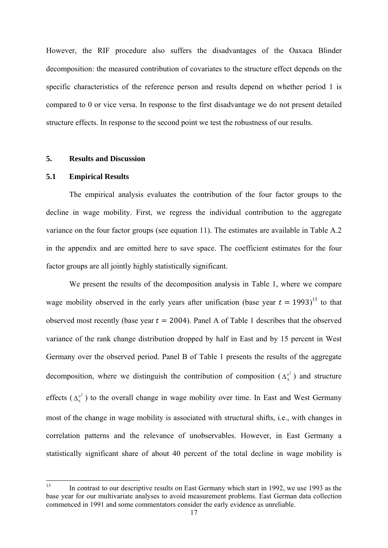However, the RIF procedure also suffers the disadvantages of the Oaxaca Blinder decomposition: the measured contribution of covariates to the structure effect depends on the specific characteristics of the reference person and results depend on whether period 1 is compared to 0 or vice versa. In response to the first disadvantage we do not present detailed structure effects. In response to the second point we test the robustness of our results.

# **5. Results and Discussion**

#### **5.1 Empirical Results**

The empirical analysis evaluates the contribution of the four factor groups to the decline in wage mobility. First, we regress the individual contribution to the aggregate variance on the four factor groups (see equation 11). The estimates are available in Table A.2 in the appendix and are omitted here to save space. The coefficient estimates for the four factor groups are all jointly highly statistically significant.

We present the results of the decomposition analysis in Table 1, where we compare wage mobility observed in the early years after unification (base year  $t = 1993$ )<sup>15</sup> to that observed most recently (base year  $t = 2004$ ). Panel A of Table 1 describes that the observed variance of the rank change distribution dropped by half in East and by 15 percent in West Germany over the observed period. Panel B of Table 1 presents the results of the aggregate decomposition, where we distinguish the contribution of composition  $(\Delta_{x}^{\sigma^2})$  and structure effects  $(\Delta_s^{\sigma^2})$  to the overall change in wage mobility over time. In East and West Germany most of the change in wage mobility is associated with structural shifts, i.e., with changes in correlation patterns and the relevance of unobservables. However, in East Germany a statistically significant share of about 40 percent of the total decline in wage mobility is

<sup>15</sup> 15 In contrast to our descriptive results on East Germany which start in 1992, we use 1993 as the base year for our multivariate analyses to avoid measurement problems. East German data collection commenced in 1991 and some commentators consider the early evidence as unreliable.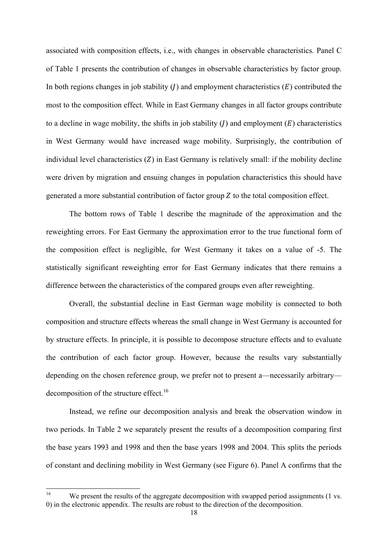associated with composition effects, i.e., with changes in observable characteristics. Panel C of Table 1 presents the contribution of changes in observable characteristics by factor group. In both regions changes in job stability ( $I$ ) and employment characteristics  $(E)$  contributed the most to the composition effect. While in East Germany changes in all factor groups contribute to a decline in wage mobility, the shifts in job stability  $(J)$  and employment  $(E)$  characteristics in West Germany would have increased wage mobility. Surprisingly, the contribution of individual level characteristics  $(Z)$  in East Germany is relatively small: if the mobility decline were driven by migration and ensuing changes in population characteristics this should have generated a more substantial contribution of factor group  $Z$  to the total composition effect.

 The bottom rows of Table 1 describe the magnitude of the approximation and the reweighting errors. For East Germany the approximation error to the true functional form of the composition effect is negligible, for West Germany it takes on a value of -5. The statistically significant reweighting error for East Germany indicates that there remains a difference between the characteristics of the compared groups even after reweighting.

 Overall, the substantial decline in East German wage mobility is connected to both composition and structure effects whereas the small change in West Germany is accounted for by structure effects. In principle, it is possible to decompose structure effects and to evaluate the contribution of each factor group. However, because the results vary substantially depending on the chosen reference group, we prefer not to present a—necessarily arbitrary decomposition of the structure effect.<sup>16</sup>

 Instead, we refine our decomposition analysis and break the observation window in two periods. In Table 2 we separately present the results of a decomposition comparing first the base years 1993 and 1998 and then the base years 1998 and 2004. This splits the periods of constant and declining mobility in West Germany (see Figure 6). Panel A confirms that the

1

We present the results of the aggregate decomposition with swapped period assignments (1 vs.) 0) in the electronic appendix. The results are robust to the direction of the decomposition.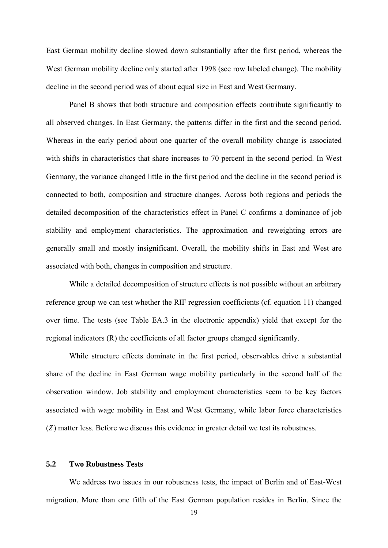East German mobility decline slowed down substantially after the first period, whereas the West German mobility decline only started after 1998 (see row labeled change). The mobility decline in the second period was of about equal size in East and West Germany.

Panel B shows that both structure and composition effects contribute significantly to all observed changes. In East Germany, the patterns differ in the first and the second period. Whereas in the early period about one quarter of the overall mobility change is associated with shifts in characteristics that share increases to 70 percent in the second period. In West Germany, the variance changed little in the first period and the decline in the second period is connected to both, composition and structure changes. Across both regions and periods the detailed decomposition of the characteristics effect in Panel C confirms a dominance of job stability and employment characteristics. The approximation and reweighting errors are generally small and mostly insignificant. Overall, the mobility shifts in East and West are associated with both, changes in composition and structure.

 While a detailed decomposition of structure effects is not possible without an arbitrary reference group we can test whether the RIF regression coefficients (cf. equation 11) changed over time. The tests (see Table EA.3 in the electronic appendix) yield that except for the regional indicators (R) the coefficients of all factor groups changed significantly.

 While structure effects dominate in the first period, observables drive a substantial share of the decline in East German wage mobility particularly in the second half of the observation window. Job stability and employment characteristics seem to be key factors associated with wage mobility in East and West Germany, while labor force characteristics  $(Z)$  matter less. Before we discuss this evidence in greater detail we test its robustness.

#### **5.2 Two Robustness Tests**

 We address two issues in our robustness tests, the impact of Berlin and of East-West migration. More than one fifth of the East German population resides in Berlin. Since the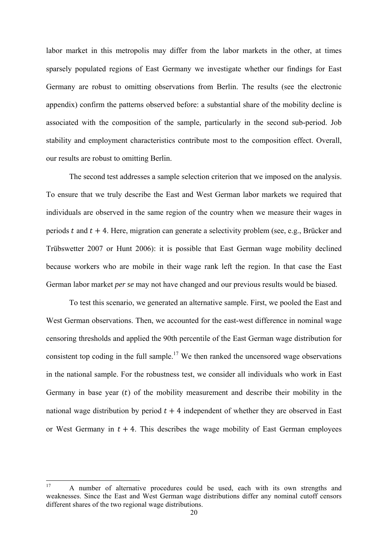labor market in this metropolis may differ from the labor markets in the other, at times sparsely populated regions of East Germany we investigate whether our findings for East Germany are robust to omitting observations from Berlin. The results (see the electronic appendix) confirm the patterns observed before: a substantial share of the mobility decline is associated with the composition of the sample, particularly in the second sub-period. Job stability and employment characteristics contribute most to the composition effect. Overall, our results are robust to omitting Berlin.

 The second test addresses a sample selection criterion that we imposed on the analysis. To ensure that we truly describe the East and West German labor markets we required that individuals are observed in the same region of the country when we measure their wages in periods t and  $t + 4$ . Here, migration can generate a selectivity problem (see, e.g., Brücker and Trübswetter 2007 or Hunt 2006): it is possible that East German wage mobility declined because workers who are mobile in their wage rank left the region. In that case the East German labor market *per se* may not have changed and our previous results would be biased.

To test this scenario, we generated an alternative sample. First, we pooled the East and West German observations. Then, we accounted for the east-west difference in nominal wage censoring thresholds and applied the 90th percentile of the East German wage distribution for consistent top coding in the full sample.<sup>17</sup> We then ranked the uncensored wage observations in the national sample. For the robustness test, we consider all individuals who work in East Germany in base year  $(t)$  of the mobility measurement and describe their mobility in the national wage distribution by period  $t + 4$  independent of whether they are observed in East or West Germany in  $t + 4$ . This describes the wage mobility of East German employees

 $17$ 17 A number of alternative procedures could be used, each with its own strengths and weaknesses. Since the East and West German wage distributions differ any nominal cutoff censors different shares of the two regional wage distributions.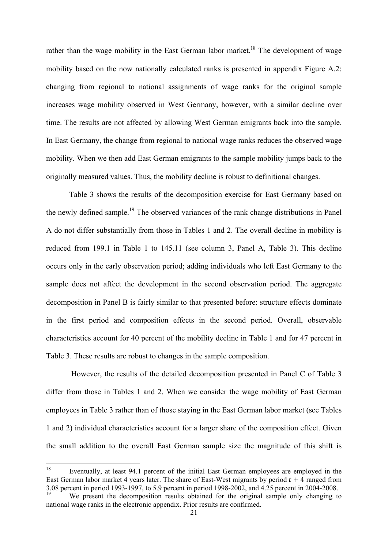rather than the wage mobility in the East German labor market.<sup>18</sup> The development of wage mobility based on the now nationally calculated ranks is presented in appendix Figure A.2: changing from regional to national assignments of wage ranks for the original sample increases wage mobility observed in West Germany, however, with a similar decline over time. The results are not affected by allowing West German emigrants back into the sample. In East Germany, the change from regional to national wage ranks reduces the observed wage mobility. When we then add East German emigrants to the sample mobility jumps back to the originally measured values. Thus, the mobility decline is robust to definitional changes.

Table 3 shows the results of the decomposition exercise for East Germany based on the newly defined sample.19 The observed variances of the rank change distributions in Panel A do not differ substantially from those in Tables 1 and 2. The overall decline in mobility is reduced from 199.1 in Table 1 to 145.11 (see column 3, Panel A, Table 3). This decline occurs only in the early observation period; adding individuals who left East Germany to the sample does not affect the development in the second observation period. The aggregate decomposition in Panel B is fairly similar to that presented before: structure effects dominate in the first period and composition effects in the second period. Overall, observable characteristics account for 40 percent of the mobility decline in Table 1 and for 47 percent in Table 3. These results are robust to changes in the sample composition.

 However, the results of the detailed decomposition presented in Panel C of Table 3 differ from those in Tables 1 and 2. When we consider the wage mobility of East German employees in Table 3 rather than of those staying in the East German labor market (see Tables 1 and 2) individual characteristics account for a larger share of the composition effect. Given the small addition to the overall East German sample size the magnitude of this shift is

<sup>18</sup> Eventually, at least 94.1 percent of the initial East German employees are employed in the East German labor market 4 years later. The share of East-West migrants by period  $t + 4$  ranged from 3.08 percent in period 1993-1997, to 5.9 percent in period 1998-2002, and 4.25 percent in 2004-2008.

We present the decomposition results obtained for the original sample only changing to national wage ranks in the electronic appendix. Prior results are confirmed.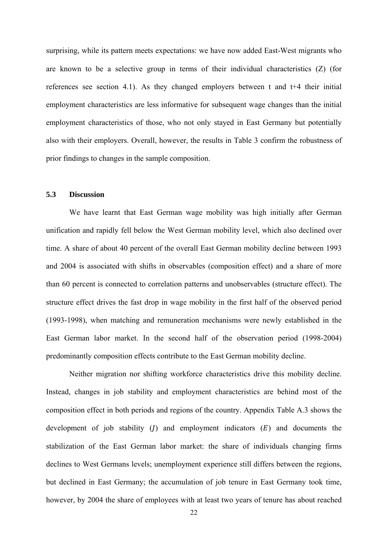surprising, while its pattern meets expectations: we have now added East-West migrants who are known to be a selective group in terms of their individual characteristics (Z) (for references see section 4.1). As they changed employers between t and t+4 their initial employment characteristics are less informative for subsequent wage changes than the initial employment characteristics of those, who not only stayed in East Germany but potentially also with their employers. Overall, however, the results in Table 3 confirm the robustness of prior findings to changes in the sample composition.

# **5.3 Discussion**

 We have learnt that East German wage mobility was high initially after German unification and rapidly fell below the West German mobility level, which also declined over time. A share of about 40 percent of the overall East German mobility decline between 1993 and 2004 is associated with shifts in observables (composition effect) and a share of more than 60 percent is connected to correlation patterns and unobservables (structure effect). The structure effect drives the fast drop in wage mobility in the first half of the observed period (1993-1998), when matching and remuneration mechanisms were newly established in the East German labor market. In the second half of the observation period (1998-2004) predominantly composition effects contribute to the East German mobility decline.

Neither migration nor shifting workforce characteristics drive this mobility decline. Instead, changes in job stability and employment characteristics are behind most of the composition effect in both periods and regions of the country. Appendix Table A.3 shows the development of job stability  $(I)$  and employment indicators  $(E)$  and documents the stabilization of the East German labor market: the share of individuals changing firms declines to West Germans levels; unemployment experience still differs between the regions, but declined in East Germany; the accumulation of job tenure in East Germany took time, however, by 2004 the share of employees with at least two years of tenure has about reached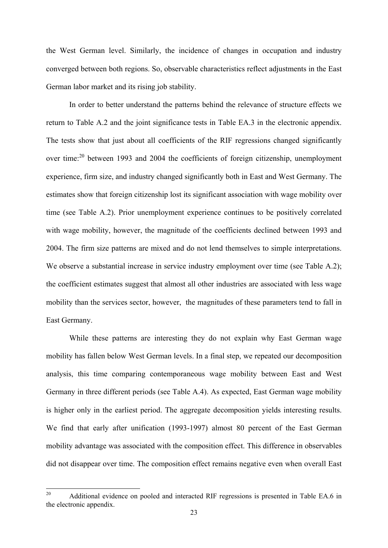the West German level. Similarly, the incidence of changes in occupation and industry converged between both regions. So, observable characteristics reflect adjustments in the East German labor market and its rising job stability.

In order to better understand the patterns behind the relevance of structure effects we return to Table A.2 and the joint significance tests in Table EA.3 in the electronic appendix. The tests show that just about all coefficients of the RIF regressions changed significantly over time:<sup>20</sup> between 1993 and 2004 the coefficients of foreign citizenship, unemployment experience, firm size, and industry changed significantly both in East and West Germany. The estimates show that foreign citizenship lost its significant association with wage mobility over time (see Table A.2). Prior unemployment experience continues to be positively correlated with wage mobility, however, the magnitude of the coefficients declined between 1993 and 2004. The firm size patterns are mixed and do not lend themselves to simple interpretations. We observe a substantial increase in service industry employment over time (see Table A.2); the coefficient estimates suggest that almost all other industries are associated with less wage mobility than the services sector, however, the magnitudes of these parameters tend to fall in East Germany.

While these patterns are interesting they do not explain why East German wage mobility has fallen below West German levels. In a final step, we repeated our decomposition analysis, this time comparing contemporaneous wage mobility between East and West Germany in three different periods (see Table A.4). As expected, East German wage mobility is higher only in the earliest period. The aggregate decomposition yields interesting results. We find that early after unification (1993-1997) almost 80 percent of the East German mobility advantage was associated with the composition effect. This difference in observables did not disappear over time. The composition effect remains negative even when overall East

<sup>20</sup> Additional evidence on pooled and interacted RIF regressions is presented in Table EA.6 in the electronic appendix.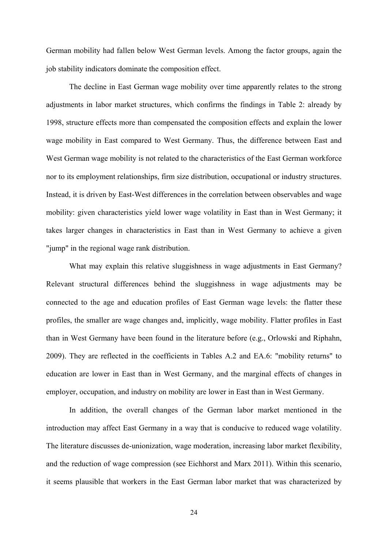German mobility had fallen below West German levels. Among the factor groups, again the job stability indicators dominate the composition effect.

The decline in East German wage mobility over time apparently relates to the strong adjustments in labor market structures, which confirms the findings in Table 2: already by 1998, structure effects more than compensated the composition effects and explain the lower wage mobility in East compared to West Germany. Thus, the difference between East and West German wage mobility is not related to the characteristics of the East German workforce nor to its employment relationships, firm size distribution, occupational or industry structures. Instead, it is driven by East-West differences in the correlation between observables and wage mobility: given characteristics yield lower wage volatility in East than in West Germany; it takes larger changes in characteristics in East than in West Germany to achieve a given "jump" in the regional wage rank distribution.

What may explain this relative sluggishness in wage adjustments in East Germany? Relevant structural differences behind the sluggishness in wage adjustments may be connected to the age and education profiles of East German wage levels: the flatter these profiles, the smaller are wage changes and, implicitly, wage mobility. Flatter profiles in East than in West Germany have been found in the literature before (e.g., Orlowski and Riphahn, 2009). They are reflected in the coefficients in Tables A.2 and EA.6: "mobility returns" to education are lower in East than in West Germany, and the marginal effects of changes in employer, occupation, and industry on mobility are lower in East than in West Germany.

In addition, the overall changes of the German labor market mentioned in the introduction may affect East Germany in a way that is conducive to reduced wage volatility. The literature discusses de-unionization, wage moderation, increasing labor market flexibility, and the reduction of wage compression (see Eichhorst and Marx 2011). Within this scenario, it seems plausible that workers in the East German labor market that was characterized by

24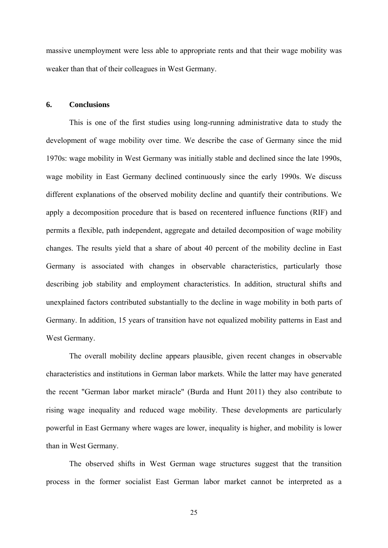massive unemployment were less able to appropriate rents and that their wage mobility was weaker than that of their colleagues in West Germany.

## **6. Conclusions**

 This is one of the first studies using long-running administrative data to study the development of wage mobility over time. We describe the case of Germany since the mid 1970s: wage mobility in West Germany was initially stable and declined since the late 1990s, wage mobility in East Germany declined continuously since the early 1990s. We discuss different explanations of the observed mobility decline and quantify their contributions. We apply a decomposition procedure that is based on recentered influence functions (RIF) and permits a flexible, path independent, aggregate and detailed decomposition of wage mobility changes. The results yield that a share of about 40 percent of the mobility decline in East Germany is associated with changes in observable characteristics, particularly those describing job stability and employment characteristics. In addition, structural shifts and unexplained factors contributed substantially to the decline in wage mobility in both parts of Germany. In addition, 15 years of transition have not equalized mobility patterns in East and West Germany.

 The overall mobility decline appears plausible, given recent changes in observable characteristics and institutions in German labor markets. While the latter may have generated the recent "German labor market miracle" (Burda and Hunt 2011) they also contribute to rising wage inequality and reduced wage mobility. These developments are particularly powerful in East Germany where wages are lower, inequality is higher, and mobility is lower than in West Germany.

 The observed shifts in West German wage structures suggest that the transition process in the former socialist East German labor market cannot be interpreted as a

25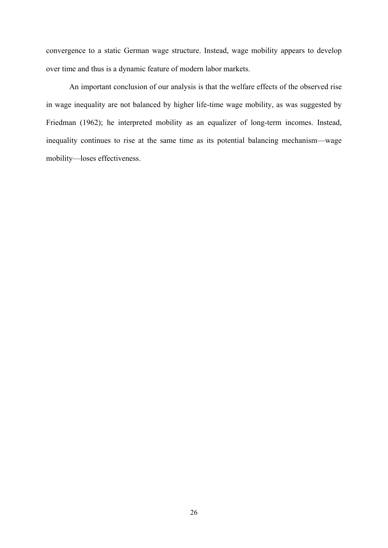convergence to a static German wage structure. Instead, wage mobility appears to develop over time and thus is a dynamic feature of modern labor markets.

An important conclusion of our analysis is that the welfare effects of the observed rise in wage inequality are not balanced by higher life-time wage mobility, as was suggested by Friedman (1962); he interpreted mobility as an equalizer of long-term incomes. Instead, inequality continues to rise at the same time as its potential balancing mechanism—wage mobility—loses effectiveness.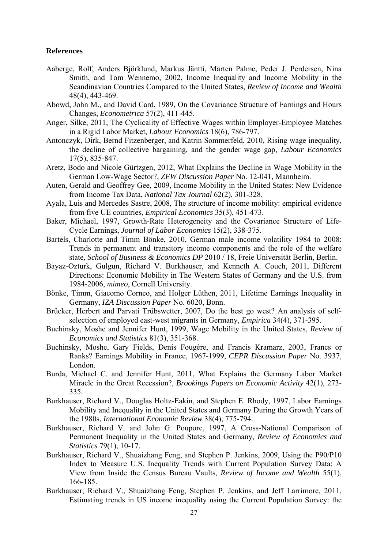#### **References**

- Aaberge, Rolf, Anders Björklund, Markus Jäntti, Mårten Palme, Peder J. Perdersen, Nina Smith, and Tom Wennemo, 2002, Income Inequality and Income Mobility in the Scandinavian Countries Compared to the United States, *Review of Income and Wealth* 48(4), 443-469.
- Abowd, John M., and David Card, 1989, On the Covariance Structure of Earnings and Hours Changes, *Econometrica* 57(2), 411-445.
- Anger, Silke, 2011, The Cyclicality of Effective Wages within Employer-Employee Matches in a Rigid Labor Market, *Labour Economics* 18(6), 786-797.
- Antonczyk, Dirk, Bernd Fitzenberger, and Katrin Sommerfeld, 2010, Rising wage inequality, the decline of collective bargaining, and the gender wage gap, *Labour Economics* 17(5), 835-847.
- Aretz, Bodo and Nicole Gürtzgen, 2012, What Explains the Decline in Wage Mobility in the German Low-Wage Sector?, *ZEW Discussion Paper* No. 12-041, Mannheim.
- Auten, Gerald and Geoffrey Gee, 2009, Income Mobility in the United States: New Evidence from Income Tax Data, *National Tax Journal* 62(2), 301-328.
- Ayala, Luis and Mercedes Sastre, 2008, The structure of income mobility: empirical evidence from five UE countries, *Empirical Economics* 35(3), 451-473.
- Baker, Michael, 1997, Growth-Rate Heterogeneity and the Covariance Structure of Life-Cycle Earnings, *Journal of Labor Economics* 15(2), 338-375.
- Bartels, Charlotte and Timm Bönke, 2010, German male income volatility 1984 to 2008: Trends in permanent and transitory income components and the role of the welfare state, *School of Business & Economics DP* 2010 / 18, Freie Universität Berlin, Berlin.
- Bayaz-Ozturk, Gulgun, Richard V. Burkhauser, and Kenneth A. Couch, 2011, Different Directions: Economic Mobility in The Western States of Germany and the U.S. from 1984-2006, *mimeo*, Cornell University.
- Bönke, Timm, Giacomo Corneo, and Holger Lüthen, 2011, Lifetime Earnings Inequality in Germany, *IZA Discussion Paper* No. 6020, Bonn.
- Brücker, Herbert and Parvati Trübswetter, 2007, Do the best go west? An analysis of selfselection of employed east-west migrants in Germany, *Empirica* 34(4), 371-395.
- Buchinsky, Moshe and Jennifer Hunt, 1999, Wage Mobility in the United States, *Review of Economics and Statistics* 81(3), 351-368.
- Buchinsky, Moshe, Gary Fields, Denis Fougère, and Francis Kramarz, 2003, Francs or Ranks? Earnings Mobility in France, 1967-1999, *CEPR Discussion Paper* No. 3937, London.
- Burda, Michael C. and Jennifer Hunt, 2011, What Explains the Germany Labor Market Miracle in the Great Recession?, *Brookings Papers on Economic Activity* 42(1), 273- 335.
- Burkhauser, Richard V., Douglas Holtz-Eakin, and Stephen E. Rhody, 1997, Labor Earnings Mobility and Inequality in the United States and Germany During the Growth Years of the 1980s, *International Economic Review* 38(4), 775-794.
- Burkhauser, Richard V. and John G. Poupore, 1997, A Cross-National Comparison of Permanent Inequality in the United States and Germany, *Review of Economics and Statistics* 79(1), 10-17.
- Burkhauser, Richard V., Shuaizhang Feng, and Stephen P. Jenkins, 2009, Using the P90/P10 Index to Measure U.S. Inequality Trends with Current Population Survey Data: A View from Inside the Census Bureau Vaults, *Review of Income and Wealth* 55(1), 166-185.
- Burkhauser, Richard V., Shuaizhang Feng, Stephen P. Jenkins, and Jeff Larrimore, 2011, Estimating trends in US income inequality using the Current Population Survey: the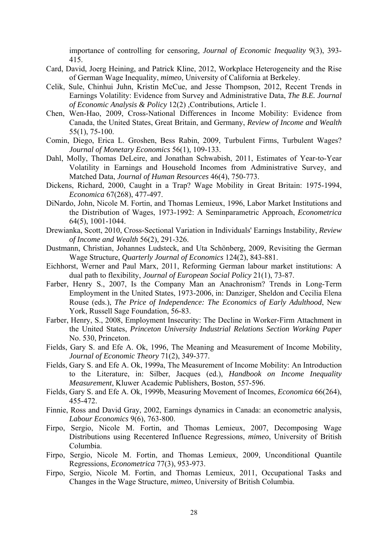importance of controlling for censoring, *Journal of Economic Inequality* 9(3), 393- 415.

- Card, David, Joerg Heining, and Patrick Kline, 2012, Workplace Heterogeneity and the Rise of German Wage Inequality, *mimeo*, University of California at Berkeley.
- Celik, Sule, Chinhui Juhn, Kristin McCue, and Jesse Thompson, 2012, Recent Trends in Earnings Volatility: Evidence from Survey and Administrative Data, *The B.E. Journal of Economic Analysis & Policy* 12(2) ,Contributions, Article 1.
- Chen, Wen-Hao, 2009, Cross-National Differences in Income Mobility: Evidence from Canada, the United States, Great Britain, and Germany, *Review of Income and Wealth* 55(1), 75-100.
- Comin, Diego, Erica L. Groshen, Bess Rabin, 2009, Turbulent Firms, Turbulent Wages? *Journal of Monetary Economics* 56(1), 109-133.
- Dahl, Molly, Thomas DeLeire, and Jonathan Schwabish, 2011, Estimates of Year-to-Year Volatility in Earnings and Household Incomes from Administrative Survey, and Matched Data, *Journal of Human Resources* 46(4), 750-773.
- Dickens, Richard, 2000, Caught in a Trap? Wage Mobility in Great Britain: 1975-1994, *Economica* 67(268), 477-497.
- DiNardo, John, Nicole M. Fortin, and Thomas Lemieux, 1996, Labor Market Institutions and the Distribution of Wages, 1973-1992: A Seminparametric Approach, *Econometrica* 64(5), 1001-1044.
- Drewianka, Scott, 2010, Cross-Sectional Variation in Individuals' Earnings Instability, *Review of Income and Wealth* 56(2), 291-326.
- Dustmann, Christian, Johannes Ludsteck, and Uta Schönberg, 2009, Revisiting the German Wage Structure, *Quarterly Journal of Economics* 124(2), 843-881.
- Eichhorst, Werner and Paul Marx, 2011, Reforming German labour market institutions: A dual path to flexibility, *Journal of European Social Policy* 21(1), 73-87.
- Farber, Henry S., 2007, Is the Company Man an Anachronism? Trends in Long-Term Employment in the United States, 1973-2006, in: Danziger, Sheldon and Cecilia Elena Rouse (eds.), *The Price of Independence: The Economics of Early Adulthood*, New York, Russell Sage Foundation, 56-83.
- Farber, Henry, S., 2008, Employment Insecurity: The Decline in Worker-Firm Attachment in the United States, *Princeton University Industrial Relations Section Working Paper* No. 530, Princeton.
- Fields, Gary S. and Efe A. Ok, 1996, The Meaning and Measurement of Income Mobility, *Journal of Economic Theory* 71(2), 349-377.
- Fields, Gary S. and Efe A. Ok, 1999a, The Measurement of Income Mobility: An Introduction to the Literature, in: Silber, Jacques (ed.), *Handbook on Income Inequality Measurement*, Kluwer Academic Publishers, Boston, 557-596.
- Fields, Gary S. and Efe A. Ok, 1999b, Measuring Movement of Incomes, *Economica* 66(264), 455-472.
- Finnie, Ross and David Gray, 2002, Earnings dynamics in Canada: an econometric analysis, *Labour Economics* 9(6), 763-800.
- Firpo, Sergio, Nicole M. Fortin, and Thomas Lemieux, 2007, Decomposing Wage Distributions using Recentered Influence Regressions, *mimeo*, University of British Columbia.
- Firpo, Sergio, Nicole M. Fortin, and Thomas Lemieux, 2009, Unconditional Quantile Regressions, *Econometrica* 77(3), 953-973.
- Firpo, Sergio, Nicole M. Fortin, and Thomas Lemieux, 2011, Occupational Tasks and Changes in the Wage Structure, *mimeo*, University of British Columbia.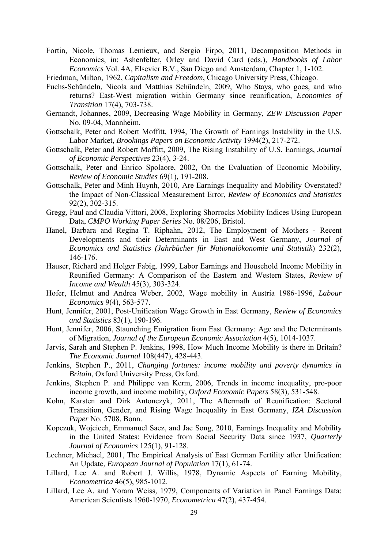Fortin, Nicole, Thomas Lemieux, and Sergio Firpo, 2011, Decomposition Methods in Economics, in: Ashenfelter, Orley and David Card (eds.), *Handbooks of Labor Economics* Vol. 4A, Elsevier B.V., San Diego and Amsterdam, Chapter 1, 1-102.

Friedman, Milton, 1962, *Capitalism and Freedom*, Chicago University Press, Chicago.

- Fuchs-Schündeln, Nicola and Matthias Schündeln, 2009, Who Stays, who goes, and who returns? East-West migration within Germany since reunification, *Economics of Transition* 17(4), 703-738.
- Gernandt, Johannes, 2009, Decreasing Wage Mobility in Germany, *ZEW Discussion Paper* No. 09-04, Mannheim.
- Gottschalk, Peter and Robert Moffitt, 1994, The Growth of Earnings Instability in the U.S. Labor Market, *Brookings Papers on Economic Activity* 1994(2), 217-272.
- Gottschalk, Peter and Robert Moffitt, 2009, The Rising Instability of U.S. Earnings, *Journal of Economic Perspectives* 23(4), 3-24.
- Gottschalk, Peter and Enrico Spolaore, 2002, On the Evaluation of Economic Mobility, *Review of Economic Studies* 69(1), 191-208.
- Gottschalk, Peter and Minh Huynh, 2010, Are Earnings Inequality and Mobility Overstated? the Impact of Non-Classical Measurement Error, *Review of Economics and Statistics* 92(2), 302-315.
- Gregg, Paul and Claudia Vittori, 2008, Exploring Shorrocks Mobility Indices Using European Data, *CMPO Working Paper Series* No. 08/206, Bristol.
- Hanel, Barbara and Regina T. Riphahn, 2012, The Employment of Mothers Recent Developments and their Determinants in East and West Germany, *Journal of Economics and Statistics (Jahrbücher für Nationalökonomie und Statistik*) 232(2), 146-176.
- Hauser, Richard and Holger Fabig, 1999, Labor Earnings and Household Income Mobility in Reunified Germany: A Comparison of the Eastern and Western States, *Review of Income and Wealth* 45(3), 303-324.
- Hofer, Helmut and Andrea Weber, 2002, Wage mobility in Austria 1986-1996, *Labour Economics* 9(4), 563-577.
- Hunt, Jennifer, 2001, Post-Unification Wage Growth in East Germany, *Review of Economics and Statistics* 83(1), 190-196.
- Hunt, Jennifer, 2006, Staunching Emigration from East Germany: Age and the Determinants of Migration, *Journal of the European Economic Association* 4(5), 1014-1037.
- Jarvis, Sarah and Stephen P. Jenkins, 1998, How Much Income Mobility is there in Britain? *The Economic Journal* 108(447), 428-443.
- Jenkins, Stephen P., 2011, *Changing fortunes: income mobility and poverty dynamics in Britain*, Oxford University Press, Oxford.
- Jenkins, Stephen P. and Philippe van Kerm, 2006, Trends in income inequality, pro-poor income growth, and income mobility, *Oxford Economic Papers* 58(3), 531-548.
- Kohn, Karsten and Dirk Antonczyk, 2011, The Aftermath of Reunification: Sectoral Transition, Gender, and Rising Wage Inequality in East Germany, *IZA Discussion Paper* No. 5708, Bonn.
- Kopczuk, Wojciech, Emmanuel Saez, and Jae Song, 2010, Earnings Inequality and Mobility in the United States: Evidence from Social Security Data since 1937, *Quarterly Journal of Economics* 125(1), 91-128.
- Lechner, Michael, 2001, The Empirical Analysis of East German Fertility after Unification: An Update, *European Journal of Population* 17(1), 61-74.
- Lillard, Lee A. and Robert J. Willis, 1978, Dynamic Aspects of Earning Mobility, *Econometrica* 46(5), 985-1012.
- Lillard, Lee A. and Yoram Weiss, 1979, Components of Variation in Panel Earnings Data: American Scientists 1960-1970, *Econometrica* 47(2), 437-454.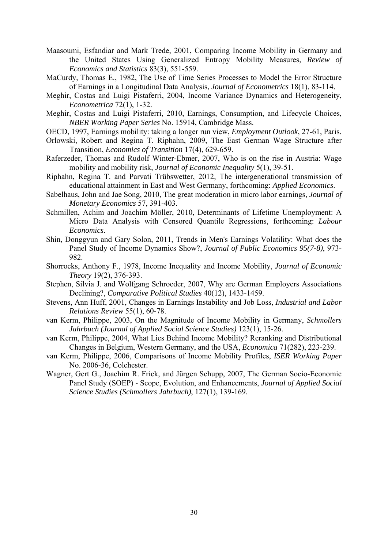- Maasoumi, Esfandiar and Mark Trede, 2001, Comparing Income Mobility in Germany and the United States Using Generalized Entropy Mobility Measures, *Review of Economics and Statistics* 83(3), 551-559.
- MaCurdy, Thomas E., 1982, The Use of Time Series Processes to Model the Error Structure of Earnings in a Longitudinal Data Analysis, *Journal of Econometrics* 18(1), 83-114.
- Meghir, Costas and Luigi Pistaferri, 2004, Income Variance Dynamics and Heterogeneity, *Econometrica* 72(1), 1-32.
- Meghir, Costas and Luigi Pistaferri, 2010, Earnings, Consumption, and Lifecycle Choices, *NBER Working Paper Series* No. 15914, Cambridge Mass.
- OECD, 1997, Earnings mobility: taking a longer run view, *Employment Outlook*, 27-61, Paris.
- Orlowski, Robert and Regina T. Riphahn, 2009, The East German Wage Structure after Transition, *Economics of Transition* 17(4), 629-659.
- Raferzeder, Thomas and Rudolf Winter-Ebmer, 2007, Who is on the rise in Austria: Wage mobility and mobility risk, *Journal of Economic Inequality* 5(1), 39-51.
- Riphahn, Regina T. and Parvati Trübswetter, 2012, The intergenerational transmission of educational attainment in East and West Germany, forthcoming: *Applied Economics*.
- Sabelhaus, John and Jae Song, 2010, The great moderation in micro labor earnings, *Journal of Monetary Economics* 57, 391-403.
- Schmillen, Achim and Joachim Möller, 2010, Determinants of Lifetime Unemployment: A Micro Data Analysis with Censored Quantile Regressions, forthcoming: *Labour Economics*.
- Shin, Donggyun and Gary Solon, 2011, Trends in Men's Earnings Volatility: What does the Panel Study of Income Dynamics Show?, *Journal of Public Economics 95(7-8)*, 973- 982.
- Shorrocks, Anthony F., 1978, Income Inequality and Income Mobility, *Journal of Economic Theory* 19(2), 376-393.
- Stephen, Silvia J. and Wolfgang Schroeder, 2007, Why are German Employers Associations Declining?, *Comparative Political Studies* 40(12), 1433-1459.
- Stevens, Ann Huff, 2001, Changes in Earnings Instability and Job Loss, *Industrial and Labor Relations Review* 55(1), 60-78.
- van Kerm, Philippe, 2003, On the Magnitude of Income Mobility in Germany, *Schmollers Jahrbuch (Journal of Applied Social Science Studies)* 123(1), 15-26.
- van Kerm, Philippe, 2004, What Lies Behind Income Mobility? Reranking and Distributional Changes in Belgium, Western Germany, and the USA, *Economica* 71(282), 223-239.
- van Kerm, Philippe, 2006, Comparisons of Income Mobility Profiles, *ISER Working Paper* No. 2006-36, Colchester.
- Wagner, Gert G., Joachim R. Frick, and Jürgen Schupp, 2007, The German Socio-Economic Panel Study (SOEP) - Scope, Evolution, and Enhancements, *Journal of Applied Social Science Studies (Schmollers Jahrbuch)*, 127(1), 139-169.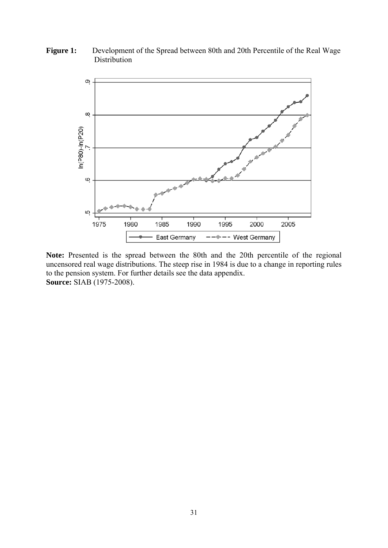Figure 1: Development of the Spread between 80th and 20th Percentile of the Real Wage Distribution



Note: Presented is the spread between the 80th and the 20th percentile of the regional uncensored real wage distributions. The steep rise in 1984 is due to a change in reporting rules to the pension system. For further details see the data appendix. **Source:** SIAB (1975-2008).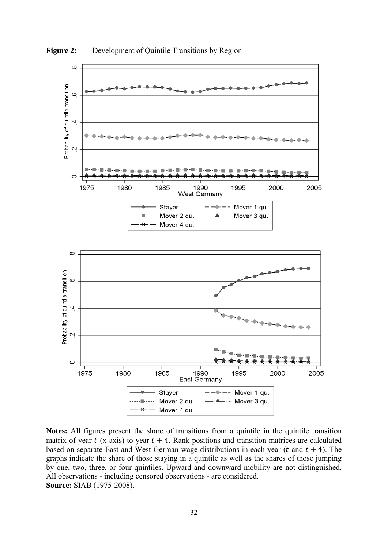

**Figure 2:** Development of Quintile Transitions by Region

**Notes:** All figures present the share of transitions from a quintile in the quintile transition matrix of year  $t$  (x-axis) to year  $t + 4$ . Rank positions and transition matrices are calculated based on separate East and West German wage distributions in each year ( $t$  and  $t + 4$ ). The graphs indicate the share of those staying in a quintile as well as the shares of those jumping by one, two, three, or four quintiles. Upward and downward mobility are not distinguished. All observations - including censored observations - are considered. **Source:** SIAB (1975-2008).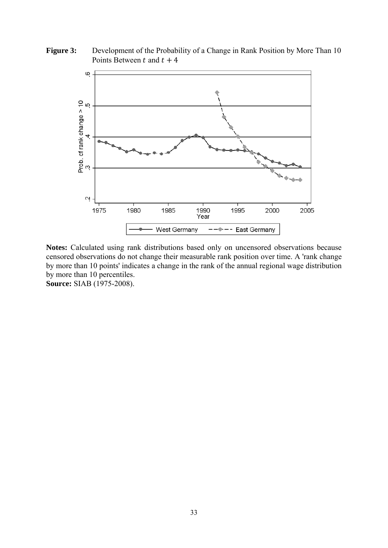**Figure 3:** Development of the Probability of a Change in Rank Position by More Than 10 Points Between  $t$  and  $t + 4$ 



**Notes:** Calculated using rank distributions based only on uncensored observations because censored observations do not change their measurable rank position over time. A 'rank change by more than 10 points' indicates a change in the rank of the annual regional wage distribution by more than 10 percentiles. **Source:** SIAB (1975-2008).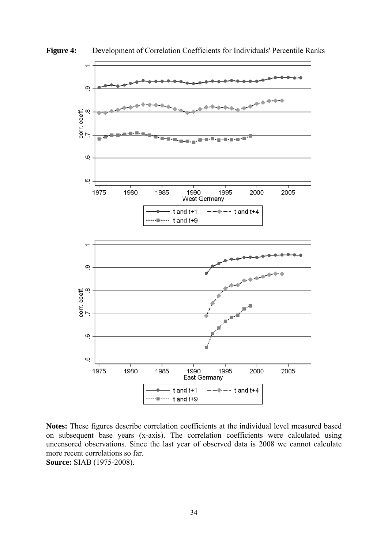

**Figure 4:** Development of Correlation Coefficients for Individuals' Percentile Ranks

**Notes:** These figures describe correlation coefficients at the individual level measured based on subsequent base years (x-axis). The correlation coefficients were calculated using uncensored observations. Since the last year of observed data is 2008 we cannot calculate more recent correlations so far. **Source:** SIAB (1975-2008).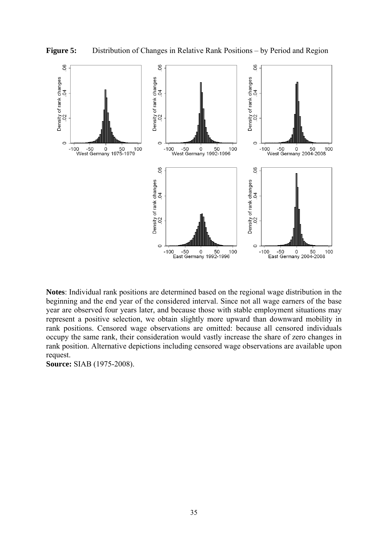

**Notes**: Individual rank positions are determined based on the regional wage distribution in the beginning and the end year of the considered interval. Since not all wage earners of the base year are observed four years later, and because those with stable employment situations may represent a positive selection, we obtain slightly more upward than downward mobility in rank positions. Censored wage observations are omitted: because all censored individuals occupy the same rank, their consideration would vastly increase the share of zero changes in rank position. Alternative depictions including censored wage observations are available upon request.

**Source:** SIAB (1975-2008).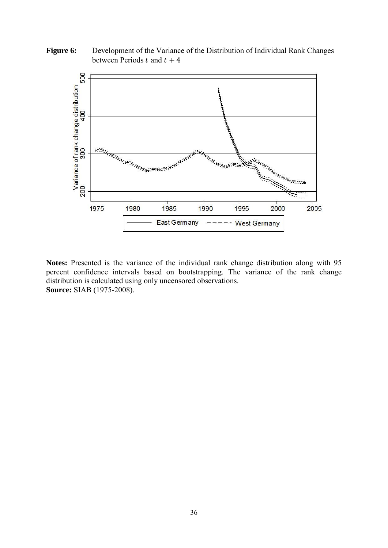Figure 6: Development of the Variance of the Distribution of Individual Rank Changes between Periods  $t$  and  $t + 4$ 



**Notes:** Presented is the variance of the individual rank change distribution along with 95 percent confidence intervals based on bootstrapping. The variance of the rank change distribution is calculated using only uncensored observations. **Source:** SIAB (1975-2008).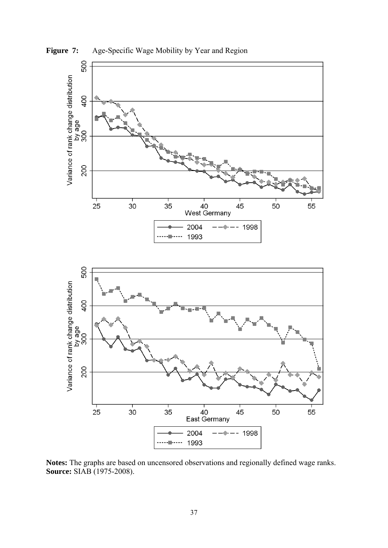

Figure 7: Age-Specific Wage Mobility by Year and Region

**Notes:** The graphs are based on uncensored observations and regionally defined wage ranks. **Source:** SIAB (1975-2008).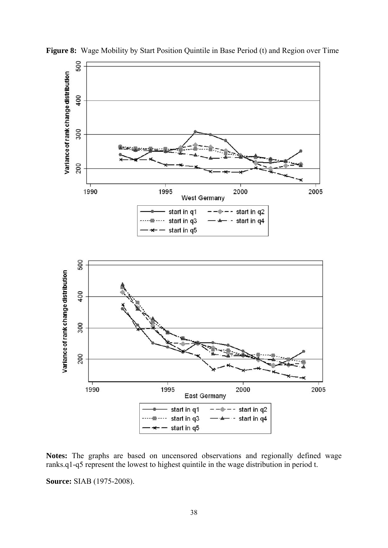

**Figure 8:** Wage Mobility by Start Position Quintile in Base Period (t) and Region over Time

**Notes:** The graphs are based on uncensored observations and regionally defined wage ranks.q1-q5 represent the lowest to highest quintile in the wage distribution in period t.

**Source:** SIAB (1975-2008).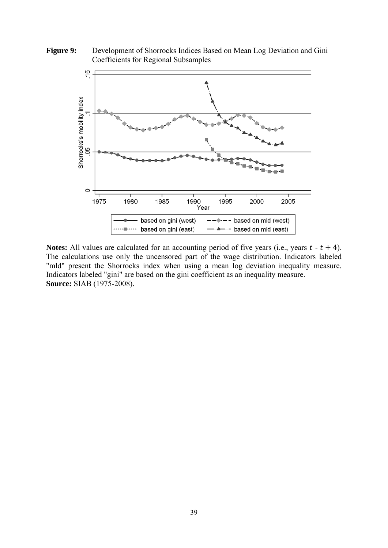**Figure 9:** Development of Shorrocks Indices Based on Mean Log Deviation and Gini Coefficients for Regional Subsamples



**Notes:** All values are calculated for an accounting period of five years (i.e., years  $t - t + 4$ ). The calculations use only the uncensored part of the wage distribution. Indicators labeled "mld" present the Shorrocks index when using a mean log deviation inequality measure. Indicators labeled "gini" are based on the gini coefficient as an inequality measure. **Source:** SIAB (1975-2008).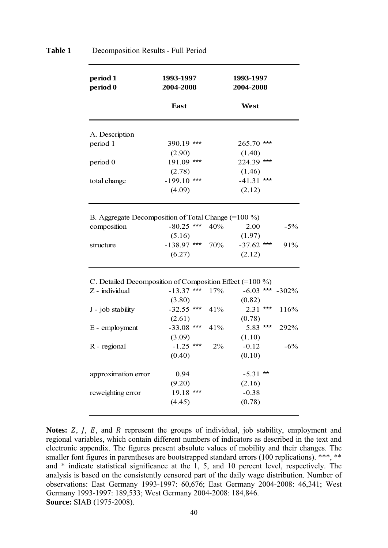| period 1<br>period 0                                     | 1993-1997<br>2004-2008 |       | 1993-1997<br>2004-2008 |    |                      |
|----------------------------------------------------------|------------------------|-------|------------------------|----|----------------------|
|                                                          | East                   |       | West                   |    |                      |
| A. Description                                           |                        |       |                        |    |                      |
| period 1                                                 | 390.19 ***             |       | 265.70 ***             |    |                      |
|                                                          | (2.90)                 |       | (1.40)                 |    |                      |
| period 0                                                 | $191.09$ ***           |       | 224.39 ***             |    |                      |
|                                                          | (2.78)                 |       | (1.46)                 |    |                      |
| total change                                             | $-199.10$ ***          |       | $-41.31$ ***           |    |                      |
|                                                          | (4.09)                 |       | (2.12)                 |    |                      |
|                                                          |                        |       |                        |    |                      |
| B. Aggregate Decomposition of Total Change $(=100\%)$    |                        |       |                        |    |                      |
| composition                                              | $-80.25$ ***           | 40%   | 2.00                   |    | $-5%$                |
|                                                          | (5.16)                 |       | (1.97)                 |    |                      |
| structure                                                | $-138.97$ ***          | 70%   | $-37.62$ ***           |    | 91%                  |
|                                                          | (6.27)                 |       | (2.12)                 |    |                      |
| C. Detailed Decomposition of Composition Effect (=100 %) |                        |       |                        |    |                      |
| Z - individual                                           | $-13.37$ ***           | 17%   |                        |    | $-6.03$ *** $-302\%$ |
|                                                          | (3.80)                 |       | (0.82)                 |    |                      |
| J - job stability                                        | $-32.55$ ***           | 41%   | $2.31$ ***             |    | 116%                 |
|                                                          | (2.61)                 |       | (0.78)                 |    |                      |
| E - employment                                           | $-33.08$ ***           | 41%   | $5.83$ ***             |    | 292%                 |
|                                                          | (3.09)                 |       | (1.10)                 |    |                      |
| R - regional                                             | $-1.25$ ***            | $2\%$ | $-0.12$                |    | $-6%$                |
|                                                          | (0.40)                 |       | (0.10)                 |    |                      |
| approximation error                                      | 0.94                   |       | $-5.31$                | ** |                      |
|                                                          | (9.20)                 |       | (2.16)                 |    |                      |
| reweighting error                                        | $19.18$ ***            |       | $-0.38$                |    |                      |
|                                                          | (4.45)                 |       | (0.78)                 |    |                      |

# **Table 1** Decomposition Results - Full Period

**Notes:** Z, J, E, and R represent the groups of individual, job stability, employment and regional variables, which contain different numbers of indicators as described in the text and electronic appendix. The figures present absolute values of mobility and their changes. The smaller font figures in parentheses are bootstrapped standard errors (100 replications). \*\*\*, \*\* and \* indicate statistical significance at the 1, 5, and 10 percent level, respectively. The analysis is based on the consistently censored part of the daily wage distribution. Number of observations: East Germany 1993-1997: 60,676; East Germany 2004-2008: 46,341; West Germany 1993-1997: 189,533; West Germany 2004-2008: 184,846. **Source:** SIAB (1975-2008).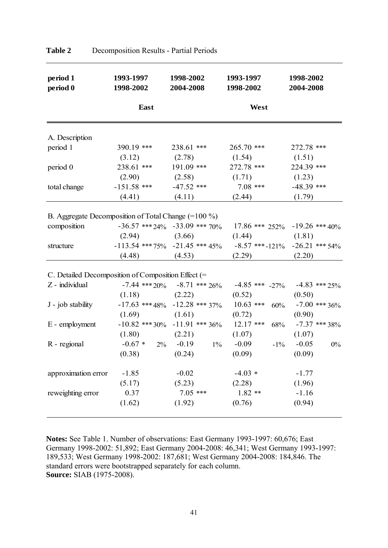| period 1<br>period 0                                | 1993-1997<br>1998-2002 | 1998-2002<br>2004-2008            | 1993-1997<br>1998-2002                                                   | 1998-2002<br>2004-2008 |
|-----------------------------------------------------|------------------------|-----------------------------------|--------------------------------------------------------------------------|------------------------|
|                                                     | East                   |                                   | West                                                                     |                        |
| A. Description                                      |                        |                                   |                                                                          |                        |
| period 1                                            | 390.19 ***             | 238.61 ***                        | $265.70$ ***                                                             | 272.78 ***             |
|                                                     | (3.12)                 | (2.78)                            | (1.54)                                                                   | (1.51)                 |
| period 0                                            | 238.61 ***             | 191.09 ***                        | 272.78 ***                                                               | 224.39 ***             |
|                                                     | (2.90)                 | (2.58)                            | (1.71)                                                                   | (1.23)                 |
| total change                                        | $-151.58$ ***          | $-47.52$ ***                      | $7.08$ ***                                                               | $-48.39$ ***           |
|                                                     | (4.41)                 | (4.11)                            | (2.44)                                                                   | (1.79)                 |
|                                                     |                        |                                   |                                                                          |                        |
| B. Aggregate Decomposition of Total Change (=100 %) |                        |                                   |                                                                          |                        |
| composition                                         |                        |                                   | $-36.57$ *** 24% $-33.09$ *** 70% $17.86$ *** 252% $-19.26$ *** 40%      |                        |
|                                                     | $(2.94)$ $(3.66)$      |                                   | (1.44)                                                                   | (1.81)                 |
| structure                                           |                        |                                   | $-113.54$ *** 75% $-21.45$ *** 45% $-8.57$ *** $-121\%$ $-26.21$ *** 54% |                        |
|                                                     | $(4.48)$ $(4.53)$      |                                   | (2.29)                                                                   | (2.20)                 |
| C. Detailed Decomposition of Composition Effect (=  |                        |                                   |                                                                          |                        |
| Z - individual                                      |                        |                                   | $-7.44$ *** 20% $-8.71$ *** 26% $-4.85$ *** $-27\%$ $-4.83$ *** 25%      |                        |
|                                                     | $(1.18)$ $(2.22)$      |                                   | (0.52)                                                                   | (0.50)                 |
| J - job stability                                   |                        | $-17.63$ *** 48% $-12.28$ *** 37% | $10.63$ *** $60\%$                                                       | $-7.00$ *** 36%        |
|                                                     | (1.69)                 | (1.61)                            | (0.72)                                                                   | (0.90)                 |
| E - employment                                      |                        |                                   | $-10.82$ *** 30% $-11.91$ *** 36% $12.17$ *** 68% $-7.37$ *** 38%        |                        |
|                                                     | $(1.80)$ $(2.21)$      |                                   | (1.07)                                                                   | (1.07)                 |
| R - regional                                        |                        | $-0.67 * 2\% -0.19$ 1%            | $-0.09$<br>$-1\%$                                                        | $-0.05$<br>$0\%$       |
|                                                     | (0.38)                 | (0.24)                            | (0.09)                                                                   | (0.09)                 |
| approximation error                                 | $-1.85$                | $-0.02$                           | $-4.03*$                                                                 | $-1.77$                |
|                                                     | (5.17)                 | (5.23)                            | (2.28)                                                                   | (1.96)                 |
| reweighting error                                   | 0.37                   | $7.05$ ***                        | $1.82**$                                                                 | $-1.16$                |
|                                                     | (1.62)                 | (1.92)                            | (0.76)                                                                   | (0.94)                 |
|                                                     |                        |                                   |                                                                          |                        |

**Table 2** Decomposition Results - Partial Periods

**Notes:** See Table 1. Number of observations: East Germany 1993-1997: 60,676; East Germany 1998-2002: 51,892; East Germany 2004-2008: 46,341; West Germany 1993-1997: 189,533; West Germany 1998-2002: 187,681; West Germany 2004-2008: 184,846. The standard errors were bootstrapped separately for each column. **Source:** SIAB (1975-2008).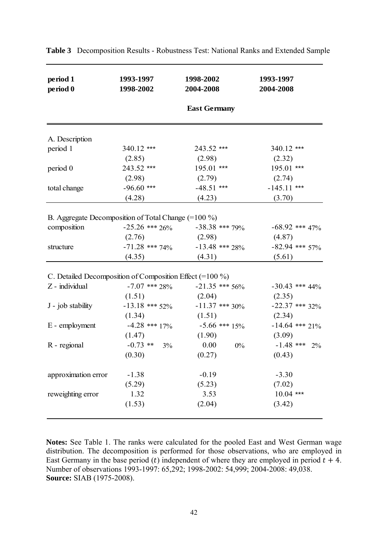| period 1<br>period 0                                       | 1993-1997<br>1998-2002 | 1998-2002<br>2004-2008 | 1993-1997<br>2004-2008 |
|------------------------------------------------------------|------------------------|------------------------|------------------------|
|                                                            |                        | <b>East Germany</b>    |                        |
| A. Description                                             |                        |                        |                        |
| period 1                                                   | 340.12 ***             | 243.52 ***             | 340.12 ***             |
|                                                            | (2.85)                 | (2.98)                 | (2.32)                 |
| period 0                                                   | $243.52$ ***           | $195.01$ ***           | 195.01 ***             |
|                                                            | (2.98)                 | (2.79)                 | (2.74)                 |
| total change                                               | $-96.60$ ***           | $-48.51$ ***           | $-145.11$ ***          |
|                                                            | (4.28)                 | (4.23)                 | (3.70)                 |
|                                                            |                        |                        |                        |
| B. Aggregate Decomposition of Total Change $(=100\%)$      |                        |                        |                        |
| composition                                                | $-25.26$ *** $26\%$    | $-38.38$ *** 79%       | $-68.92$ *** $47\%$    |
|                                                            | (2.76)                 | (2.98)                 | (4.87)                 |
| structure                                                  | $-71.28$ *** 74%       | $-13.48$ *** 28%       | $-82.94$ *** 57%       |
|                                                            | (4.35)                 | (4.31)                 | (5.61)                 |
|                                                            |                        |                        |                        |
| C. Detailed Decomposition of Composition Effect $(=100\%)$ |                        |                        |                        |
| Z - individual                                             | $-7.07$ *** 28%        | $-21.35$ *** 56%       | $-30.43$ *** $44\%$    |
|                                                            | (1.51)                 | (2.04)                 | (2.35)                 |
| J - job stability                                          | $-13.18$ *** 52%       | $-11.37$ *** 30%       | $-22.37$ *** 32%       |
|                                                            | (1.34)                 | (1.51)                 | (2.34)                 |
| E - employment                                             | $-4.28$ *** $17\%$     | $-5.66$ *** $15\%$     | $-14.64$ *** 21%       |
|                                                            | (1.47)                 | (1.90)                 | (3.09)                 |
| R - regional                                               | $-0.73$ ** 3%          | 0.00<br>$0\%$          | $-1.48$ *** 2%         |
|                                                            | (0.30)                 | (0.27)                 | (0.43)                 |
| approximation error                                        | $-1.38$                | $-0.19$                | $-3.30$                |
|                                                            | (5.29)                 | (5.23)                 | (7.02)                 |
| reweighting error                                          | 1.32                   | 3.53                   | $10.04$ ***            |
|                                                            | (1.53)                 | (2.04)                 | (3.42)                 |

**Table 3** Decomposition Results - Robustness Test: National Ranks and Extended Sample

**Notes:** See Table 1. The ranks were calculated for the pooled East and West German wage distribution. The decomposition is performed for those observations, who are employed in East Germany in the base period (*t*) independent of where they are employed in period  $t + 4$ . Number of observations 1993-1997: 65,292; 1998-2002: 54,999; 2004-2008: 49,038. **Source:** SIAB (1975-2008).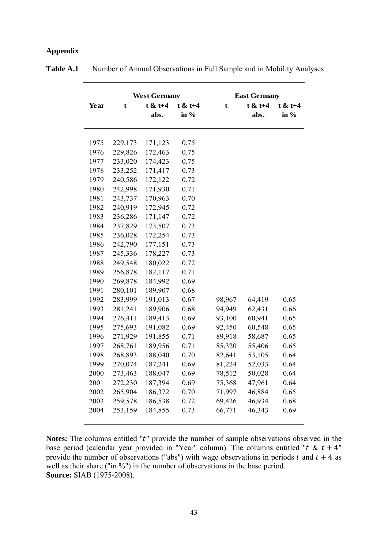# **Appendix**

|      |         | <b>West Germany</b> |           |             | <b>East Germany</b> |            |
|------|---------|---------------------|-----------|-------------|---------------------|------------|
| Year | t       | $t < t+4$           | $t < t+4$ | $\mathbf t$ | $t < t+4$           | $t \& t+4$ |
|      |         | abs.                | in $%$    |             | abs.                | in $%$     |
|      |         |                     |           |             |                     |            |
|      |         |                     |           |             |                     |            |
| 1975 | 229,173 | 171,123             | 0.75      |             |                     |            |
| 1976 | 229,826 | 172,463             | 0.75      |             |                     |            |
| 1977 | 233,020 | 174,423             | 0.75      |             |                     |            |
| 1978 | 233,252 | 171,417             | 0.73      |             |                     |            |
| 1979 | 240,586 | 172,122             | 0.72      |             |                     |            |
| 1980 | 242,998 | 171,930             | 0.71      |             |                     |            |
| 1981 | 243,737 | 170,963             | 0.70      |             |                     |            |
| 1982 | 240,919 | 172,945             | 0.72      |             |                     |            |
| 1983 | 236,286 | 171,147             | 0.72      |             |                     |            |
| 1984 | 237,829 | 173,507             | 0.73      |             |                     |            |
| 1985 | 236,028 | 172,254             | 0.73      |             |                     |            |
| 1986 | 242,790 | 177,151             | 0.73      |             |                     |            |
| 1987 | 245,336 | 178,227             | 0.73      |             |                     |            |
| 1988 | 249,548 | 180,022             | 0.72      |             |                     |            |
| 1989 | 256,878 | 182,117             | 0.71      |             |                     |            |
| 1990 | 269,878 | 184,992             | 0.69      |             |                     |            |
| 1991 | 280,101 | 189,907             | 0.68      |             |                     |            |
| 1992 | 283,999 | 191,013             | 0.67      | 98,967      | 64,419              | 0.65       |
| 1993 | 281,241 | 189,906             | 0.68      | 94,949      | 62,431              | 0.66       |
| 1994 | 276,411 | 189,413             | 0.69      | 93,100      | 60,941              | 0.65       |
| 1995 | 275,693 | 191,082             | 0.69      | 92,450      | 60,548              | 0.65       |
| 1996 | 271,929 | 191,855             | 0.71      | 89,918      | 58,687              | 0.65       |
| 1997 | 268,761 | 189,956             | 0.71      | 85,320      | 55,406              | 0.65       |
| 1998 | 268,893 | 188,040             | 0.70      | 82,641      | 53,105              | 0.64       |
| 1999 | 270,074 | 187,241             | 0.69      | 81,224      | 52,033              | 0.64       |
| 2000 | 273,463 | 188,047             | 0.69      | 78,512      | 50,028              | 0.64       |
| 2001 | 272,230 | 187,394             | 0.69      | 75,368      | 47,961              | 0.64       |
| 2002 | 265,904 | 186,372             | 0.70      | 71,997      | 46,884              | 0.65       |
| 2003 | 259,578 | 186,538             | 0.72      | 69,426      | 46,934              | 0.68       |
| 2004 | 253,159 | 184,855             | 0.73      | 66,771      | 46,343              | 0.69       |
|      |         |                     |           |             |                     |            |

**Table A.1** • Number of Annual Observations in Full Sample and in Mobility Analyses

Notes: The columns entitled "t" provide the number of sample observations observed in the base period (calendar year provided in "Year" column). The columns entitled " $t \& t + 4$ " provide the number of observations ("abs") with wage observations in periods t and  $t + 4$  as well as their share ("in %") in the number of observations in the base period. **Source:** SIAB (1975-2008).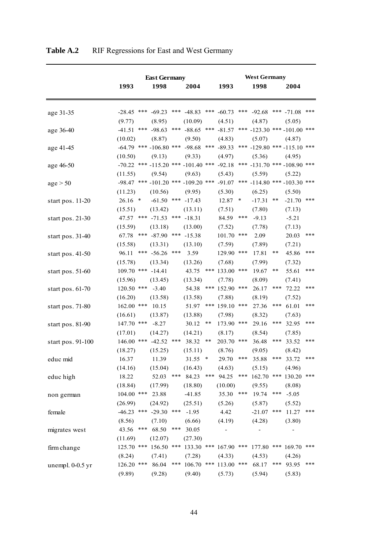|                    |              | <b>East Germany</b>                                                               |     |                           |        |                  |        | <b>West Germany</b>                    |       |                       |     |
|--------------------|--------------|-----------------------------------------------------------------------------------|-----|---------------------------|--------|------------------|--------|----------------------------------------|-------|-----------------------|-----|
|                    | 1993         | 1998                                                                              |     | 2004                      |        | 1993             |        | 1998                                   |       | 2004                  |     |
|                    |              |                                                                                   |     |                           |        |                  |        |                                        |       |                       |     |
|                    |              |                                                                                   |     |                           |        |                  |        |                                        |       |                       |     |
| age 31-35          |              | $-28.45$ *** $-69.23$ *** $-48.83$                                                |     |                           |        | *** $-60.73$ *** |        | $-92.68$                               |       | *** $-71.08$ ***      |     |
|                    | (9.77)       | (8.95)                                                                            |     | (10.09)                   |        | (4.51)           |        | (4.87)                                 |       | (5.05)                |     |
| age 36-40          | $-41.51$     | *** $-98.63$                                                                      |     | *** $-88.65$              |        |                  |        | *** -81.57 *** -123.30 *** -101.00 *** |       |                       |     |
|                    | (10.02)      | (8.87)                                                                            |     | (9.50)                    |        | (4.83)           |        | (5.07)                                 |       | (4.87)                |     |
| age 41-45          |              | $-64.79$ *** $-106.80$ *** $-98.68$                                               |     |                           |        | *** $-89.33$     |        | *** $-129.80$ *** $-115.10$ ***        |       |                       |     |
|                    | (10.50)      | (9.13)                                                                            |     | (9.33)                    |        | (4.97)           |        | (5.36)                                 |       | (4.95)                |     |
| age 46-50          |              | $-70.22$ *** $-115.20$ *** $-101.40$ *** $-92.18$ *** $-131.70$ *** $-108.90$ *** |     |                           |        |                  |        |                                        |       |                       |     |
|                    | (11.55)      | (9.54)                                                                            |     | (9.63)                    |        | (5.43)           |        | (5.59)                                 |       | (5.22)                |     |
| age > 50           |              | $-98.47$ *** $-101.20$ *** $-109.20$ ***                                          |     |                           |        | $-91.07$         |        | *** -114.80 *** -103.30 ***            |       |                       |     |
|                    | (11.23)      | (10.56)                                                                           |     | (9.95)                    |        | (5.30)           |        | (6.25)                                 |       | (5.50)                |     |
| start pos. 11-20   | $26.16$ *    |                                                                                   |     | $-61.50$ *** $-17.43$     |        | 12.87            | $\ast$ | $-17.31$                               | **    | $-21.70$ ***          |     |
|                    | (15.51)      | (13.42)                                                                           |     | (13.11)                   |        | (7.51)           |        | (7.80)                                 |       | (7.13)                |     |
| start pos. 21-30   |              | 47.57 *** -71.53 *** -18.31                                                       |     |                           |        | 84.59            | ***    | $-9.13$                                |       | $-5.21$               |     |
|                    | (15.59)      | (13.18)                                                                           |     | (13.00)                   |        | (7.52)           |        | (7.78)                                 |       | (7.13)                |     |
| start pos. 31-40   | 67.78        | *** $-87.90$ *** $-15.38$                                                         |     |                           |        | 101.70 ***       |        | 2.09                                   |       | 20.03                 | *** |
|                    | (15.58)      | (13.31)                                                                           |     | (13.10)                   |        | (7.59)           |        | (7.89)                                 |       | (7.21)                |     |
| start pos. 41-50   | 96.11        | *** $-56.26$ ***                                                                  |     | 3.59                      |        | 129.90 ***       |        | 17.81                                  | **    | 45.86                 | *** |
|                    | (15.78)      | (13.34)                                                                           |     | (13.26)                   |        | (7.68)           |        | (7.99)                                 |       | (7.32)                |     |
| start pos. 51-60   |              | 109.70 *** -14.41                                                                 |     | 43.75                     |        | *** 133.00 ***   |        | 19.67                                  | $***$ | 55.61                 | *** |
|                    | (15.96)      | (13.45)                                                                           |     | (13.34)                   |        | (7.78)           |        | (8.09)                                 |       | (7.41)                |     |
| start pos. $61-70$ | 120.50 ***   | $-3.40$                                                                           |     | 54.38                     |        | *** 152.90 ***   |        | 26.17                                  | ***   | 72.22                 | *** |
|                    | (16.20)      | (13.58)                                                                           |     | (13.58)                   |        | (7.88)           |        | (8.19)                                 |       | (7.52)                |     |
| start pos. 71-80   | 162.00 ***   | 10.15                                                                             |     | 51.97                     |        | *** 159.10 ***   |        | 27.36                                  | ***   | 61.01                 | *** |
|                    | (16.61)      | (13.87)                                                                           |     | (13.88)                   |        | (7.98)           |        | (8.32)                                 |       | (7.63)                |     |
| start pos. 81-90   | 147.70 ***   | $-8.27$                                                                           |     | 30.12                     | $***$  | 173.90 ***       |        | 29.16                                  | ***   | 32.95                 | *** |
|                    | (17.01)      | (14.27)                                                                           |     | (14.21)                   |        | (8.17)           |        | (8.54)                                 |       | (7.85)                |     |
| start pos. 91-100  |              | 146.00 *** -42.52 ***                                                             |     | 38.32                     | $***$  | 203.70 ***       |        | 36.48                                  | ***   | 33.52                 | *** |
|                    | (18.27)      | (15.25)                                                                           |     | (15.11)                   |        | (8.76)           |        | (9.05)                                 |       | (8.42)                |     |
| educ mid           | 16.37        | 11.39                                                                             |     | 31.55                     | $\ast$ | 29.70            | ***    | 35.88                                  | ***   | 33.72                 | *** |
|                    | (14.16)      | (15.04)                                                                           |     | (16.43)                   |        | (4.63)           |        | (5.15)                                 |       | (4.96)                |     |
| educ high          | 18.22        | 52.03                                                                             |     | *** $84.23$               |        | *** $94.25$      | ***    |                                        |       | 162.70 *** 130.20 *** |     |
|                    | (18.84)      | (17.99)                                                                           |     | (18.80)                   |        | (10.00)          |        | (9.55)                                 |       | (8.08)                |     |
| non german         | 104.00 ***   | 23.88                                                                             |     | $-41.85$                  |        | 35.30            | ***    | 19.74                                  | ***   | $-5.05$               |     |
|                    | (26.99)      | (24.92)                                                                           |     | (25.51)                   |        | (5.26)           |        | (5.87)                                 |       | (5.52)                |     |
| female             |              | $-46.23$ *** $-29.30$ ***                                                         |     | $-1.95$                   |        | 4.42             |        | $-21.07$                               | ***   | 11.27                 | *** |
|                    | (8.56)       | (7.10)                                                                            |     | (6.66)                    |        | (4.19)           |        | (4.28)                                 |       | (3.80)                |     |
| migrates west      | 43.56        | 68.50<br>***                                                                      | *** | 30.05                     |        |                  |        |                                        |       |                       |     |
|                    | (11.69)      | (12.07)                                                                           |     | (27.30)                   |        |                  |        |                                        |       |                       |     |
| firm change        |              | 125.70 *** 156.50 *** 133.30 *** 167.90 ***                                       |     |                           |        |                  |        |                                        |       | 177.80 *** 169.70 *** |     |
|                    | (8.24)       | (7.41)                                                                            |     | (7.28)                    |        | (4.33)           |        | (4.53)                                 |       | (4.26)                |     |
| unempl. $0-0.5$ yr | $126.20$ *** | 86.04                                                                             |     | *** 106.70 *** 113.00 *** |        |                  |        | 68.17                                  |       | *** 93.95             | *** |
|                    | (9.89)       | (9.28)                                                                            |     | (9.40)                    |        | (5.73)           |        | (5.94)                                 |       | (5.83)                |     |
|                    |              |                                                                                   |     |                           |        |                  |        |                                        |       |                       |     |

**Table A.2** RIF Regressions for East and West Germany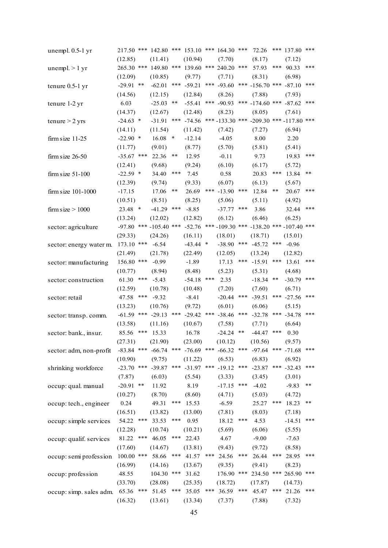| unempl. 0.5-1 yr        |              |     | 217.50 *** 142.80 *** 153.10 *** 164.30 ***         |        |                       |     |                 |       | 72.26                                                  | ***   | 137.80 ***                |       |
|-------------------------|--------------|-----|-----------------------------------------------------|--------|-----------------------|-----|-----------------|-------|--------------------------------------------------------|-------|---------------------------|-------|
|                         | (12.85)      |     | (11.41)                                             |        | (10.94)               |     | (7.70)          |       | (8.17)                                                 |       | (7.12)                    |       |
| unempl $>1$ yr          | 265.30 ***   |     | 149.80                                              | ***    | 139.60                |     | *** 240.20      | ***   | 57.93                                                  | ***   | 90.33                     | ***   |
|                         | (12.09)      |     | (10.85)                                             |        | (9.77)                |     | (7.71)          |       | (8.31)                                                 |       | (6.98)                    |       |
| tenure 0.5-1 yr         | $-29.91$ **  |     | $-62.01$                                            | ***    | $-59.21$              |     | *** $-93.60$    | ***   | $-156.70$ ***                                          |       | $-87.10$                  | ***   |
|                         | (14.56)      |     | (12.15)                                             |        | (12.84)               |     | (8.26)          |       | (7.88)                                                 |       | (7.93)                    |       |
| tenure 1-2 yr           | 6.03         |     | $-25.03$                                            | **     | $-55.41$              |     | *** $-90.93$    |       | *** $-174.60$ ***                                      |       | $-87.62$                  | ***   |
|                         | (14.37)      |     | (12.67)                                             |        | (12.48)               |     | (8.23)          |       | (8.05)                                                 |       | (7.61)                    |       |
| tenure $>$ 2 yrs        | $-24.63$ *   |     | $-31.91$                                            | ***    |                       |     |                 |       | $-74.56$ *** $-133.30$ *** $-209.30$ *** $-117.80$ *** |       |                           |       |
|                         | (14.11)      |     | (11.54)                                             |        | (11.42)               |     | (7.42)          |       | (7.27)                                                 |       | (6.94)                    |       |
| firm size $11-25$       | $-22.90$ *   |     | 16.08                                               | $\ast$ | $-12.14$              |     | $-4.05$         |       | 8.00                                                   |       | 2.20                      |       |
|                         | (11.77)      |     | (9.01)                                              |        | (8.77)                |     | (5.70)          |       | (5.81)                                                 |       | (5.41)                    |       |
| firm size $26-50$       | $-35.67$ *** |     | 22.36                                               | **     | 12.95                 |     | $-0.11$         |       | 9.73                                                   |       | 19.83                     | ***   |
|                         | (12.41)      |     | (9.68)                                              |        | (9.24)                |     | (6.10)          |       | (6.17)                                                 |       | (5.72)                    |       |
| firm size $51-100$      | $-22.59$ *   |     | 34.40                                               | ***    | 7.45                  |     | 0.58            |       | 20.83                                                  | ***   | 13.84                     | **    |
|                         | (12.39)      |     | (9.74)                                              |        | (9.33)                |     | (6.07)          |       | (6.13)                                                 |       | (5.67)                    |       |
| firm size $101-1000$    | $-17.15$     |     | 17.06                                               | **     | 26.69                 | *** | $-13.90$        | ***   | 12.84                                                  | **    | 20.67                     | ***   |
|                         | (10.51)      |     | (8.51)                                              |        | (8.25)                |     | (5.06)          |       | (5.11)                                                 |       | (4.92)                    |       |
| firm size $> 1000$      | 23.48 *      |     | $-41.29$                                            | ***    | $-8.85$               |     | $-37.77$        | $***$ | 3.86                                                   |       | 32.44                     | ***   |
|                         | (13.24)      |     | (12.02)                                             |        | (12.82)               |     | (6.12)          |       | (6.46)                                                 |       | (6.25)                    |       |
| sector: agriculture     | $-97.80$ *** |     | $-105.40$ ***                                       |        | $-52.76$              |     | *** -109.30 *** |       | $-138.20$ *** $-107.40$ ***                            |       |                           |       |
|                         | (29.33)      |     | (24.26)                                             |        | (16.11)               |     | (18.01)         |       | (18.71)                                                |       | (15.01)                   |       |
| sector: energy water m. | 173.10 ***   |     | $-6.54$                                             |        | $-43.44$ *            |     | $-38.90$        | ***   | $-45.72$                                               | ***   | $-0.96$                   |       |
|                         | (21.49)      |     | (21.78)                                             |        | (22.49)               |     | (12.05)         |       | (13.24)                                                |       | (12.82)                   |       |
| sector: manufacturing   | 156.80 ***   |     | $-0.99$                                             |        | $-1.89$               |     | 17.13           | ***   | $-15.91$                                               | ***   | 13.61                     | ***   |
|                         | (10.77)      |     | (8.94)                                              |        | (8.48)                |     | (5.23)          |       | (5.31)                                                 |       | (4.68)                    |       |
| sector: construction    | 61.30        | *** | $-5.43$                                             |        | $-54.18$              | *** | 2.35            |       | $-18.34$                                               | **    | $-30.79$ ***              |       |
|                         | (12.59)      |     | (10.78)                                             |        | (10.48)               |     | (7.20)          |       | (7.60)                                                 |       | (6.71)                    |       |
| sector: retail          | 47.58        | *** | $-9.32$                                             |        | $-8.41$               |     | $-20.44$        | ***   | $-39.51$                                               | ***   | $-27.56$                  | ***   |
|                         | (13.23)      |     | (10.76)                                             |        | (9.72)                |     | (6.01)          |       | (6.06)                                                 |       | (5.15)                    |       |
| sector: transp. comm.   |              |     | $-61.59$ *** $-29.13$                               | ***    | $-29.42$              |     | *** $-38.46$    | ***   | $-32.78$                                               |       | *** $-34.78$              | ***   |
|                         | (13.58)      |     | (11.16)                                             |        | (10.67)               |     | (7.58)          |       | (7.71)                                                 |       | (6.64)                    |       |
| sector: bank., insur.   | 85.56        | *** | 15.33                                               |        | 16.78                 |     | $-24.24$        | **    | $-44.47$                                               | ***   | 0.30                      |       |
|                         | (27.31)      |     | (21.90)                                             |        | (23.00)               |     | (10.12)         |       | (10.56)                                                |       | (9.57)                    |       |
| sector: adm, non-profit |              |     | $-83.84$ *** $-66.74$ *** $-76.69$ *** $-66.32$ *** |        |                       |     |                 |       |                                                        |       | $-97.64$ *** $-71.68$ *** |       |
|                         | (10.90)      |     | (9.75)                                              |        | (11.22)               |     | (6.53)          |       | (6.83)                                                 |       | (6.92)                    |       |
| shrinking workforce     | $-23.70$ *** |     | $-39.87$                                            | ***    | $-31.97$ *** $-19.12$ |     |                 | ***   | $-23.87$                                               | $***$ | $-32.43$                  | ***   |
|                         | (7.87)       |     | (6.03)                                              |        | (5.54)                |     | (3.33)          |       | (3.45)                                                 |       | (3.01)                    |       |
| occup: qual. manual     | $-20.91$ **  |     | 11.92                                               |        | 8.19                  |     | $-17.15$ ***    |       | $-4.02$                                                |       | $-9.83$                   | $***$ |
|                         | (10.27)      |     | (8.70)                                              |        | (8.60)                |     | (4.71)          |       | (5.03)                                                 |       | (4.72)                    |       |
| occup: tech., engineer  | 0.24         |     | 49.31                                               | ***    | 15.53                 |     | $-6.59$         |       | 25.27                                                  | ***   | 18.23                     | **    |
|                         | (16.51)      |     | (13.82)                                             |        | (13.00)               |     | (7.81)          |       | (8.03)                                                 |       | (7.18)                    |       |
| occup: simple services  | 54.22 ***    |     | 33.53                                               | ***    | 0.95                  |     | 18.12           | ***   | 4.53                                                   |       | $-14.51$                  | ***   |
|                         | (12.28)      |     | (10.74)                                             |        | (10.21)               |     | (5.69)          |       | (6.06)                                                 |       | (5.55)                    |       |
| occup: qualif. services | 81.22        | *** | 46.05                                               | ***    | 22.43                 |     | 4.67            |       | $-9.00$                                                |       | $-7.63$                   |       |
|                         | (17.60)      |     | (14.67)                                             |        | (13.81)               |     | (9.43)          |       | (9.72)                                                 |       | (8.58)                    |       |
|                         | 100.00 ***   |     | 58.66                                               |        | *** $41.57$ ***       |     | 24.56           | ***   | 26.44                                                  | ***   | 28.95                     | ***   |
| occup: semi profession  | (16.99)      |     | (14.16)                                             |        | (13.67)               |     | (9.35)          |       | (9.41)                                                 |       | (8.23)                    |       |
| occup: profession       | 48.55        |     | 104.30 ***                                          |        | 31.62                 |     | 176.90          | ***   | 234.50                                                 |       | *** 265.90 ***            |       |
|                         | (33.70)      |     | (28.08)                                             |        | (25.35)               |     | (18.72)         |       | (17.87)                                                |       | (14.73)                   |       |
| occup: simp. sales adm. | 65.36        | *** | 51.45                                               | ***    | 35.05                 | *** | 36.59           | ***   | 45.47                                                  | ***   | 21.26                     | ***   |
|                         | (16.32)      |     |                                                     |        |                       |     |                 |       |                                                        |       |                           |       |
|                         |              |     | (13.61)                                             |        | (13.34)               |     | (7.37)          |       | (7.88)                                                 |       | (7.32)                    |       |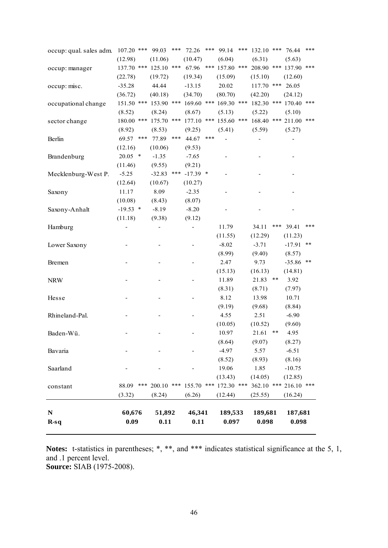| $R-sq$                  | 0.09                       | 0.11               |     | 0.11              |       | 0.097                 |     | 0.098      |            | 0.098    |      |
|-------------------------|----------------------------|--------------------|-----|-------------------|-------|-----------------------|-----|------------|------------|----------|------|
| $\mathbf N$             | 60,676                     | 51,892             |     | 46,341            |       | 189,533               |     | 189,681    |            | 187,681  |      |
|                         | (3.32)                     | (8.24)             |     | (6.26)            |       | (12.44)               |     | (25.55)    |            | (16.24)  |      |
| constant                | ***<br>88.09               | 200.10             | *** | 155.70            | ***   | 172.30 ***            |     | 362.10     | ***        | 216.10   | ***  |
|                         |                            |                    |     |                   |       | (13.43)               |     | (14.05)    |            | (12.85)  |      |
| Saarland                |                            |                    |     |                   |       | 19.06                 |     | 1.85       |            | $-10.75$ |      |
|                         |                            |                    |     |                   |       | (8.52)                |     | (8.93)     |            | (8.16)   |      |
| Bavaria                 |                            |                    |     |                   |       | $-4.97$               |     | 5.57       |            | $-6.51$  |      |
|                         |                            |                    |     |                   |       | (8.64)                |     | (9.07)     |            | (8.27)   |      |
| Baden-Wü.               |                            |                    |     |                   |       | 10.97                 |     | 21.61      | $\ast\ast$ | 4.95     |      |
|                         |                            |                    |     |                   |       | (10.05)               |     | (10.52)    |            | (9.60)   |      |
| Rhineland-Pal.          |                            |                    |     |                   |       | 4.55                  |     | 2.51       |            | $-6.90$  |      |
|                         |                            |                    |     |                   |       | (9.19)                |     | (9.68)     |            | (8.84)   |      |
| Hesse                   |                            |                    |     |                   |       | 8.12                  |     | 13.98      |            | 10.71    |      |
|                         |                            |                    |     |                   |       | (8.31)                |     | (8.71)     |            | (7.97)   |      |
| <b>NRW</b>              |                            |                    |     |                   |       | 11.89                 |     | 21.83      | $* *$      | 3.92     |      |
|                         |                            |                    |     |                   |       | (15.13)               |     | (16.13)    |            | (14.81)  |      |
| <b>Bremen</b>           |                            |                    |     |                   |       | 2.47                  |     | 9.73       |            | $-35.86$ | $**$ |
|                         |                            |                    |     |                   |       | (8.99)                |     | (9.40)     |            | (8.57)   |      |
| Lower Saxony            |                            |                    |     |                   |       | $-8.02$               |     | $-3.71$    |            | $-17.91$ | $**$ |
|                         |                            |                    |     |                   |       | (11.55)               |     | (12.29)    |            | (11.23)  |      |
| Hamburg                 |                            |                    |     |                   |       | 11.79                 |     | 34.11      | ***        | 39.41    | ***  |
|                         | (11.18)                    | (9.38)             |     | (9.12)            |       |                       |     |            |            |          |      |
| Saxony-Anhalt           | $-19.53$ *                 | $-8.19$            |     | $-8.20$           |       |                       |     |            |            |          |      |
|                         | (10.08)                    | (8.43)             |     | (8.07)            |       |                       |     |            |            |          |      |
| Saxony                  | 11.17                      | 8.09               |     | $-2.35$           |       |                       |     |            |            |          |      |
|                         | (12.64)                    | (10.67)            |     | (10.27)           |       |                       |     |            |            |          |      |
| Mecklenburg-West P.     | $-5.25$                    | $-32.83$           | *** | $-17.39$ *        |       |                       |     |            |            |          |      |
|                         | (11.46)                    | (9.55)             |     | (9.21)            |       |                       |     |            |            |          |      |
| Brandenburg             | (12.16)<br>20.05<br>$\ast$ | (10.06)<br>$-1.35$ |     | (9.53)<br>$-7.65$ |       |                       |     |            |            |          |      |
| Berlin                  | 69.57                      | 77.89              |     | 44.67             |       |                       |     |            |            |          |      |
|                         | (8.92)<br>***              | (8.53)             | *** | (9.25)            | $***$ | (5.41)                |     | (5.59)     |            | (5.27)   |      |
| sector change           | 180.00 ***                 | 175.70             | *** | 177.10            | ***   | 155.60                | *** | 168.40     | ***        | 211.00   | ***  |
|                         | (8.52)                     | (8.24)             |     | (8.67)            |       | (5.13)                |     | (5.22)     |            | (5.10)   |      |
| occupational change     | 151.50 ***                 | 153.90             | *** |                   |       | 169.60 *** 169.30 *** |     | 182.30     | ***        | 170.40   | ***  |
|                         | (36.72)                    | (40.18)            |     | (34.70)           |       | (80.70)               |     | (42.20)    |            | (24.12)  |      |
| occup: misc.            | $-35.28$                   | 44.44              |     | $-13.15$          |       | 20.02                 |     | 117.70 *** |            | 26.05    |      |
|                         | (22.78)                    | (19.72)            |     | (19.34)           |       | (15.09)               |     | (15.10)    |            | (12.60)  |      |
| occup: manager          | 137.70 ***                 | 125.10             | *** | 67.96             | ***   | 157.80                | *** | 208.90     | ***        | 137.90   | ***  |
|                         | (12.98)                    | (11.06)            |     | (10.47)           |       | (6.04)                |     | (6.31)     |            | (5.63)   |      |
| occup: qual. sales adm. | $107.20$ ***               | 99.03              | *** | 72.26             | ***   | 99.14                 | *** | 132.10     | ***        | 76.44    | ***  |

Notes: t-statistics in parentheses; \*, \*\*, and \*\*\* indicates statistical significance at the 5, 1, and .1 percent level. **Source:** SIAB (1975-2008).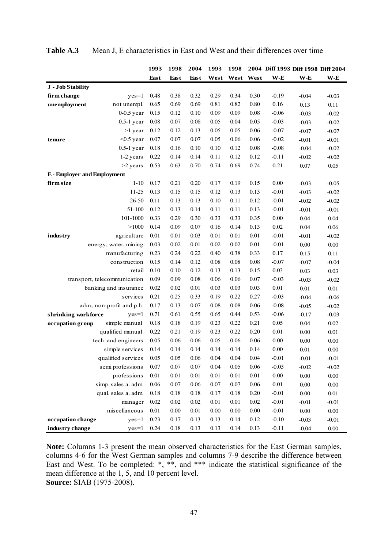|                                    |                           | 1993     | 1998     | 2004     | 1993     | 1998     |      | 2004 Diff 1993 Diff 1998 Diff 2004 |          |          |
|------------------------------------|---------------------------|----------|----------|----------|----------|----------|------|------------------------------------|----------|----------|
|                                    |                           | East     | East     | East     | West     | West     | West | $W-E$                              | $W-E$    | $W-E$    |
| J - Job Stability                  |                           |          |          |          |          |          |      |                                    |          |          |
| firm change                        | $yes=1$                   | 0.48     | 0.38     | 0.32     | 0.29     | 0.34     | 0.30 | $-0.19$                            | $-0.04$  | $-0.03$  |
| unemployment                       | not unempl.               | 0.65     | 0.69     | 0.69     | 0.81     | 0.82     | 0.80 | 0.16                               | 0.13     | 0.11     |
|                                    | $0-0.5$ year              | 0.15     | 0.12     | 0.10     | 0.09     | 0.09     | 0.08 | $-0.06$                            | $-0.03$  | $-0.02$  |
|                                    | $0.5-1$ year              | 0.08     | 0.07     | 0.08     | 0.05     | $0.04\,$ | 0.05 | $-0.03$                            | $-0.03$  | $-0.02$  |
|                                    | $>1$ year                 | 0.12     | 0.12     | 0.13     | 0.05     | 0.05     | 0.06 | $-0.07$                            | $-0.07$  | $-0.07$  |
| tenure                             | $<$ 0.5 year              | 0.07     | 0.07     | 0.07     | 0.05     | 0.06     | 0.06 | $-0.02$                            | $-0.01$  | $-0.01$  |
|                                    | $0.5-1$ year              | 0.18     | 0.16     | 0.10     | 0.10     | 0.12     | 0.08 | $-0.08$                            | $-0.04$  | $-0.02$  |
|                                    | 1-2 years                 | 0.22     | 0.14     | 0.14     | 0.11     | 0.12     | 0.12 | $-0.11$                            | $-0.02$  | $-0.02$  |
|                                    | $>2$ years                | 0.53     | 0.63     | 0.70     | 0.74     | 0.69     | 0.74 | 0.21                               | 0.07     | 0.05     |
| <b>E</b> - Employer and Employment |                           |          |          |          |          |          |      |                                    |          |          |
| firm size                          | $1-10$                    | 0.17     | 0.21     | 0.20     | 0.17     | 0.19     | 0.15 | 0.00                               | $-0.03$  | $-0.05$  |
|                                    | 11-25                     | 0.13     | 0.15     | 0.15     | 0.12     | 0.13     | 0.13 | $-0.01$                            | $-0.03$  | $-0.02$  |
|                                    | 26-50                     | 0.11     | 0.13     | 0.13     | 0.10     | 0.11     | 0.12 | $-0.01$                            | $-0.02$  | $-0.02$  |
|                                    | 51-100                    | 0.12     | 0.13     | 0.14     | 0.11     | 0.11     | 0.13 | $-0.01$                            | $-0.01$  | $-0.01$  |
|                                    | 101-1000                  | 0.33     | 0.29     | 0.30     | 0.33     | 0.33     | 0.35 | 0.00                               | 0.04     | 0.04     |
|                                    | >1000                     | 0.14     | 0.09     | 0.07     | 0.16     | 0.14     | 0.13 | 0.02                               | 0.04     | 0.06     |
| industry                           | agriculture               | 0.01     | $0.01\,$ | 0.03     | 0.01     | 0.01     | 0.01 | $-0.01$                            | $-0.01$  | $-0.02$  |
|                                    | energy, water, mining     | 0.03     | 0.02     | 0.01     | 0.02     | 0.02     | 0.01 | $-0.01$                            | 0.00     | $0.00\,$ |
|                                    | manufacturing             | 0.23     | 0.24     | 0.22     | 0.40     | 0.38     | 0.33 | 0.17                               | 0.15     | 0.11     |
|                                    | construction              | 0.15     | 0.14     | 0.12     | 0.08     | 0.08     | 0.08 | $-0.07$                            | $-0.07$  | $-0.04$  |
|                                    | retail                    | 0.10     | 0.10     | 0.12     | 0.13     | 0.13     | 0.15 | 0.03                               | 0.03     | 0.03     |
| transport, telecommunication       |                           | 0.09     | 0.09     | 0.08     | 0.06     | 0.06     | 0.07 | $-0.03$                            | $-0.03$  | $-0.02$  |
|                                    | banking and insurance     | 0.02     | 0.02     | 0.01     | 0.03     | 0.03     | 0.03 | 0.01                               | 0.01     | 0.01     |
|                                    | services                  | 0.21     | 0.25     | 0.33     | 0.19     | 0.22     | 0.27 | $-0.03$                            | $-0.04$  | $-0.06$  |
|                                    | adm., non-profit and p.h. | 0.17     | 0.13     | 0.07     | 0.08     | 0.08     | 0.06 | $-0.08$                            | $-0.05$  | $-0.02$  |
| shrinking workforce                | $yes=1$                   | 0.71     | 0.61     | 0.55     | 0.65     | 0.44     | 0.53 | $-0.06$                            | $-0.17$  | $-0.03$  |
| occupation group                   | simple manual             | 0.18     | 0.18     | 0.19     | 0.23     | 0.22     | 0.21 | 0.05                               | 0.04     | 0.02     |
|                                    | qualified manual          | 0.22     | 0.21     | 0.19     | 0.23     | 0.22     | 0.20 | 0.01                               | 0.00     | 0.01     |
|                                    | tech. and engineers       | 0.05     | 0.06     | 0.06     | 0.05     | 0.06     | 0.06 | 0.00                               | $0.00\,$ | $0.00\,$ |
|                                    | simple services           | 0.14     | 0.14     | 0.14     | 0.14     | 0.14     | 0.14 | 0.00                               | 0.01     | $0.00\,$ |
|                                    | qualified services        | 0.05     | 0.05     | 0.06     | 0.04     | 0.04     | 0.04 | $-0.01$                            | $-0.01$  | $-0.01$  |
|                                    | semi professions          | $0.07\,$ | $0.07\,$ | $0.07\,$ | 0.04     | 0.05     | 0.06 | $-0.03$                            | $-0.02$  | $-0.02$  |
|                                    | professions               | $0.01\,$ | 0.01     | $0.01\,$ | 0.01     | $0.01\,$ | 0.01 | $0.00\,$                           | $0.00\,$ | $0.00\,$ |
|                                    | simp. sales a. adm.       | $0.06\,$ | $0.07\,$ | $0.06\,$ | $0.07\,$ | $0.07\,$ | 0.06 | 0.01                               | $0.00\,$ | $0.00\,$ |
|                                    | qual. sales a. adm.       | $0.18\,$ | 0.18     | 0.18     | 0.17     | 0.18     | 0.20 | $-0.01$                            | 0.00     | $0.01\,$ |
|                                    | manager                   | 0.02     | $0.02\,$ | 0.02     | 0.01     | $0.01\,$ | 0.02 | $-0.01$                            | $-0.01$  | $-0.01$  |
|                                    | miscellaneous             | $0.01\,$ | 0.00     | 0.01     | 0.00     | 0.00     | 0.00 | $-0.01$                            | $0.00\,$ | $0.00\,$ |
| occupation change                  | $yes=1$                   | 0.23     | 0.17     | 0.13     | 0.13     | 0.14     | 0.12 | $-0.10$                            | $-0.03$  | $-0.01$  |
| industry change                    | $yes=1$                   | 0.24     | 0.18     | 0.13     | 0.13     | 0.14     | 0.13 | $-0.11$                            | $-0.04$  | $0.00\,$ |

**Table A.3** Mean J, E characteristics in East and West and their differences over time

**Note:** Columns 1-3 present the mean observed characteristics for the East German samples, columns 4-6 for the West German samples and columns 7-9 describe the difference between East and West. To be completed: \*, \*\*, and \*\*\* indicate the statistical significance of the mean difference at the 1, 5, and 10 percent level. **Source:** SIAB (1975-2008).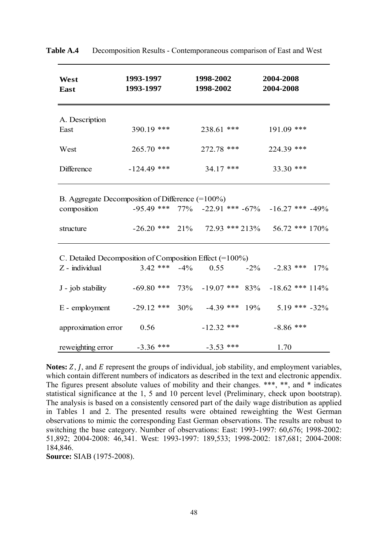| West<br>East                                            | 1993-1997<br>1993-1997 |        | 1998-2002<br>1998-2002 |                 | 2004-2008<br>2004-2008                                        |     |
|---------------------------------------------------------|------------------------|--------|------------------------|-----------------|---------------------------------------------------------------|-----|
|                                                         |                        |        |                        |                 |                                                               |     |
| A. Description<br>East                                  | 390.19 ***             |        | 238.61 ***             |                 | $191.09$ ***                                                  |     |
|                                                         |                        |        |                        |                 |                                                               |     |
| West                                                    | $265.70$ ***           |        | $272.78$ ***           |                 | 224.39 ***                                                    |     |
| Difference                                              | $-124.49$ ***          |        | $34.17$ ***            |                 | 33.30 ***                                                     |     |
| B. Aggregate Decomposition of Difference $(=100\%)$     |                        |        |                        |                 |                                                               |     |
| composition                                             |                        |        |                        |                 | $-95.49$ *** $77\%$ $-22.91$ *** $-67\%$ $-16.27$ *** $-49\%$ |     |
| structure                                               | $-26.20$ ***           | 21%    |                        | 72.93 *** 213%  | $56.72$ *** 170%                                              |     |
| C. Detailed Decomposition of Composition Effect (=100%) |                        |        |                        |                 |                                                               |     |
| Z - individual                                          | $3.42$ ***             | $-4\%$ | 0.55                   | $-2\%$          | $-2.83$ ***                                                   | 17% |
| J - job stability                                       | $-69.80$ ***           | 73%    | $-19.07$ *** 83%       |                 | $-18.62$ *** $114%$                                           |     |
| E - employment                                          | $-29.12$ *** 30%       |        |                        | $-4.39$ *** 19% | $5.19$ *** $-32\%$                                            |     |
| approximation error                                     | 0.56                   |        | $-12.32$ ***           |                 | $-8.86$ ***                                                   |     |
| reweighting error                                       | $-3.36$ ***            |        | $-3.53$ ***            |                 | 1.70                                                          |     |

**Table A.4** Decomposition Results - Contemporaneous comparison of East and West

**Notes:** Z, *I*, and *E* represent the groups of individual, job stability, and employment variables, which contain different numbers of indicators as described in the text and electronic appendix. The figures present absolute values of mobility and their changes. \*\*\*, \*\*, and \* indicates statistical significance at the 1, 5 and 10 percent level (Preliminary, check upon bootstrap). The analysis is based on a consistently censored part of the daily wage distribution as applied in Tables 1 and 2. The presented results were obtained reweighting the West German observations to mimic the corresponding East German observations. The results are robust to switching the base category. Number of observations: East: 1993-1997: 60,676; 1998-2002: 51,892; 2004-2008: 46,341. West: 1993-1997: 189,533; 1998-2002: 187,681; 2004-2008: 184,846.

**Source:** SIAB (1975-2008).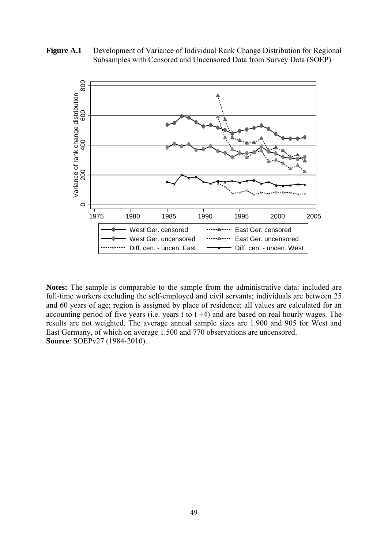Figure A.1 Development of Variance of Individual Rank Change Distribution for Regional Subsamples with Censored and Uncensored Data from Survey Data (SOEP)



**Notes:** The sample is comparable to the sample from the administrative data: included are full-time workers excluding the self-employed and civil servants; individuals are between 25 and 60 years of age; region is assigned by place of residence; all values are calculated for an accounting period of five years (i.e. years t to  $t +4$ ) and are based on real hourly wages. The results are not weighted. The average annual sample sizes are 1.900 and 905 for West and East Germany, of which on average 1.500 and 770 observations are uncensored. **Source**: SOEPv27 (1984-2010).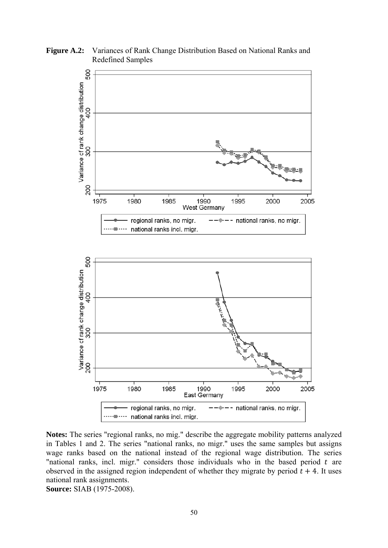**Figure A.2:** Variances of Rank Change Distribution Based on National Ranks and Redefined Samples



**Notes:** The series "regional ranks, no mig." describe the aggregate mobility patterns analyzed in Tables 1 and 2. The series "national ranks, no migr." uses the same samples but assigns wage ranks based on the national instead of the regional wage distribution. The series "national ranks, incl. migr." considers those individuals who in the based period  $t$  are observed in the assigned region independent of whether they migrate by period  $t + 4$ . It uses national rank assignments. **Source:** SIAB (1975-2008).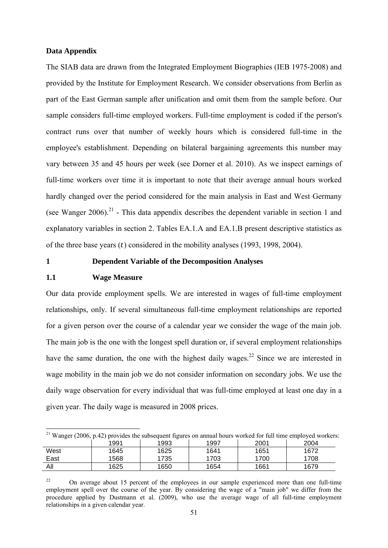#### **Data Appendix**

The SIAB data are drawn from the Integrated Employment Biographies (IEB 1975-2008) and provided by the Institute for Employment Research. We consider observations from Berlin as part of the East German sample after unification and omit them from the sample before. Our sample considers full-time employed workers. Full-time employment is coded if the person's contract runs over that number of weekly hours which is considered full-time in the employee's establishment. Depending on bilateral bargaining agreements this number may vary between 35 and 45 hours per week (see Dorner et al. 2010). As we inspect earnings of full-time workers over time it is important to note that their average annual hours worked hardly changed over the period considered for the main analysis in East and West Germany (see Wanger 2006).<sup>21</sup> - This data appendix describes the dependent variable in section 1 and explanatory variables in section 2. Tables EA.1.A and EA.1.B present descriptive statistics as of the three base years  $(t)$  considered in the mobility analyses (1993, 1998, 2004).

# **1 Dependent Variable of the Decomposition Analyses**

## **1.1 Wage Measure**

Our data provide employment spells. We are interested in wages of full-time employment relationships, only. If several simultaneous full-time employment relationships are reported for a given person over the course of a calendar year we consider the wage of the main job. The main job is the one with the longest spell duration or, if several employment relationships have the same duration, the one with the highest daily wages.<sup>22</sup> Since we are interested in wage mobility in the main job we do not consider information on secondary jobs. We use the daily wage observation for every individual that was full-time employed at least one day in a given year. The daily wage is measured in 2008 prices.

<sup>1</sup> <sup>21</sup> Wanger (2006, p.42) provides the subsequent figures on annual hours worked for full time employed workers: 1991 | 1993 | 1997 | 2001 | 2004

|      | .    | .    | .    | ---- | ---  |
|------|------|------|------|------|------|
| West | 1645 | 1625 | 1641 | 1651 | 1672 |
| East | 568  | 735  | 1703 | 700  | 1708 |
| All  | 1625 | 1650 | 1654 | 1661 | 1679 |

<sup>&</sup>lt;sup>22</sup> On average about 15 percent of the employees in our sample experienced more than one full-time employment spell over the course of the year. By considering the wage of a "main job" we differ from the procedure applied by Dustmann et al. (2009), who use the average wage of all full-time employment relationships in a given calendar year.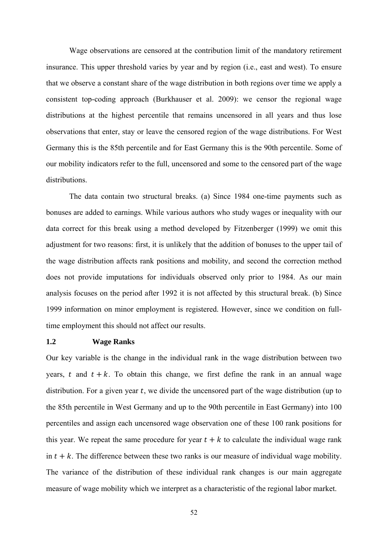Wage observations are censored at the contribution limit of the mandatory retirement insurance. This upper threshold varies by year and by region (i.e., east and west). To ensure that we observe a constant share of the wage distribution in both regions over time we apply a consistent top-coding approach (Burkhauser et al. 2009): we censor the regional wage distributions at the highest percentile that remains uncensored in all years and thus lose observations that enter, stay or leave the censored region of the wage distributions. For West Germany this is the 85th percentile and for East Germany this is the 90th percentile. Some of our mobility indicators refer to the full, uncensored and some to the censored part of the wage distributions.

 The data contain two structural breaks. (a) Since 1984 one-time payments such as bonuses are added to earnings. While various authors who study wages or inequality with our data correct for this break using a method developed by Fitzenberger (1999) we omit this adjustment for two reasons: first, it is unlikely that the addition of bonuses to the upper tail of the wage distribution affects rank positions and mobility, and second the correction method does not provide imputations for individuals observed only prior to 1984. As our main analysis focuses on the period after 1992 it is not affected by this structural break. (b) Since 1999 information on minor employment is registered. However, since we condition on fulltime employment this should not affect our results.

#### **1.2 Wage Ranks**

Our key variable is the change in the individual rank in the wage distribution between two years, t and  $t + k$ . To obtain this change, we first define the rank in an annual wage distribution. For a given year  $t$ , we divide the uncensored part of the wage distribution (up to the 85th percentile in West Germany and up to the 90th percentile in East Germany) into 100 percentiles and assign each uncensored wage observation one of these 100 rank positions for this year. We repeat the same procedure for year  $t + k$  to calculate the individual wage rank in  $t + k$ . The difference between these two ranks is our measure of individual wage mobility. The variance of the distribution of these individual rank changes is our main aggregate measure of wage mobility which we interpret as a characteristic of the regional labor market.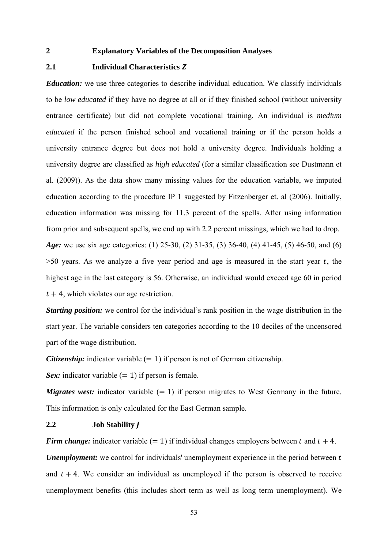### **2 Explanatory Variables of the Decomposition Analyses**

# **2.1** Individual Characteristics **Z**

*Education:* we use three categories to describe individual education. We classify individuals to be *low educated* if they have no degree at all or if they finished school (without university entrance certificate) but did not complete vocational training. An individual is *medium educated* if the person finished school and vocational training or if the person holds a university entrance degree but does not hold a university degree. Individuals holding a university degree are classified as *high educated* (for a similar classification see Dustmann et al. (2009)). As the data show many missing values for the education variable, we imputed education according to the procedure IP 1 suggested by Fitzenberger et. al (2006). Initially, education information was missing for 11.3 percent of the spells. After using information from prior and subsequent spells, we end up with 2.2 percent missings, which we had to drop. *Age:* we use six age categories: (1) 25-30, (2) 31-35, (3) 36-40, (4) 41-45, (5) 46-50, and (6)  $>50$  years. As we analyze a five year period and age is measured in the start year t, the highest age in the last category is 56. Otherwise, an individual would exceed age 60 in period  $t + 4$ , which violates our age restriction.

*Starting position:* we control for the individual's rank position in the wage distribution in the start year. The variable considers ten categories according to the 10 deciles of the uncensored part of the wage distribution.

*Citizenship:* indicator variable  $(= 1)$  if person is not of German citizenship.

*Sex:* indicator variable  $(= 1)$  if person is female.

*Migrates west:* indicator variable  $(= 1)$  if person migrates to West Germany in the future. This information is only calculated for the East German sample.

# 2.2 **Job Stability I**

*Firm change:* indicator variable  $(= 1)$  if individual changes employers between t and  $t + 4$ . *Unemployment:* we control for individuals' unemployment experience in the period between t and  $t + 4$ . We consider an individual as unemployed if the person is observed to receive unemployment benefits (this includes short term as well as long term unemployment). We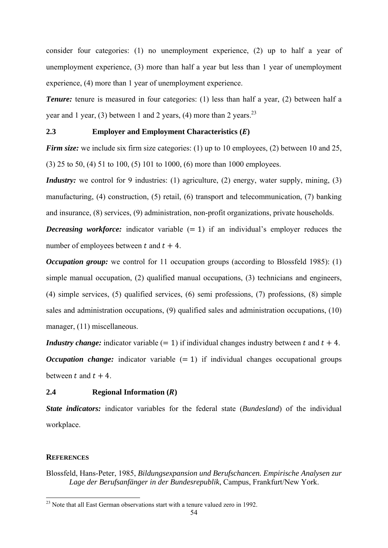consider four categories: (1) no unemployment experience, (2) up to half a year of unemployment experience, (3) more than half a year but less than 1 year of unemployment experience, (4) more than 1 year of unemployment experience.

*Tenure:* tenure is measured in four categories: (1) less than half a year, (2) between half a year and 1 year, (3) between 1 and 2 years, (4) more than 2 years. $^{23}$ 

# **2.3** Employer and Employment Characteristics (*E*)

*Firm size:* we include six firm size categories: (1) up to 10 employees, (2) between 10 and 25, (3) 25 to 50, (4) 51 to 100, (5) 101 to 1000, (6) more than 1000 employees.

*Industry:* we control for 9 industries: (1) agriculture, (2) energy, water supply, mining, (3) manufacturing, (4) construction, (5) retail, (6) transport and telecommunication, (7) banking and insurance, (8) services, (9) administration, non-profit organizations, private households.

*Decreasing workforce:* indicator variable  $(= 1)$  if an individual's employer reduces the number of employees between t and  $t + 4$ .

*Occupation group:* we control for 11 occupation groups (according to Blossfeld 1985): (1) simple manual occupation, (2) qualified manual occupations, (3) technicians and engineers, (4) simple services, (5) qualified services, (6) semi professions, (7) professions, (8) simple sales and administration occupations, (9) qualified sales and administration occupations, (10) manager, (11) miscellaneous.

*Industry change:* indicator variable  $(= 1)$  if individual changes industry between t and  $t + 4$ . *Occupation change:* indicator variable  $(= 1)$  if individual changes occupational groups between t and  $t + 4$ 

#### **2.4** Regional Information (*R*)

*State indicators:* indicator variables for the federal state (*Bundesland*) of the individual workplace.

# **REFERENCES**

-

Blossfeld, Hans-Peter, 1985, *Bildungsexpansion und Berufschancen. Empirische Analysen zur Lage der Berufsanfänger in der Bundesrepublik*, Campus, Frankfurt/New York.

 $^{23}$  Note that all East German observations start with a tenure valued zero in 1992.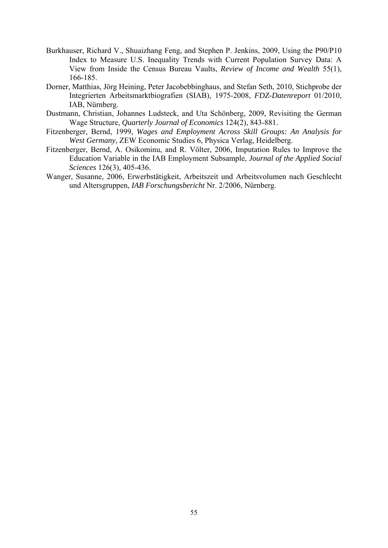- Burkhauser, Richard V., Shuaizhang Feng, and Stephen P. Jenkins, 2009, Using the P90/P10 Index to Measure U.S. Inequality Trends with Current Population Survey Data: A View from Inside the Census Bureau Vaults, *Review of Income and Wealth* 55(1), 166-185.
- Dorner, Matthias, Jörg Heining, Peter Jacobebbinghaus, and Stefan Seth, 2010, Stichprobe der Integrierten Arbeitsmarktbiografien (SIAB), 1975-2008, *FDZ-Datenreport* 01/2010, IAB, Nürnberg.
- Dustmann, Christian, Johannes Ludsteck, and Uta Schönberg, 2009, Revisiting the German Wage Structure, *Quarterly Journal of Economics* 124(2), 843-881.
- Fitzenberger, Bernd, 1999, *Wages and Employment Across Skill Groups: An Analysis for West Germany*, ZEW Economic Studies 6, Physica Verlag, Heidelberg.
- Fitzenberger, Bernd, A. Osikominu, and R. Völter, 2006, Imputation Rules to Improve the Education Variable in the IAB Employment Subsample, *Journal of the Applied Social Sciences* 126(3), 405-436.
- Wanger, Susanne, 2006, Erwerbstätigkeit, Arbeitszeit und Arbeitsvolumen nach Geschlecht und Altersgruppen, *IAB Forschungsbericht* Nr. 2/2006, Nürnberg.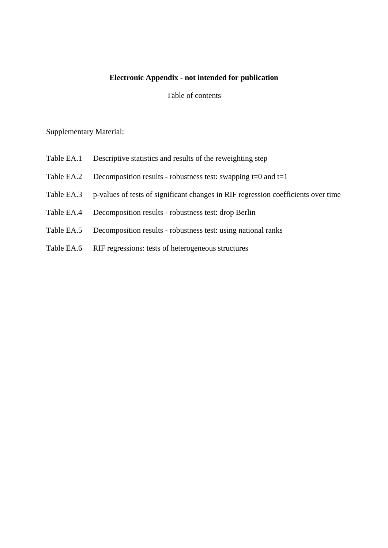# **Electronic Appendix - not intended for publication**

## Table of contents

# Supplementary Material:

- Table EA.1 Descriptive statistics and results of the reweighting step
- Table EA.2 Decomposition results robustness test: swapping  $t=0$  and  $t=1$
- Table EA.3 p-values of tests of significant changes in RIF regression coefficients over time
- Table EA.4 Decomposition results robustness test: drop Berlin
- Table EA.5 Decomposition results robustness test: using national ranks
- Table EA.6 RIF regressions: tests of heterogeneous structures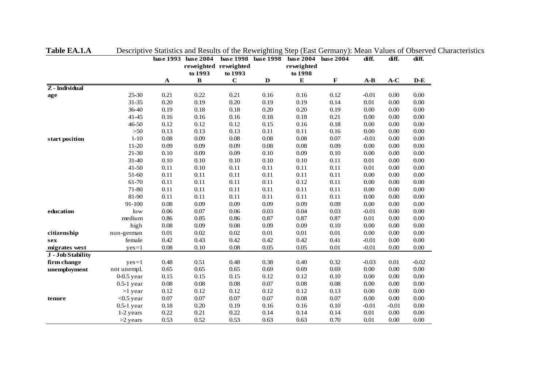|                   |              |             | base 1993 base 2004     |                        | base 1998 base 1998 | base 2004            | base 2004   | diff.                          | diff.    | diff.                          |
|-------------------|--------------|-------------|-------------------------|------------------------|---------------------|----------------------|-------------|--------------------------------|----------|--------------------------------|
|                   |              |             |                         | reweighted reweighted  |                     | reweighted           |             |                                |          |                                |
|                   |              | $\mathbf A$ | to 1993<br>$\, {\bf B}$ | to 1993<br>$\mathbf C$ | $\mathbf D$         | to 1998<br>${\bf E}$ | $\mathbf F$ | $\mathbf{A}\text{-}\mathbf{B}$ | $A-C$    | $\mathbf{D}\text{-}\mathbf{E}$ |
| $Z$ - Individual  |              |             |                         |                        |                     |                      |             |                                |          |                                |
| age               | 25-30        | 0.21        | 0.22                    | 0.21                   | 0.16                | 0.16                 | 0.12        | $-0.01$                        | 0.00     | 0.00                           |
|                   | $31 - 35$    | 0.20        | 0.19                    | $0.20\,$               | 0.19                | 0.19                 | 0.14        | $0.01\,$                       | $0.00\,$ | $0.00\,$                       |
|                   | 36-40        | 0.19        | $0.18\,$                | $0.18\,$               | 0.20                | 0.20                 | 0.19        | 0.00                           | $0.00\,$ | $0.00\,$                       |
|                   | $41 - 45$    | 0.16        | 0.16                    | 0.16                   | $0.18\,$            | $0.18\,$             | 0.21        | 0.00                           | 0.00     | $0.00\,$                       |
|                   | 46-50        | 0.12        | 0.12                    | 0.12                   | 0.15                | 0.16                 | 0.18        | 0.00                           | 0.00     | $0.00\,$                       |
|                   | $>50$        | 0.13        | 0.13                    | 0.13                   | 0.11                | 0.11                 | 0.16        | 0.00                           | 0.00     | $0.00\,$                       |
| start position    | $1 - 10$     | $0.08\,$    | 0.09                    | 0.08                   | $0.08\,$            | 0.08                 | $0.07\,$    | $-0.01$                        | 0.00     | $0.00\,$                       |
|                   | 11-20        | 0.09        | 0.09                    | 0.09                   | $0.08\,$            | $0.08\,$             | 0.09        | 0.00                           | 0.00     | $0.00\,$                       |
|                   | 21-30        | 0.10        | 0.09                    | 0.09                   | 0.10                | 0.09                 | 0.10        | 0.00                           | 0.00     | $0.00\,$                       |
|                   | 31-40        | 0.10        | 0.10                    | $0.10\,$               | 0.10                | 0.10                 | 0.11        | 0.01                           | 0.00     | $0.00\,$                       |
|                   | 41-50        | 0.11        | 0.10                    | 0.11                   | 0.11                | 0.11                 | 0.11        | 0.01                           | 0.00     | 0.00                           |
|                   | 51-60        | 0.11        | 0.11                    | 0.11                   | 0.11                | 0.11                 | 0.11        | 0.00                           | 0.00     | 0.00                           |
|                   | 61-70        | 0.11        | 0.11                    | 0.11                   | 0.11                | 0.12                 | 0.11        | 0.00                           | 0.00     | $0.00\,$                       |
|                   | 71-80        | 0.11        | 0.11                    | 0.11                   | 0.11                | 0.11                 | 0.11        | 0.00                           | 0.00     | 0.00                           |
|                   | 81-90        | 0.11        | 0.11                    | 0.11                   | 0.11                | 0.11                 | 0.11        | 0.00                           | 0.00     | 0.00                           |
|                   | 91-100       | 0.08        | 0.09                    | 0.09                   | 0.09                | 0.09                 | 0.09        | 0.00                           | 0.00     | 0.00                           |
| education         | low          | 0.06        | 0.07                    | 0.06                   | 0.03                | 0.04                 | 0.03        | $-0.01$                        | 0.00     | $0.00\,$                       |
|                   | medium       | 0.86        | 0.85                    | 0.86                   | 0.87                | 0.87                 | 0.87        | 0.01                           | 0.00     | $0.00\,$                       |
|                   | high         | $0.08\,$    | 0.09                    | 0.08                   | 0.09                | 0.09                 | 0.10        | 0.00                           | 0.00     | 0.00                           |
| citizenship       | non-german   | $0.01\,$    | 0.02                    | 0.02                   | 0.01                | 0.01                 | 0.01        | 0.00                           | 0.00     | $0.00\,$                       |
| sex               | female       | 0.42        | 0.43                    | 0.42                   | 0.42                | 0.42                 | 0.41        | $-0.01$                        | $0.00\,$ | $0.00\,$                       |
| migrates west     | $yes=1$      | 0.08        | 0.10                    | 0.08                   | 0.05                | 0.05                 | 0.01        | $-0.01$                        | 0.00     | 0.00                           |
| J - Job Stability |              |             |                         |                        |                     |                      |             |                                |          |                                |
| firm change       | $yes=1$      | 0.48        | 0.51                    | 0.48                   | 0.38                | 0.40                 | 0.32        | $-0.03$                        | 0.01     | $-0.02$                        |
| unemployment      | not unempl.  | 0.65        | 0.65                    | 0.65                   | 0.69                | 0.69                 | 0.69        | 0.00                           | 0.00     | $0.00\,$                       |
|                   | $0-0.5$ year | 0.15        | 0.15                    | 0.15                   | 0.12                | 0.12                 | 0.10        | 0.00                           | $0.00\,$ | $0.00\,$                       |
|                   | $0.5-1$ year | $0.08\,$    | $0.08\,$                | $0.08\,$               | 0.07                | 0.08                 | $0.08\,$    | 0.00                           | 0.00     | $0.00\,$                       |
|                   | $>1$ year    | 0.12        | 0.12                    | 0.12                   | 0.12                | 0.12                 | 0.13        | 0.00                           | 0.00     | 0.00                           |
| tenure            | $<$ 0.5 year | 0.07        | 0.07                    | 0.07                   | 0.07                | 0.08                 | 0.07        | 0.00                           | 0.00     | 0.00                           |
|                   | $0.5-1$ year | $0.18\,$    | 0.20                    | 0.19                   | 0.16                | 0.16                 | 0.10        | $-0.01$                        | $-0.01$  | 0.00                           |
|                   | 1-2 years    | 0.22        | 0.21                    | 0.22                   | 0.14                | 0.14                 | 0.14        | 0.01                           | 0.00     | 0.00                           |
|                   | $>2$ years   | 0.53        | 0.52                    | 0.53                   | 0.63                | 0.63                 | 0.70        | 0.01                           | $0.00\,$ | 0.00                           |

**Table EA.1.A** Descriptive Statistics and Results of the Reweighting Step (East Germany): Mean Values of Observed Characteristics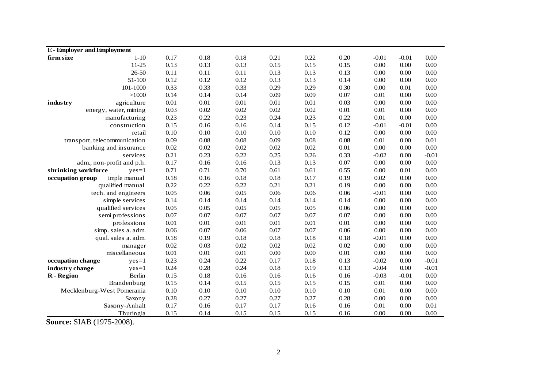| <b>E-Employer and Employment</b> |      |          |          |          |          |          |          |          |                   |
|----------------------------------|------|----------|----------|----------|----------|----------|----------|----------|-------------------|
| $1 - 10$<br>firm size            | 0.17 | $0.18\,$ | 0.18     | 0.21     | 0.22     | 0.20     | $-0.01$  | $-0.01$  | $0.00\,$          |
| $11 - 25$                        | 0.13 | 0.13     | 0.13     | 0.15     | 0.15     | 0.15     | $0.00\,$ | 0.00     | $0.00\,$          |
| 26-50                            | 0.11 | 0.11     | 0.11     | 0.13     | 0.13     | 0.13     | 0.00     | 0.00     | $0.00\,$          |
| 51-100                           | 0.12 | 0.12     | 0.12     | 0.13     | 0.13     | 0.14     | 0.00     | 0.00     | $0.00\,$          |
| 101-1000                         | 0.33 | 0.33     | 0.33     | 0.29     | 0.29     | 0.30     | 0.00     | 0.01     | 0.00              |
| >1000                            | 0.14 | 0.14     | 0.14     | 0.09     | 0.09     | 0.07     | 0.01     | 0.00     | 0.00              |
| industry<br>agriculture          | 0.01 | 0.01     | 0.01     | 0.01     | 0.01     | 0.03     | 0.00     | 0.00     | 0.00              |
| energy, water, mining            | 0.03 | 0.02     | 0.02     | 0.02     | 0.02     | $0.01\,$ | 0.01     | 0.00     | 0.00              |
| manufacturing                    | 0.23 | 0.22     | 0.23     | 0.24     | 0.23     | 0.22     | 0.01     | 0.00     | 0.00              |
| construction                     | 0.15 | 0.16     | 0.16     | 0.14     | 0.15     | 0.12     | $-0.01$  | $-0.01$  | $0.00\,$          |
| retail                           | 0.10 | 0.10     | 0.10     | 0.10     | 0.10     | 0.12     | 0.00     | 0.00     | $0.00\,$          |
| transport, telecommunication     | 0.09 | 0.08     | $0.08\,$ | 0.09     | 0.08     | 0.08     | 0.01     | $0.00\,$ | 0.01              |
| banking and insurance            | 0.02 | 0.02     | 0.02     | 0.02     | 0.02     | 0.01     | 0.00     | 0.00     | $0.00\,$          |
| services                         | 0.21 | 0.23     | 0.22     | 0.25     | 0.26     | 0.33     | $-0.02$  | 0.00     | $-0.01$           |
| adm., non-profit and p.h.        | 0.17 | 0.16     | 0.16     | 0.13     | 0.13     | 0.07     | 0.00     | 0.00     | $0.00\,$          |
| shrinking workforce<br>$yes=1$   | 0.71 | 0.71     | 0.70     | 0.61     | 0.61     | 0.55     | 0.00     | 0.01     | $0.00\,$          |
| occupation group<br>imple manual | 0.18 | 0.16     | 0.18     | $0.18\,$ | 0.17     | 0.19     | 0.02     | $0.00\,$ | $0.00\,$          |
| qualified manual                 | 0.22 | 0.22     | 0.22     | 0.21     | 0.21     | 0.19     | 0.00     | $0.00\,$ | 0.00              |
| tech. and engineers              | 0.05 | 0.06     | 0.05     | 0.06     | 0.06     | 0.06     | $-0.01$  | 0.00     | $0.00\,$          |
| simple services                  | 0.14 | 0.14     | 0.14     | 0.14     | 0.14     | 0.14     | 0.00     | 0.00     | $0.00\,$          |
| qualified services               | 0.05 | 0.05     | 0.05     | 0.05     | 0.05     | 0.06     | 0.00     | $0.00\,$ | $0.00\,$          |
| semi professions                 | 0.07 | 0.07     | $0.07\,$ | $0.07\,$ | 0.07     | $0.07\,$ | 0.00     | 0.00     | $0.00\,$          |
| professions                      | 0.01 | 0.01     | $0.01\,$ | 0.01     | $0.01\,$ | $0.01\,$ | 0.00     | 0.00     | $0.00\,$          |
| simp. sales a. adm.              | 0.06 | 0.07     | 0.06     | 0.07     | 0.07     | 0.06     | 0.00     | 0.00     | $0.00\,$          |
| qual. sales a. adm.              | 0.18 | 0.19     | 0.18     | 0.18     | 0.18     | 0.18     | $-0.01$  | 0.00     | $0.00\,$          |
| manager                          | 0.02 | 0.03     | 0.02     | 0.02     | 0.02     | 0.02     | 0.00     | 0.00     | 0.00              |
| miscellaneous                    | 0.01 | 0.01     | $0.01\,$ | $0.00\,$ | 0.00     | $0.01\,$ | 0.00     | 0.00     | 0.00              |
| occupation change<br>$yes=1$     | 0.23 | 0.24     | 0.22     | 0.17     | 0.18     | 0.13     | $-0.02$  | 0.00     | $-0.01$           |
| industry change<br>$yes=1$       | 0.24 | 0.28     | 0.24     | 0.18     | 0.19     | 0.13     | $-0.04$  | 0.00     | $-0.01$           |
| Berlin<br><b>R</b> - Region      | 0.15 | 0.18     | 0.16     | 0.16     | 0.16     | 0.16     | $-0.03$  | $-0.01$  | $\overline{0.00}$ |
| Brandenburg                      | 0.15 | 0.14     | 0.15     | 0.15     | 0.15     | 0.15     | 0.01     | 0.00     | $0.00\,$          |
| Mecklenburg-West Pomerania       | 0.10 | 0.10     | 0.10     | 0.10     | 0.10     | 0.10     | 0.01     | $0.00\,$ | $0.00\,$          |
| Saxony                           | 0.28 | 0.27     | 0.27     | 0.27     | 0.27     | 0.28     | 0.00     | 0.00     | $0.00\,$          |
| Saxony-Anhalt                    | 0.17 | 0.16     | 0.17     | 0.17     | 0.16     | 0.16     | 0.01     | 0.00     | 0.01              |
| Thuringia                        | 0.15 | 0.14     | 0.15     | 0.15     | 0.15     | 0.16     | 0.00     | 0.00     | 0.00              |

**Source:** SIAB (1975-2008).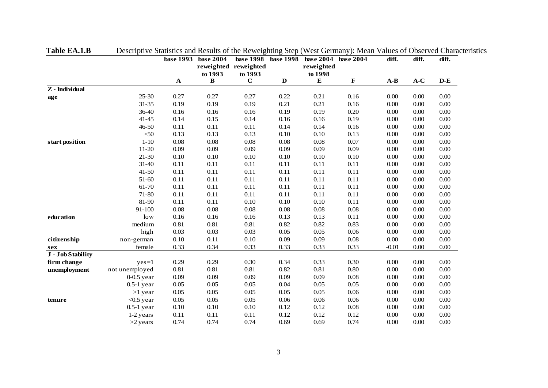|                   |                | base 1993   | base 2004    | base 1998             | base 1998   | base 2004  | base 2004   | diff.    | diff. | diff.    |
|-------------------|----------------|-------------|--------------|-----------------------|-------------|------------|-------------|----------|-------|----------|
|                   |                |             |              | reweighted reweighted |             | reweighted |             |          |       |          |
|                   |                |             | to 1993      | to 1993               |             | to 1998    |             |          |       |          |
|                   |                | $\mathbf A$ | $\, {\bf B}$ | $\mathbf C$           | $\mathbf D$ | ${\bf E}$  | $\mathbf F$ | $A-B$    | $A-C$ | $D-E$    |
| $Z$ - Individual  |                |             |              |                       |             |            |             |          |       |          |
| age               | $25 - 30$      | 0.27        | 0.27         | 0.27                  | 0.22        | 0.21       | 0.16        | 0.00     | 0.00  | $0.00\,$ |
|                   | $31 - 35$      | 0.19        | 0.19         | 0.19                  | 0.21        | 0.21       | 0.16        | 0.00     | 0.00  | $0.00\,$ |
|                   | 36-40          | 0.16        | 0.16         | 0.16                  | 0.19        | 0.19       | 0.20        | 0.00     | 0.00  | 0.00     |
|                   | $41 - 45$      | 0.14        | 0.15         | 0.14                  | 0.16        | 0.16       | 0.19        | 0.00     | 0.00  | 0.00     |
|                   | $46 - 50$      | 0.11        | 0.11         | 0.11                  | 0.14        | 0.14       | 0.16        | 0.00     | 0.00  | 0.00     |
|                   | $>50$          | 0.13        | 0.13         | 0.13                  | 0.10        | $0.10\,$   | 0.13        | $0.00\,$ | 0.00  | $0.00\,$ |
| start position    | $1-10$         | 0.08        | 0.08         | 0.08                  | 0.08        | 0.08       | 0.07        | 0.00     | 0.00  | 0.00     |
|                   | 11-20          | 0.09        | 0.09         | 0.09                  | 0.09        | 0.09       | 0.09        | 0.00     | 0.00  | 0.00     |
|                   | 21-30          | 0.10        | 0.10         | $0.10\,$              | $0.10\,$    | $0.10\,$   | 0.10        | 0.00     | 0.00  | 0.00     |
|                   | $31 - 40$      | 0.11        | 0.11         | 0.11                  | 0.11        | 0.11       | 0.11        | 0.00     | 0.00  | 0.00     |
|                   | $41 - 50$      | 0.11        | 0.11         | 0.11                  | 0.11        | 0.11       | 0.11        | 0.00     | 0.00  | 0.00     |
|                   | 51-60          | 0.11        | 0.11         | 0.11                  | 0.11        | 0.11       | 0.11        | 0.00     | 0.00  | 0.00     |
|                   | 61-70          | 0.11        | 0.11         | 0.11                  | 0.11        | 0.11       | 0.11        | 0.00     | 0.00  | 0.00     |
|                   | 71-80          | 0.11        | 0.11         | 0.11                  | 0.11        | 0.11       | 0.11        | $0.00\,$ | 0.00  | 0.00     |
|                   | 81-90          | 0.11        | 0.11         | 0.10                  | 0.10        | 0.10       | 0.11        | 0.00     | 0.00  | $0.00\,$ |
|                   | 91-100         | 0.08        | 0.08         | 0.08                  | 0.08        | 0.08       | 0.08        | 0.00     | 0.00  | 0.00     |
| education         | low            | 0.16        | 0.16         | 0.16                  | 0.13        | 0.13       | 0.11        | 0.00     | 0.00  | 0.00     |
|                   | medium         | 0.81        | 0.81         | 0.81                  | 0.82        | 0.82       | 0.83        | 0.00     | 0.00  | 0.00     |
|                   | high           | 0.03        | 0.03         | 0.03                  | 0.05        | 0.05       | 0.06        | $0.00\,$ | 0.00  | 0.00     |
| citizenship       | non-german     | 0.10        | 0.11         | 0.10                  | 0.09        | 0.09       | 0.08        | 0.00     | 0.00  | $0.00\,$ |
| sex               | female         | 0.33        | 0.34         | 0.33                  | 0.33        | 0.33       | 0.33        | $-0.01$  | 0.00  | 0.00     |
| J - Job Stability |                |             |              |                       |             |            |             |          |       |          |
| firm change       | $yes=1$        | 0.29        | 0.29         | 0.30                  | 0.34        | 0.33       | 0.30        | 0.00     | 0.00  | 0.00     |
| unemployment      | not unemployed | 0.81        | 0.81         | 0.81                  | 0.82        | 0.81       | 0.80        | 0.00     | 0.00  | 0.00     |
|                   | $0-0.5$ year   | 0.09        | 0.09         | 0.09                  | 0.09        | 0.09       | $0.08\,$    | 0.00     | 0.00  | 0.00     |
|                   | $0.5-1$ year   | 0.05        | 0.05         | 0.05                  | 0.04        | 0.05       | 0.05        | 0.00     | 0.00  | 0.00     |
|                   | $>1$ year      | 0.05        | 0.05         | 0.05                  | 0.05        | 0.05       | 0.06        | 0.00     | 0.00  | 0.00     |
| tenure            | $<$ 0.5 year   | 0.05        | 0.05         | 0.05                  | 0.06        | 0.06       | 0.06        | 0.00     | 0.00  | 0.00     |
|                   | $0.5-1$ year   | 0.10        | 0.10         | 0.10                  | 0.12        | 0.12       | 0.08        | 0.00     | 0.00  | 0.00     |
|                   | 1-2 years      | 0.11        | 0.11         | 0.11                  | 0.12        | 0.12       | 0.12        | 0.00     | 0.00  | 0.00     |
|                   | $>2$ years     | 0.74        | 0.74         | 0.74                  | 0.69        | 0.69       | 0.74        | 0.00     | 0.00  | 0.00     |

**Table EA.1.B** Descriptive Statistics and Results of the Reweighting Step (West Germany): Mean Values of Observed Characteristics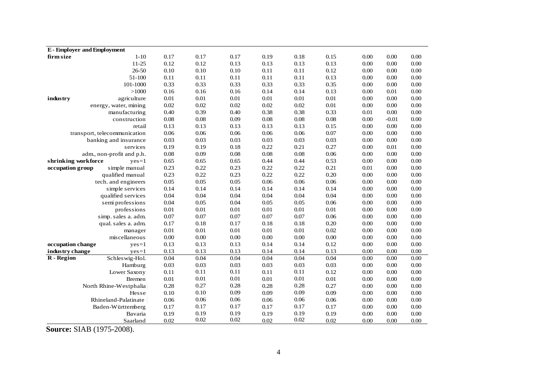| <b>E</b> - Employer and Employment |          |          |          |          |          |          |          |         |          |
|------------------------------------|----------|----------|----------|----------|----------|----------|----------|---------|----------|
| $1 - 10$<br>firm size              | 0.17     | 0.17     | 0.17     | 0.19     | 0.18     | 0.15     | 0.00     | 0.00    | 0.00     |
| $11 - 25$                          | 0.12     | 0.12     | 0.13     | 0.13     | 0.13     | 0.13     | 0.00     | 0.00    | $0.00\,$ |
| $26 - 50$                          | 0.10     | $0.10\,$ | 0.10     | 0.11     | 0.11     | 0.12     | 0.00     | 0.00    | $0.00\,$ |
| 51-100                             | 0.11     | 0.11     | 0.11     | 0.11     | 0.11     | 0.13     | 0.00     | 0.00    | $0.00\,$ |
| 101-1000                           | 0.33     | 0.33     | 0.33     | 0.33     | 0.33     | 0.35     | 0.00     | 0.00    | $0.00\,$ |
| >1000                              | 0.16     | 0.16     | 0.16     | 0.14     | 0.14     | 0.13     | 0.00     | 0.01    | $0.00\,$ |
| industry<br>agriculture            | 0.01     | $0.01\,$ | $0.01\,$ | $0.01\,$ | 0.01     | 0.01     | 0.00     | 0.00    | 0.00     |
| energy, water, mining              | 0.02     | 0.02     | 0.02     | 0.02     | 0.02     | 0.01     | 0.00     | 0.00    | 0.00     |
| manufacturing                      | 0.40     | 0.39     | 0.40     | 0.38     | 0.38     | 0.33     | 0.01     | 0.00    | 0.00     |
| construction                       | 0.08     | 0.08     | 0.09     | 0.08     | $0.08\,$ | $0.08\,$ | 0.00     | $-0.01$ | $0.00\,$ |
| retail                             | 0.13     | 0.13     | 0.13     | 0.13     | 0.13     | $0.15\,$ | 0.00     | 0.00    | $0.00\,$ |
| transport, telecommunication       | 0.06     | 0.06     | 0.06     | 0.06     | 0.06     | 0.07     | 0.00     | 0.00    | $0.00\,$ |
| banking and insurance              | 0.03     | 0.03     | 0.03     | 0.03     | 0.03     | 0.03     | $0.00\,$ | 0.00    | $0.00\,$ |
| services                           | 0.19     | 0.19     | 0.18     | 0.22     | 0.21     | 0.27     | 0.00     | 0.01    | $0.00\,$ |
| adm., non-profit and p.h.          | 0.08     | 0.09     | 0.08     | $0.08\,$ | $0.08\,$ | 0.06     | 0.00     | 0.00    | $0.00\,$ |
| shrinking workforce<br>$yes=1$     | 0.65     | 0.65     | 0.65     | 0.44     | 0.44     | 0.53     | 0.00     | 0.00    | $0.00\,$ |
| simple manual<br>occupation group  | 0.23     | 0.22     | 0.23     | 0.22     | 0.22     | 0.21     | 0.01     | 0.00    | 0.00     |
| qualified manual                   | 0.23     | 0.22     | 0.23     | 0.22     | 0.22     | 0.20     | 0.00     | 0.00    | 0.00     |
| tech. and engineers                | 0.05     | 0.05     | 0.05     | 0.06     | 0.06     | 0.06     | 0.00     | 0.00    | $0.00\,$ |
| simple services                    | 0.14     | 0.14     | 0.14     | 0.14     | 0.14     | 0.14     | 0.00     | 0.00    | $0.00\,$ |
| qualified services                 | 0.04     | 0.04     | 0.04     | 0.04     | 0.04     | 0.04     | 0.00     | 0.00    | $0.00\,$ |
| semi professions                   | 0.04     | 0.05     | 0.04     | 0.05     | 0.05     | 0.06     | 0.00     | 0.00    | $0.00\,$ |
| professions                        | 0.01     | $0.01\,$ | 0.01     | $0.01\,$ | $0.01\,$ | $0.01\,$ | 0.00     | 0.00    | $0.00\,$ |
| simp. sales a. adm.                | 0.07     | 0.07     | 0.07     | 0.07     | 0.07     | 0.06     | 0.00     | 0.00    | 0.00     |
| qual. sales a. adm.                | 0.17     | 0.18     | 0.17     | 0.18     | 0.18     | 0.20     | 0.00     | 0.00    | 0.00     |
| manager                            | 0.01     | 0.01     | 0.01     | 0.01     | 0.01     | 0.02     | 0.00     | 0.00    | 0.00     |
| miscellaneous                      | 0.00     | 0.00     | 0.00     | $0.00\,$ | $0.00\,$ | $0.00\,$ | 0.00     | 0.00    | $0.00\,$ |
| occupation change<br>$yes=1$       | 0.13     | 0.13     | 0.13     | 0.14     | 0.14     | 0.12     | 0.00     | 0.00    | $0.00\,$ |
| industry change<br>$yes=1$         | 0.13     | 0.13     | 0.13     | 0.14     | 0.14     | 0.13     | 0.00     | 0.00    | $0.00\,$ |
| R - Region<br>Schleswig-Hol.       | 0.04     | 0.04     | 0.04     | 0.04     | 0.04     | 0.04     | 0.00     | 0.00    | 0.00     |
| Hamburg                            | 0.03     | 0.03     | 0.03     | 0.03     | 0.03     | 0.03     | 0.00     | 0.00    | 0.00     |
| Lower Saxony                       | 0.11     | 0.11     | 0.11     | 0.11     | 0.11     | 0.12     | 0.00     | 0.00    | 0.00     |
| <b>Bremen</b>                      | $0.01\,$ | $0.01\,$ | 0.01     | 0.01     | 0.01     | 0.01     | 0.00     | 0.00    | 0.00     |
| North Rhine-Westphalia             | 0.28     | 0.27     | 0.28     | 0.28     | 0.28     | 0.27     | 0.00     | 0.00    | 0.00     |
| Hesse                              | 0.10     | 0.10     | 0.09     | 0.09     | 0.09     | 0.09     | 0.00     | 0.00    | 0.00     |
| Rhineland-Palatinate               | 0.06     | 0.06     | 0.06     | 0.06     | 0.06     | 0.06     | 0.00     | 0.00    | $0.00\,$ |
| Baden-Württemberg                  | 0.17     | 0.17     | 0.17     | 0.17     | 0.17     | 0.17     | 0.00     | 0.00    | $0.00\,$ |
| Bavaria                            | 0.19     | 0.19     | 0.19     | 0.19     | 0.19     | 0.19     | 0.00     | 0.00    | $0.00\,$ |
| Saarland                           | 0.02     | 0.02     | 0.02     | 0.02     | 0.02     | 0.02     | 0.00     | 0.00    | 0.00     |

**Source:** SIAB (1975-2008).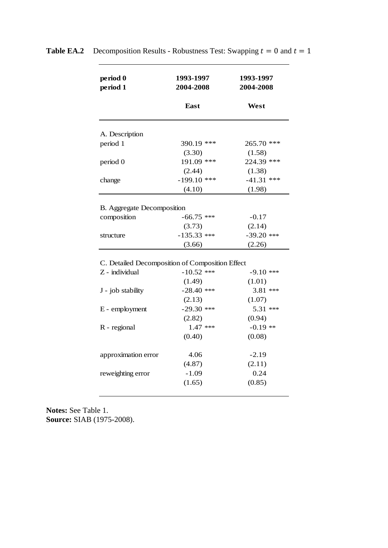| period 0<br>period 1                            | 1993-1997<br>2004-2008 | 1993-1997<br>2004-2008 |  |  |
|-------------------------------------------------|------------------------|------------------------|--|--|
|                                                 | East                   | West                   |  |  |
| A. Description                                  |                        |                        |  |  |
| period 1                                        | 390.19 ***             | 265.70 ***             |  |  |
|                                                 | (3.30)                 | (1.58)                 |  |  |
| period 0                                        | 191.09 ***             | 224.39 ***             |  |  |
|                                                 | (2.44)                 | (1.38)                 |  |  |
| change                                          | $-199.10$ ***          | $-41.31$ ***           |  |  |
|                                                 | (4.10)                 | (1.98)                 |  |  |
|                                                 |                        |                        |  |  |
| B. Aggregate Decomposition                      |                        |                        |  |  |
| composition                                     | $-66.75$ ***           | $-0.17$                |  |  |
|                                                 | (3.73)                 | (2.14)                 |  |  |
| structure                                       | $-135.33$ ***          | $-39.20$ ***           |  |  |
|                                                 | (3.66)                 | (2.26)                 |  |  |
| C. Detailed Decomposition of Composition Effect |                        |                        |  |  |
| Z - individual                                  | $-10.52$ ***           | -9.10 ***              |  |  |
|                                                 | (1.49)                 | (1.01)                 |  |  |
|                                                 | $-28.40$ ***           | 3.81 ***               |  |  |
| J - job stability                               | (2.13)                 | (1.07)                 |  |  |
| E - employment                                  | $-29.30$ ***           | 5.31 ***               |  |  |
|                                                 | (2.82)                 | (0.94)                 |  |  |
| R - regional                                    | $1.47$ ***             | $-0.19$ **             |  |  |
|                                                 | (0.40)                 | (0.08)                 |  |  |
|                                                 |                        |                        |  |  |
| approximation error                             | 4.06                   | $-2.19$                |  |  |
|                                                 | (4.87)                 | (2.11)                 |  |  |
| reweighting error                               | $-1.09$                | 0.24                   |  |  |
|                                                 |                        |                        |  |  |

**Table EA.2** Decomposition Results - Robustness Test: Swapping  $t = 0$  and  $t = 1$ 

**Notes:** See Table 1. **Source:** SIAB (1975-2008).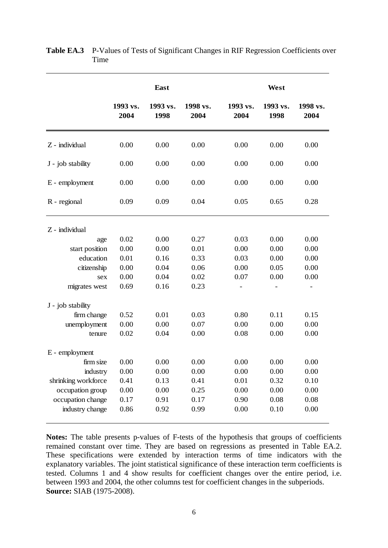|                     |                  | East             |                  |                  | West             |                  |  |
|---------------------|------------------|------------------|------------------|------------------|------------------|------------------|--|
|                     | 1993 vs.<br>2004 | 1993 vs.<br>1998 | 1998 vs.<br>2004 | 1993 vs.<br>2004 | 1993 vs.<br>1998 | 1998 vs.<br>2004 |  |
| Z - individual      | 0.00             | 0.00             | 0.00             | 0.00             | 0.00             | 0.00             |  |
| J - job stability   | 0.00             | 0.00             | 0.00             | 0.00             | 0.00             | 0.00             |  |
| E - employment      | 0.00             | 0.00             | 0.00             | 0.00             | 0.00             | 0.00             |  |
| R - regional        | 0.09             | 0.09             | 0.04             | 0.05             |                  | 0.28             |  |
| Z - individual      |                  |                  |                  |                  |                  |                  |  |
| age                 | 0.02             | 0.00             | 0.27             | 0.03             | 0.00             | 0.00             |  |
| start position      | 0.00             | 0.00             | 0.01             | 0.00             | 0.00             | 0.00             |  |
| education           | 0.01             | 0.16             | 0.33             | 0.03             | 0.00             | 0.00             |  |
| citizenship         | 0.00             | 0.04             | 0.06             | 0.00             | 0.05             | 0.00             |  |
| sex                 | 0.00             | 0.04             | 0.02             | 0.07             | 0.00             | 0.00             |  |
| migrates west       | 0.69             | 0.16             | 0.23             |                  |                  |                  |  |
| J - job stability   |                  |                  |                  |                  |                  |                  |  |
| firm change         | 0.52             | 0.01             | 0.03             | 0.80             | 0.11             | 0.15             |  |
| unemployment        | 0.00             | 0.00             | 0.07             | 0.00             | 0.00             | 0.00             |  |
| tenure              | 0.02             | 0.04             | 0.00             | 0.08             | 0.00             | 0.00             |  |
| E - employment      |                  |                  |                  |                  |                  |                  |  |
| firm size           | 0.00             | 0.00             | 0.00             | 0.00             | 0.00             | 0.00             |  |
| industry            | 0.00             | 0.00             | 0.00             | 0.00             | 0.00             | 0.00             |  |
| shrinking workforce | 0.41             | 0.13             | 0.41             | 0.01             | 0.32             | 0.10             |  |
| occupation group    | 0.00             | 0.00             | 0.25             | 0.00             | 0.00             | 0.00             |  |
| occupation change   | 0.17             | 0.91             | 0.17             | 0.90             | 0.08             | 0.08             |  |
| industry change     | 0.86             | 0.92             | 0.99             | 0.00             | 0.10             | 0.00             |  |

Table EA.3 P-Values of Tests of Significant Changes in RIF Regression Coefficients over Time

**Notes:** The table presents p-values of F-tests of the hypothesis that groups of coefficients remained constant over time. They are based on regressions as presented in Table EA.2. These specifications were extended by interaction terms of time indicators with the explanatory variables. The joint statistical significance of these interaction term coefficients is tested. Columns 1 and 4 show results for coefficient changes over the entire period, i.e. between 1993 and 2004, the other columns test for coefficient changes in the subperiods. **Source:** SIAB (1975-2008).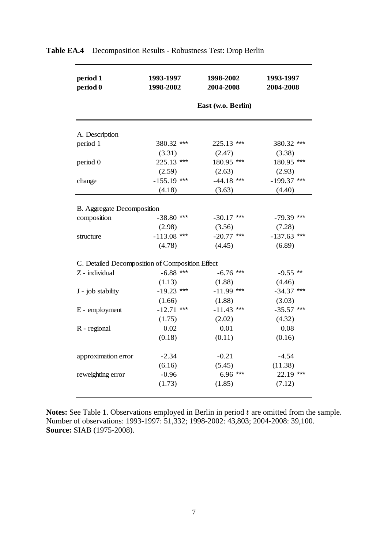| period 1<br>period 0                            | 1993-1997<br>1998-2002 | 1998-2002<br>2004-2008 | 1993-1997<br>2004-2008 |  |  |
|-------------------------------------------------|------------------------|------------------------|------------------------|--|--|
|                                                 |                        | East (w.o. Berlin)     |                        |  |  |
|                                                 |                        |                        |                        |  |  |
| A. Description                                  |                        |                        |                        |  |  |
| period 1                                        | 380.32 ***             | 225.13 ***             | 380.32 ***             |  |  |
|                                                 | (3.31)                 | (2.47)                 | (3.38)                 |  |  |
| period 0                                        | 225.13 ***             | 180.95 ***             | 180.95 ***             |  |  |
|                                                 | (2.59)                 | (2.63)                 | (2.93)                 |  |  |
| change                                          | $-155.19$ ***          | $-44.18$ ***           | $-199.37$ ***          |  |  |
|                                                 | (4.18)                 | (3.63)                 | (4.40)                 |  |  |
| <b>B.</b> Aggregate Decomposition               |                        |                        |                        |  |  |
| composition                                     | $-38.80$ ***           | $-30.17$ ***           | $-79.39$ ***           |  |  |
|                                                 | (2.98)                 | (3.56)                 | (7.28)                 |  |  |
|                                                 | $-113.08$ ***          | $-20.77$ ***           | $-137.63$ ***          |  |  |
| structure                                       |                        | (4.45)                 | (6.89)                 |  |  |
|                                                 | (4.78)                 |                        |                        |  |  |
| C. Detailed Decomposition of Composition Effect |                        |                        |                        |  |  |
| Z - individual                                  | $-6.88$ ***            | $-6.76$ ***            | $-9.55$ **             |  |  |
|                                                 | (1.13)                 | (1.88)                 | (4.46)                 |  |  |
| J - job stability                               | $-19.23$ ***           | $-11.99$ ***           | $-34.37$ ***           |  |  |
|                                                 | (1.66)                 | (1.88)                 | (3.03)                 |  |  |
| E - employment                                  | $-12.71$ ***           | $-11.43$ ***           | $-35.57$ ***           |  |  |
|                                                 | (1.75)                 | (2.02)                 | (4.32)                 |  |  |
| R - regional                                    | 0.02                   | 0.01                   | 0.08                   |  |  |
|                                                 | (0.18)                 | (0.11)                 | (0.16)                 |  |  |
|                                                 |                        |                        |                        |  |  |
| approximation error                             | $-2.34$                | $-0.21$                | $-4.54$                |  |  |
|                                                 | (6.16)                 | (5.45)                 | (11.38)                |  |  |
| reweighting error                               | $-0.96$                | $6.96***$              | $22.19$ ***            |  |  |
|                                                 | (1.73)                 | (1.85)                 | (7.12)                 |  |  |
|                                                 |                        |                        |                        |  |  |

# **Table EA.4** Decomposition Results - Robustness Test: Drop Berlin

Notes: See Table 1. Observations employed in Berlin in period t are omitted from the sample. Number of observations: 1993-1997: 51,332; 1998-2002: 43,803; 2004-2008: 39,100. **Source:** SIAB (1975-2008).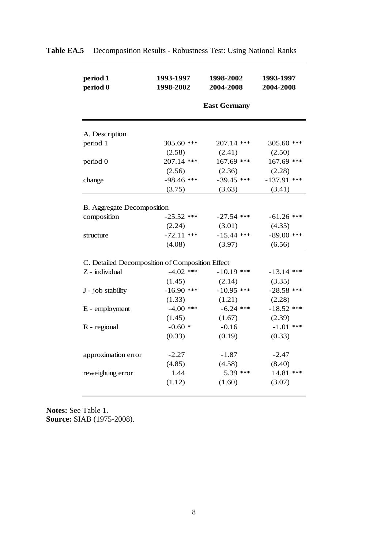| period 1<br>period 0                            | 1993-1997<br>1998-2002 | 1998-2002<br>2004-2008 | 1993-1997<br>2004-2008 |
|-------------------------------------------------|------------------------|------------------------|------------------------|
|                                                 |                        | <b>East Germany</b>    |                        |
| A. Description                                  |                        |                        |                        |
| period 1                                        | 305.60 ***             | 207.14 ***             | $305.60$ ***           |
|                                                 | (2.58)                 | (2.41)                 | (2.50)                 |
| period 0                                        | $207.14$ ***           | 167.69 ***             | 167.69 ***             |
|                                                 | (2.56)                 | (2.36)                 | (2.28)                 |
| change                                          | $-98.46$ ***           | $-39.45$ ***           | $-137.91$ ***          |
|                                                 | (3.75)                 | (3.63)                 | (3.41)                 |
|                                                 |                        |                        |                        |
| <b>B.</b> Aggregate Decomposition               |                        |                        |                        |
| composition                                     | $-25.52$ ***           | $-27.54$ ***           | $-61.26$ ***           |
|                                                 | (2.24)                 | (3.01)                 | (4.35)                 |
| structure                                       | $-72.11$ ***           | $-15.44$ ***           | $-89.00$ ***           |
|                                                 | (4.08)                 | (3.97)                 | (6.56)                 |
|                                                 |                        |                        |                        |
| C. Detailed Decomposition of Composition Effect |                        |                        |                        |
| Z - individual                                  | $-4.02$ ***            | $-10.19$ ***           | $-13.14$ ***           |
|                                                 | (1.45)                 | (2.14)                 | (3.35)                 |
| J - job stability                               | $-16.90$ ***           | $-10.95$ ***           | $-28.58$ ***           |
|                                                 | (1.33)                 | (1.21)                 | (2.28)                 |
| E - employment                                  | $-4.00$ ***            | $-6.24$ ***            | $-18.52$ ***           |
|                                                 | (1.45)                 | (1.67)                 | (2.39)                 |
| R - regional                                    | $-0.60*$               | $-0.16$                | $-1.01$ ***            |
|                                                 | (0.33)                 | (0.19)                 | (0.33)                 |
|                                                 |                        |                        |                        |
| approximation error                             | $-2.27$                | $-1.87$                | $-2.47$                |
|                                                 | (4.85)                 | (4.58)                 | (8.40)                 |
| reweighting error                               | 1.44                   | $5.39$ ***             | 14.81 ***              |
|                                                 | (1.12)                 | (1.60)                 | (3.07)                 |

**Table EA.5** Decomposition Results - Robustness Test: Using National Ranks

**Notes:** See Table 1. **Source:** SIAB (1975-2008).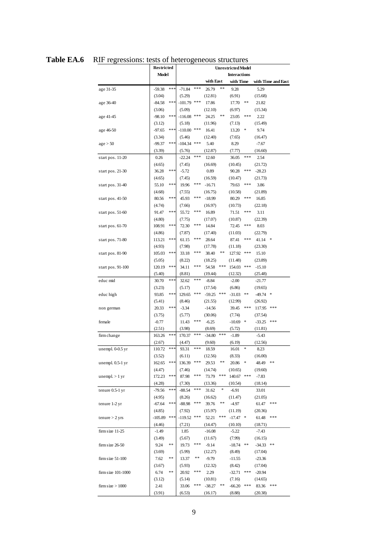|                     | <b>Restricted</b> |     | <b>Unrestricted Model</b> |                     |           |       |            |           |                  |                    |
|---------------------|-------------------|-----|---------------------------|---------------------|-----------|-------|------------|-----------|------------------|--------------------|
|                     | <b>Model</b>      |     |                           | <b>Interactions</b> |           |       |            |           |                  |                    |
|                     |                   |     |                           |                     | with East |       |            | with Time |                  | with Time and East |
| age 31-35           | $-59.38$          | *** | $-71.84$                  | ***                 | 26.79     | **    | 9.28       |           | 5.29             |                    |
|                     | (3.04)            |     | (5.29)                    |                     | (12.81)   |       | (6.91)     |           | (15.68)          |                    |
| age 36-40           | $-84.58$          | *** | $-101.79$ ***             |                     | 17.86     |       | 17.70      | **        | 21.82            |                    |
|                     | (3.06)            |     | (5.09)                    |                     | (12.10)   |       | (6.97)     |           | (15.34)          |                    |
| age 41-45           | $-98.10$          | *** | $-116.08$ ***             |                     | 24.25     | **    | 23.05      | ***       | 2.22             |                    |
|                     | (3.12)            |     | (5.18)                    |                     | (11.96)   |       | (7.13)     |           | (15.49)          |                    |
| age 46-50           | $-97.65$          | *** | $-110.00$ ***             |                     | 16.41     |       | 13.20      |           | 9.74             |                    |
|                     | (3.34)            |     | (5.46)                    |                     | (12.40)   |       | (7.65)     |           | (16.47)          |                    |
| age > 50            | $-99.37$          | *** | $-104.34$ ***             |                     | 5.40      |       | 8.29       |           | $-7.67$          |                    |
|                     | (3.39)            |     | (5.76)                    |                     | (12.87)   |       | (7.77)     |           | (16.60)          |                    |
| start pos. 11-20    | 0.26              |     | $-22.24$                  | ***                 | 12.60     |       | 36.05      | ***       | 2.54             |                    |
|                     | (4.65)            |     | (7.45)                    |                     | (16.69)   |       | (10.45)    |           | (21.72)          |                    |
| start pos. 21-30    | 36.28             | *** | $-5.72$                   |                     | 0.89      |       | 90.28      | ***       | $-28.23$         |                    |
|                     | (4.65)            |     | (7.45)                    |                     | (16.59)   |       | (10.47)    |           | (21.73)          |                    |
| start pos. 31-40    | 55.10             | *** | 19.96                     | ***                 | $-16.71$  |       | 79.63      | ***       | 3.86             |                    |
|                     | (4.68)            |     | (7.55)                    |                     | (16.75)   |       | (10.58)    |           | (21.89)          |                    |
| start pos. 41-50    | 80.56             | *** | 45.93                     | ***                 | $-18.99$  |       | 80.29      | ***       | 16.85            |                    |
|                     | (4.74)            |     | (7.66)                    |                     | (16.97)   |       | (10.73)    |           | (22.18)          |                    |
| start pos. 51-60    | 91.47             | *** | 55.72                     | ***                 | 16.89     |       | 71.51      | ***       | 3.11             |                    |
|                     | (4.80)            |     | (7.75)                    |                     | (17.07)   |       | (10.87)    |           | (22.39)          |                    |
| start pos. 61-70    | 108.91            | *** | 72.30                     | ***                 | 14.84     |       | 72.45      | ***       | 8.03             |                    |
|                     | (4.86)            |     | (7.87)                    |                     | (17.40)   |       | (11.03)    |           | (22.79)          |                    |
| start pos. 71-80    | 113.21            | *** | 61.15                     | ***                 | 28.64     |       | 87.41      | ***       | 41.14            | ∗                  |
|                     | (4.93)            |     | (7.98)                    |                     | (17.78)   |       | (11.18)    |           | (23.30)          |                    |
| start pos. 81-90    | 105.03            | *** | 33.18                     | ***                 | 38.40     | **    | 127.92 *** |           | 15.10            |                    |
|                     | (5.05)            |     | (8.22)                    |                     | (18.25)   |       | (11.48)    |           | (23.89)          |                    |
| start pos. 91-100   | 120.19            | *** | 34.11                     | ***                 | 54.58     | ***   | 154.03 *** |           | $-15.10$         |                    |
|                     | (5.40)            |     | (8.81)                    |                     | (19.44)   |       | (12.32)    |           | (25.48)          |                    |
| educ mid            | 30.70             | *** | 32.62                     | ***                 | $-8.84$   |       | $-2.00$    |           | $-21.77$         |                    |
|                     | (3.23)            |     | (5.17)                    |                     | (17.54)   |       | (6.86)     |           | (19.65)          |                    |
| educ high           | 93.85             | *** | 129.65                    | ***                 | $-59.25$  | ***   | $-31.03$   | **        | $-49.74$ *       |                    |
|                     | (5.41)            |     | (8.46)                    |                     | (21.55)   |       | (12.99)    |           | (26.92)          |                    |
| non german          | 20.33             | *** | $-3.34$                   |                     | $-14.56$  |       | 39.45      | ***       | 117.95 ***       |                    |
|                     | (3.75)            |     | (5.77)                    |                     | (30.06)   |       | (7.74)     |           | (37.54)          |                    |
| female              | $-0.77$           |     | 11.43                     | ***                 | $-6.25$   |       | $-10.69$   | ∗         | $-33.25$         | ***                |
|                     | (2.51)            |     | (3.98)                    |                     | (8.69)    |       | (5.72)     |           | (11.81)          |                    |
| firm change         | 163.26            | *** | 170.37                    | ***                 | $-34.80$  | ***   | $-1.89$    |           | $-5.43$          |                    |
|                     | (2.67)            |     | (4.47)                    |                     | (9.60)    |       | (6.19)     |           | (12.56)          |                    |
| unempl. $0-0.5$ yr  | 110.72            | *** | 93.31                     | ***                 | 18.59     |       | 16.01      | ∗         | 8.23             |                    |
|                     | (3.52)            |     | (6.11)                    |                     | (12.56)   |       | (8.33)     |           | (16.00)          |                    |
| unempl. 0.5-1 yr    | 162.65            | *** | 136.39                    | ***                 | 29.53     | **    | 20.86      | ∗         | 48.49            | $***$              |
|                     | (4.47)            |     | (7.46)                    |                     | (14.74)   |       | (10.65)    |           | (19.60)          |                    |
| unempl $>1$ yr      | 172.23            | *** | 87.98                     | ***                 | 73.79     | ***   | 140.67 *** |           | $-7.83$          |                    |
|                     | (4.28)            |     | (7.30)                    |                     | (13.36)   |       | (10.54)    |           | (18.14)          |                    |
| tenure 0.5-1 yr     | -79.56            | *** | $-88.54$                  | ***                 | 31.62     | ∗     | $-6.91$    |           | 33.01            |                    |
|                     | (4.95)            |     | (8.26)                    |                     | (16.62)   |       | (11.47)    |           | (21.05)          |                    |
| tenure 1-2 yr       | $-67.64$          | *** | $-88.98$                  | ***                 | 39.76     | **    | -4.97      |           | 61.47            | ***                |
|                     | (4.85)            |     | (7.92)                    |                     | (15.97)   |       | (11.19)    |           | (20.36)          |                    |
| $t$ enure $>$ 2 yrs | $-105.89$         | *** | $-119.52$ ***             |                     | 52.21     | ***   | $-17.47$ * |           | 61.48            | ***                |
|                     | (4.46)            |     | (7.21)                    |                     | (14.47)   |       | (10.10)    |           | (18.71)          |                    |
| firm size 11-25     | $-1.49$           |     | 1.85                      |                     | $-16.08$  |       | $-5.22$    |           | $-7.43$          |                    |
|                     | (3.49)            | **  | (5.67)                    | ***                 | (11.67)   |       | (7.99)     |           | (16.15)          |                    |
| firm size 26-50     | 9.24              |     | 19.73                     |                     | $-9.14$   |       | $-18.74$   | $***$     | -34.33           | $\ast\ast$         |
|                     | (3.69)            | **  | (5.99)                    | **                  | (12.27)   |       | (8.49)     |           | (17.04)          |                    |
| firm size $51-100$  | 7.62              |     | 13.37                     |                     | $-9.79$   |       | $-11.55$   |           | $-23.36$         |                    |
|                     | (3.67)            | **  | (5.93)                    | ***                 | (12.32)   |       | (8.42)     | ***       | (17.04)          |                    |
| firm size 101-1000  | 6.74              |     | 20.92                     |                     | 2.29      |       | $-32.71$   |           | $-20.94$         |                    |
|                     | (3.12)            |     | (5.14)                    | ***                 | (10.81)   | $***$ | (7.16)     | ***       | (14.65)          | ***                |
| firm size $> 1000$  | 2.41<br>(3.91)    |     | 33.06<br>(6.53)           |                     | $-38.27$  |       | $-66.20$   |           | 83.36<br>(20.38) |                    |
|                     |                   |     |                           |                     | (16.17)   |       | (8.88)     |           |                  |                    |

|  | <b>Table EA.6</b> RIF regressions: tests of heterogeneous structures |
|--|----------------------------------------------------------------------|
|  |                                                                      |